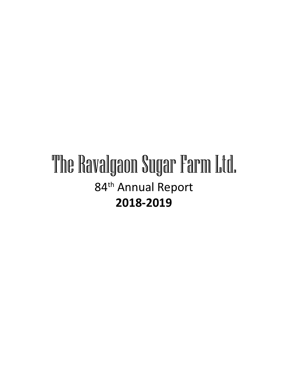# The Ravalgaon Sugar Farm Ltd. 84<sup>th</sup> Annual Report **2018-2019**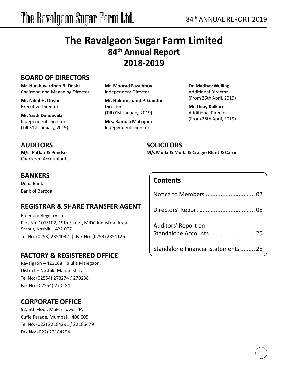## **The Ravalgaon Sugar Farm Limited 84th Annual Report 2018-2019**

### **BOARD OF DIRECTORS**

**Mr. Harshavardhan B. Doshi** Chairman and Managing Director

**Mr. Nihal H. Doshi** Executive Director

**Mr. Yazdi Dandiwala** Independent Director (Till 31st January, 2019)

### **AUDITORS**

**M/s. Patkar & Pendse** Chartered Accountants

### **BANKERS**

Dena Bank Bank of Baroda

### **REGISTRAR & SHARE TRANSFER AGENT**

Freedom Registry Ltd. Plot No. 101/102, 19th Street, MIDC Industrial Area, Satpur, Nashik – 422 007 Tel No: (0253) 2354032 | Fax No: (0253) 2351126

### **FACTORY & REGISTERED OFFICE**

Ravalgaon – 423108, Taluka Malegaon, District – Nashik, Maharashtra Tel No: (02554) 270274 / 270238 Fax No: (02554) 270284

### **CORPORATE OFFICE**

52, 5th Floor, Maker Tower 'F', Cuffe Parade, Mumbai – 400 005 Tel No: (022) 22184291 / 22186479 Fax No: (022) 22184294

**Mr. Moorad Fazalbhoy** Independent Director

**Mr. Hukumchand P. Gandhi** Director (Till 01st January, 2019)

**Mrs. Ramola Mahajani** Independent Director

**Dr. Madhav Welling** Additional Director (From 26th April, 2019)

**Mr. Uday Kulkarni** Additional Director (From 26th April, 2019)

### **SOLICITORS**

**M/s Mulla & Mulla & Craigie Blunt & Caroe**

### **Contents**

| Auditors' Report on                 |  |
|-------------------------------------|--|
| Standalone Financial Statements  26 |  |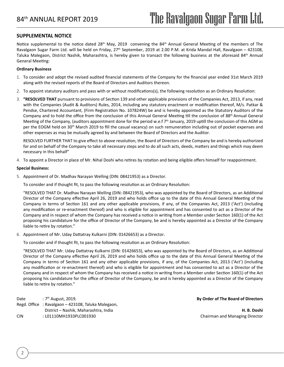#### **SUPPLEMENTAL NOTICE**

Notice supplemental to the notice dated 28<sup>th</sup> May, 2019 convening the 84<sup>th</sup> Annual General Meeting of the members of The Ravalgaon Sugar Farm Ltd. will be held on Friday, 27<sup>th</sup> September, 2019 at 2.00 P.M. at Krida Mandal Hall, Ravalgaon – 423108, Taluka Malegaon, District Nashik, Maharashtra, is hereby given to transact the following business at the aforesaid 84<sup>th</sup> Annual General Meeting:

#### **Ordinary Business**

- 1. To consider and adopt the revised audited financial statements of the Company for the financial year ended 31st March 2019 along with the revised reports of the Board of Directors and Auditors thereon.
- 2. To appoint statutory auditors and pass with or without modifications(s), the following resolution as an Ordinary Resolution:
- 3. **"RESOLVED THAT** pursuant to provisions of Section 139 and other applicable provisions of the Companies Act, 2013, if any, read with the Companies (Audit & Auditors) Rules, 2014, including any statutory enactment or modification thereof, M/s. Patkar & Pendse, Chartered Accountant, (Firm Registration No. 107824W) be and is hereby appointed as the Statutory Auditors of the Company and to hold the office from the conclusion of this Annual General Meeting till the conclusion of 88th Annual General Meeting of the Company, (auditors appointment done for the period w.e.f  $7<sup>th</sup>$  January, 2019 uptill the conclusion of this AGM as per the EOGM held on 30<sup>th</sup> March 2019 to fill the casual vacancy) on such remuneration including out of pocket expenses and other expenses as may be mutually agreed by and between the Board of Directors and the Auditor.

RESOLVED FURTHER THAT to give effect to above resolution, the Board of Directors of the Company be and is hereby authorized for and on behalf of the Company to take all necessary steps and to do all such acts, deeds, matters and things which may deem necessary in this behalf"

4. To appoint a Director in place of Mr. Nihal Doshi who retires by rotation and being eligible offers himself for reappointment.

#### **Special Business:**

2

5. Appointment of Dr. Madhav Narayan Welling (DIN: 08421953) as a Director.

To consider and if thought fit, to pass the following resolution as an Ordinary Resolution:

"RESOLVED THAT Dr. Madhav Narayan Welling (DIN: 08421953), who was appointed by the Board of Directors, as an Additional Director of the Company effective April 26, 2019 and who holds office up to the date of this Annual General Meeting of the Company in terms of Section 161 and any other applicable provisions, if any, of the Companies Act, 2013 ('Act') (including any modification or re-enactment thereof) and who is eligible for appointment and has consented to act as a Director of the Company and in respect of whom the Company has received a notice in writing from a Member under Section 160(1) of the Act proposing his candidature for the office of Director of the Company, be and is hereby appointed as a Director of the Company liable to retire by rotation."

6. Appointment of Mr. Uday Dattatray Kulkarni (DIN: 01426653) as a Director.

To consider and if thought fit, to pass the following resolution as an Ordinary Resolution:

"RESOLVED THAT Mr. Uday Dattatray Kulkarni (DIN: 01426653), who was appointed by the Board of Directors, as an Additional Director of the Company effective April 26, 2019 and who holds office up to the date of this Annual General Meeting of the Company in terms of Section 161 and any other applicable provisions, if any, of the Companies Act, 2013 ('Act') (including any modification or re-enactment thereof) and who is eligible for appointment and has consented to act as a Director of the Company and in respect of whom the Company has received a notice in writing from a Member under Section 160(1) of the Act proposing his candidature for the office of Director of the Company, be and is hereby appointed as a Director of the Company liable to retire by rotation."

Date :  $7<sup>th</sup>$  August, 2019. Regd. Office : Ravalgaon – 423108, Taluka Malegaon, District – Nashik, Maharashtra, India CIN : L01110MH1933PLC001930

**By Order of The Board of Directors**

**H. B. Doshi** Chairman and Managing Director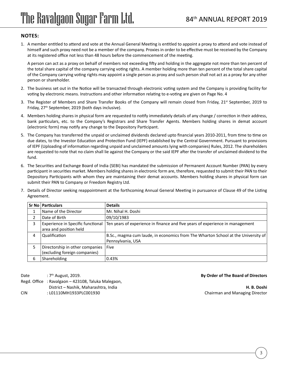### **Notes:**

1. A member entitled to attend and vote at the Annual General Meeting is entitled to appoint a proxy to attend and vote instead of himself and such proxy need not be a member of the company. Proxies in order to be effective must be received by the Company at its registered office not less than 48 hours before the commencement of the meeting.

A person can act as a proxy on behalf of members not exceeding fifty and holding in the aggregate not more than ten percent of the total share capital of the company carrying voting rights. A member holding more than ten percent of the total share capital of the Company carrying voting rights may appoint a single person as proxy and such person shall not act as a proxy for any other person or shareholder.

- 2. The business set out in the Notice will be transacted through electronic voting system and the Company is providing facility for voting by electronic means. Instructions and other information relating to e-voting are given on Page No. 4
- 3. The Register of Members and Share Transfer Books of the Company will remain closed from Friday, 21<sup>st</sup> September, 2019 to Friday, 27th September, 2019 (both days inclusive).
- 4. Members holding shares in physical form are requested to notify immediately details of any change / correction in their address, bank particulars, etc. to the Company's Registrars and Share Transfer Agents. Members holding shares in demat account (electronic form) may notify any change to the Depository Participant.
- 5. The Company has transferred the unpaid or unclaimed dividends declared upto financial years 2010-2011, from time to time on due dates, to the Investor Education and Protection Fund (IEPF) established by the Central Government. Pursuant to provisions of IEPF (Uploading of information regarding unpaid and unclaimed amounts lying with companies) Rules, 2012. The shareholders are requested to note that no claim shall lie against the Company or the said IEPF after the transfer of unclaimed dividend to the fund.
- 6. The Securities and Exchange Board of India (SEBI) has mandated the submission of Permanent Account Number (PAN) by every participant in securities market. Members holding shares in electronic form are, therefore, requested to submit their PAN to their Depository Participants with whom they are maintaining their demat accounts. Members holding shares in physical form can submit their PAN to Company or Freedom Registry Ltd.
- 7. Details of Director seeking reappointment at the forthcoming Annual General Meeting in pursuance of Clause 49 of the Listing Agreement.

|   | Sr No   Particulars                                              | <b>Details</b>                                                                                         |
|---|------------------------------------------------------------------|--------------------------------------------------------------------------------------------------------|
|   | Name of the Director                                             | Mr. Nihal H. Doshi                                                                                     |
|   | Date of Birth                                                    | 09/10/1983                                                                                             |
| 3 | Experience in Specific functional<br>area and position held      | Ten years of experience in finance and five years of experience in management                          |
| 4 | Qualification                                                    | B.Sc., magma cum laude, in economics from The Wharton School at the University of<br>Pennsylvania, USA |
| 5 | Directorship in other companies<br>(excluding foreign companies) | Five                                                                                                   |
| 6 | Shareholding                                                     | 0.43%                                                                                                  |

Date :  $7<sup>th</sup>$  August, 2019.

Regd. Office : Ravalgaon – 423108, Taluka Malegaon, District – Nashik, Maharashtra, India CIN : L01110MH1933PLC001930

#### **By Order of The Board of Directors**

**H. B. Doshi** Chairman and Managing Director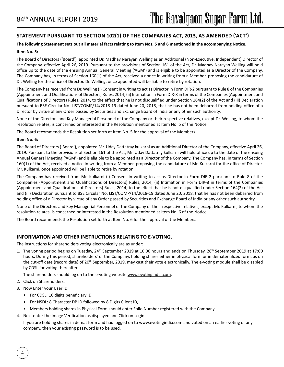### **Statement pursuant to Section 102(1) of the Companies Act, 2013, as amended ('Act')**

#### **The following Statement sets out all material facts relating to Item Nos. 5 and 6 mentioned in the accompanying Notice.**

#### **Item No. 5:**

The Board of Directors ('Board'), appointed Dr. Madhav Narayan Welling as an Additional (Non-Executive, Independent) Director of the Company, effective April 26, 2019. Pursuant to the provisions of Section 161 of the Act, Dr. Madhav Narayan Welling will hold office up to the date of the ensuing Annual General Meeting ('AGM') and is eligible to be appointed as a Director of the Company. The Company has, in terms of Section 160(1) of the Act, received a notice in writing from a Member, proposing the candidature of Dr. Welling for the office of Director. Dr. Welling, once appointed will be liable to retire by rotation.

The Company has received from Dr. Welling (i) Consent in writing to act as Director in Form DIR-2 pursuant to Rule 8 of the Companies (Appointment and Qualifications of Directors) Rules, 2014; (ii) Intimation in Form DIR-8 in terms of the Companies (Appointment and Qualifications of Directors) Rules, 2014, to the effect that he is not disqualified under Section 164(2) of the Act and (iii) Declaration pursuant to BSE Circular No. LIST/COMP/14/2018-19 dated June 20, 2018, that he has not been debarred from holding office of a Director by virtue of any Order passed by Securities and Exchange Board of India or any other such authority.

None of the Directors and Key Managerial Personnel of the Company or their respective relatives, except Dr. Welling, to whom the resolution relates, is concerned or interested in the Resolution mentioned at Item No. 5 of the Notice.

The Board recommends the Resolution set forth at Item No. 5 for the approval of the Members.

#### **Item No. 6:**

The Board of Directors ('Board'), appointed Mr. Uday Dattatray kulkarni as an Additional Director of the Company, effective April 26, 2019. Pursuant to the provisions of Section 161 of the Act, Mr. Uday Dattatray kulkarni will hold office up to the date of the ensuing Annual General Meeting ('AGM') and is eligible to be appointed as a Director of the Company. The Company has, in terms of Section 160(1) of the Act, received a notice in writing from a Member, proposing the candidature of Mr. Kulkarni for the office of Director. Mr. Kulkarni, once appointed will be liable to retire by rotation.

The Company has received from Mr. Kulkarni (i) Consent in writing to act as Director in Form DIR-2 pursuant to Rule 8 of the Companies (Appointment and Qualifications of Directors) Rules, 2014; (ii) Intimation in Form DIR-8 in terms of the Companies (Appointment and Qualifications of Directors) Rules, 2014, to the effect that he is not disqualified under Section 164(2) of the Act and (iii) Declaration pursuant to BSE Circular No. LIST/COMP/14/2018-19 dated June 20, 2018, that he has not been debarred from holding office of a Director by virtue of any Order passed by Securities and Exchange Board of India or any other such authority.

None of the Directors and Key Managerial Personnel of the Company or their respective relatives, except Mr. Kulkarni, to whom the resolution relates, is concerned or interested in the Resolution mentioned at Item No. 6 of the Notice.

The Board recommends the Resolution set forth at Item No. 6 for the approval of the Members.

#### **INFORMATION AND OTHER INSTRUCTIONS RELATING TO E-VOTING.**

The instructions for shareholders voting electronically are as under:

1. The voting period begins on Tuesday, 24<sup>th</sup> September 2019 at 10:00 hours and ends on Thursday, 26<sup>th</sup> September 2019 at 17:00 hours. During this period, shareholders' of the Company, holding shares either in physical form or in dematerialized form, as on the cut-off date (record date) of 20<sup>th</sup> September, 2019, may cast their vote electronically. The e-voting module shall be disabled by CDSL for voting thereafter.

The shareholders should log on to the e-voting website www.evotingindia.com.

- 2. Click on Shareholders.
- 3. Now Enter your User ID

4

- For CDSL: 16 digits beneficiary ID,
- For NSDL: 8 Character DP ID followed by 8 Digits Client ID,
- Members holding shares in Physical Form should enter Folio Number registered with the Company.
- 4. Next enter the Image Verification as displayed and Click on Login.

If you are holding shares in demat form and had logged on to www.evotingindia.com and voted on an earlier voting of any company, then your existing password is to be used.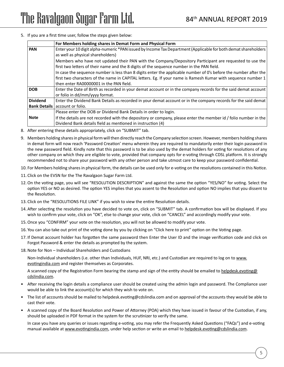5. If you are a first time user, follow the steps given below:

|                     | For Members holding shares in Demat Form and Physical Form                                                       |
|---------------------|------------------------------------------------------------------------------------------------------------------|
| <b>PAN</b>          | Enter your 10 digit alpha-numeric *PAN issued by Income Tax Department (Applicable for both demat shareholders   |
|                     | as well as physical shareholders)                                                                                |
|                     | Members who have not updated their PAN with the Company/Depository Participant are requested to use the          |
|                     | first two letters of their name and the 8 digits of the sequence number in the PAN field.                        |
|                     | In case the sequence number is less than 8 digits enter the applicable number of 0's before the number after the |
|                     | first two characters of the name in CAPITAL letters. Eg. If your name is Ramesh Kumar with sequence number 1     |
|                     | then enter RA00000001 in the PAN field.                                                                          |
| <b>DOB</b>          | Enter the Date of Birth as recorded in your demat account or in the company records for the said demat account   |
|                     | or folio in dd/mm/yyyy format.                                                                                   |
| <b>Dividend</b>     | Enter the Dividend Bank Details as recorded in your demat account or in the company records for the said demat   |
| <b>Bank Details</b> | account or folio.                                                                                                |
|                     | Please enter the DOB or Dividend Bank Details in order to login.                                                 |
| <b>Note</b>         | If the details are not recorded with the depository or company, please enter the member id / folio number in the |
|                     | Dividend Bank details field as mentioned in instruction (4)                                                      |

- 8. After entering these details appropriately, click on "SUBMIT" tab.
- 9. Members holding shares in physical form will then directly reach the Company selection screen. However, members holding shares in demat form will now reach 'Password Creation' menu wherein they are required to mandatorily enter their login password in the new password field. Kindly note that this password is to be also used by the demat holders for voting for resolutions of any other company on which they are eligible to vote, provided that company opts for e-voting through CDSL platform. It is strongly recommended not to share your password with any other person and take utmost care to keep your password confidential.
- 10. For Members holding shares in physical form, the details can be used only for e-voting on the resolutions contained in this Notice.
- 11. Click on the EVSN for the The Ravalgaon Sugar Farm Ltd.
- 12.On the voting page, you will see "RESOLUTION DESCRIPTION" and against the same the option "YES/NO" for voting. Select the option YES or NO as desired. The option YES implies that you assent to the Resolution and option NO implies that you dissent to the Resolution.
- 13. Click on the "RESOLUTIONS FILE LINK" if you wish to view the entire Resolution details.
- 14. After selecting the resolution you have decided to vote on, click on "SUBMIT" tab. A confirmation box will be displayed. If you wish to confirm your vote, click on "OK", else to change your vote, click on "CANCEL" and accordingly modify your vote.
- 15.Once you "CONFIRM" your vote on the resolution, you will not be allowed to modify your vote.
- 16. You can also take out print of the voting done by you by clicking on "Click here to print" option on the Voting page.
- 17. If Demat account holder has forgotten the same password then Enter the User ID and the image verification code and click on Forgot Password & enter the details as prompted by the system.
- 18.Note for Non Individual Shareholders and Custodians

Non-Individual shareholders (i.e. other than Individuals, HUF, NRI, etc.) and Custodian are required to log on to www. evotingindia.com and register themselves as Corporates.

A scanned copy of the Registration Form bearing the stamp and sign of the entity should be emailed to helpdesk.evoting@ cdslindia.com.

- After receiving the login details a compliance user should be created using the admin login and password. The Compliance user would be able to link the account(s) for which they wish to vote on.
- The list of accounts should be mailed to helpdesk.evoting@cdslindia.com and on approval of the accounts they would be able to cast their vote.
- A scanned copy of the Board Resolution and Power of Attorney (POA) which they have issued in favour of the Custodian, if any, should be uploaded in PDF format in the system for the scrutinizer to verify the same.

In case you have any queries or issues regarding e-voting, you may refer the Frequently Asked Questions ("FAQs") and e-voting manual available at www.evotingindia.com, under help section or write an email to helpdesk.evoting@cdslindia.com.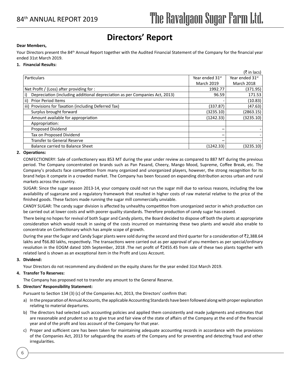## **Directors' Report**

#### **Dear Members,**

Your Directors present the 84<sup>th</sup> Annual Report together with the Audited Financial Statement of the Company for the financial year ended 31st March 2019.

#### **1. Financial Results:**

|                                                                                   |                             | $(3\overline{5})$ in lacs) |
|-----------------------------------------------------------------------------------|-----------------------------|----------------------------|
| Particulars                                                                       | Year ended 31 <sup>st</sup> | Year ended 31st            |
|                                                                                   | <b>March 2019</b>           | <b>March 2018</b>          |
| Net Profit / (Loss) after providing for :                                         | 1992.77                     | (371.95)                   |
| Depreciation (including additional depreciation as per Companies Act, 2013)<br>i) | 96.59                       | 171.53                     |
| ii)<br><b>Prior Period Items</b>                                                  |                             | (10.83)                    |
| iii) Provisions for Taxation (including Deferred Tax)                             | (337.87)                    | (47.63)                    |
| Surplus brought forward                                                           | (3235.10)                   | (2863.15)                  |
| Amount available for appropriation                                                | (1242.33)                   | (3235.10)                  |
| Appropriation:                                                                    |                             |                            |
| Proposed Dividend                                                                 | -                           |                            |
| Tax on Proposed Dividend                                                          | -                           |                            |
| <b>Transfer to General Reserve</b>                                                |                             |                            |
| Balance carried to Balance Sheet                                                  | (1242.33)                   | (3235.10)                  |

#### **2. Operations:**

CONFECTIONERY: Sale of confectionery was 853 MT during the year under review as compared to 887 MT during the previous period. The Company concentrated on brands such as Pan Pasand, Cheery, Mango Mood, Supreme, Coffee Break, etc. The Company's products face competition from many organized and unorganized players, however, the strong recognition for its brand helps it compete in a crowded market. The Company has been focused on expanding distribution across urban and rural markets across the country.

SUGAR: Since the sugar season 2013-14, your company could not run the sugar mill due to various reasons, including the low availability of sugarcane and a regulatory framework that resulted in higher costs of raw material relative to the price of the finished goods. These factors made running the sugar mill commercially unviable.

CANDY SUGAR: The candy sugar division is affected by unhealthy competition from unorganized sector in which production can be carried out at lower costs and with poorer quality standards. Therefore production of candy sugar has ceased.

There being no hopes for revival of both Sugar and Candy plants, the Board decided to dispose off both the plants at appropriate consideration which would result in saving of the costs incurred on maintaining these two plants and would also enable to concentrate on Confectionary which has ample scope of growth.

During the year the Sugar and Candy Sugar plants were sold during the second and third quarter for a consideration of ₹2,388.64 lakhs and ₹66.80 lakhs, respectively. The transactions were carried out as per approval of you members as per special/ordinary resolution in the EOGM dated 10th September, 2018 .The net profit of ₹2455.45 from sale of these two plants together with related land is shown as an exceptional item in the Profit and Loss Account.

#### **3. Dividend:**

Your Directors do not recommend any dividend on the equity shares for the year ended 31st March 2019.

#### **4. Transfer To Reserves:**

The Company has proposed not to transfer any amount to the General Reserve.

#### **5. Directors' Responsibility Statement:**

Pursuant to Section 134 (3) (c) of the Companies Act, 2013, the Directors' confirm that:

- a) In the preparation of Annual Accounts, the applicable Accounting Standards have been followed along with proper explanation relating to material departures.
- b) The directors had selected such accounting policies and applied them consistently and made judgments and estimates that are reasonable and prudent so as to give true and fair view of the state of affairs of the Company at the end of the financial year and of the profit and loss account of the Company for that year.
- c) Proper and sufficient care has been taken for maintaining adequate accounting records in accordance with the provisions of the Companies Act, 2013 for safeguarding the assets of the Company and for preventing and detecting fraud and other irregularities.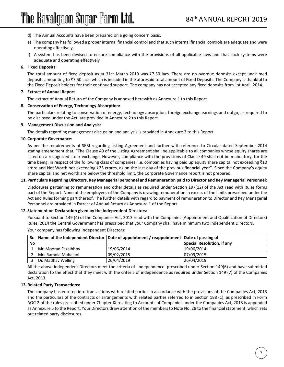- d) The Annual Accounts have been prepared on a going concern basis.
- e) The company has followed a proper internal financial control and that such internal financial controls are adequate and were operating effectively.
- f) A system has been devised to ensure compliance with the provisions of all applicable laws and that such systems were adequate and operating effectively

#### **6. Fixed Deposits:**

The total amount of fixed deposit as at 31st March 2019 was ₹7.50 lacs. There are no overdue deposits except unclaimed deposits amounting to `7.50 lacs, which is included in the aforesaid total amount of Fixed Deposits. The Company is thankful to the Fixed Deposit holders for their continued support. The company has not accepted any fixed deposits from 1st April, 2014.

#### **7. Extract of Annual Report**

The extract of Annual Return of the Company is annexed herewith as Annexure 1 to this Report.

#### **8. Conservation of Energy, Technology Absorption:**

The particulars relating to conservation of energy, technology absorption, foreign exchange earnings and outgo, as required to be disclosed under the Act, are provided in Annexure 2 to this Report.

#### **9. Management Discussion and Analysis:**

The details regarding management discussion and analysis is provided in Annexure 3 to this Report.

#### **10. Corporate Governance:**

As per the requirements of SEBI regarding Listing Agreement and further with reference to Circular dated September 2014 stating amendment that, "The Clause 49 of the Listing Agreement shall be applicable to all companies whose equity shares are listed on a recognized stock exchange. However, compliance with the provisions of Clause 49 shall not be mandatory, for the time being, in respect of the following class of companies, i.e. companies having paid up equity share capital not exceeding  $\bar{z}10$ crore and Net Worth not exceeding  $\bar{z}$ 25 crores, as on the last day of the previous financial year". Since the Company's equity share capital and net worth are below the threshold limit, the Corporate Governance report is not prepared.

#### **11. Particulars Regarding Directors, Key Managerial personnel and Remuneration paid to Director and Key Managerial Personnel:**

Disclosures pertaining to remuneration and other details as required under Section 197(12) of the Act read with Rules forms part of the Report. None of the employees of the Company is drawing remuneration in excess of the limits prescribed under the Act and Rules forming part thereof. The further details with regard to payment of remuneration to Director and Key Managerial Personnel are provided in Extract of Annual Return as Annexure 1 of the Report.

#### **12. Statement on Declaration given by the Independent Directors:**

Pursuant to Section 149 (4) of the Companies Act, 2013 read with the Companies (Appointment and Qualification of Directors) Rules, 2014 the Central Government has prescribed that your Company shall have minimum two Independent Directors.

|    |                      | Sr. Name of the Independent Director Date of appointment / reappointment Date of passing of |                            |
|----|----------------------|---------------------------------------------------------------------------------------------|----------------------------|
| No |                      |                                                                                             | Special Resolution, if any |
|    | Mr. Moorad Fazalbhoy | 19/06/2014                                                                                  | 19/06/2014                 |
|    | Mrs Ramola Mahajani  | 09/02/2015                                                                                  | 07/09/2015                 |
|    | Dr. Madhav Welling   | 26/04/2019                                                                                  | 26/04/2019                 |

Your company has following Independent Directors:

All the above Independent Directors meet the criteria of 'independence' prescribed under Section 149(6) and have submitted declaration to the effect that they meet with the criteria of independence as required under Section 149 (7) of the Companies Act, 2013.

#### **13. Related Party Transactions:**

The company has entered into transactions with related parties in accordance with the provisions of the Companies Act, 2013 and the particulars of the contracts or arrangements with related parties referred to in Section 188 (1), as prescribed in Form AOC-2 of the rules prescribed under Chapter IX relating to Accounts of Companies under the Companies Act, 2013 is appended as Annexure 5 to the Report. Your Directors draw attention of the members to Note No. 28 to the financial statement, which sets out related party disclosures.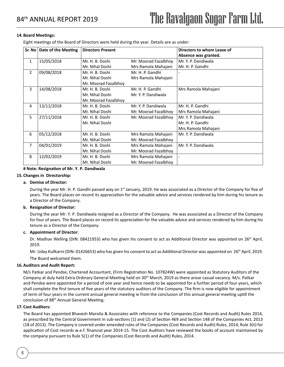#### **14.Board Meetings:**

Eight meetings of the Board of Directors were held during the year. Details are as under:

| Sr. No         | Date of the Meeting | <b>Directors Present</b> |                      | Directors to whom Leave of |
|----------------|---------------------|--------------------------|----------------------|----------------------------|
|                |                     |                          |                      | Absence was granted.       |
| $\mathbf{1}$   | 15/05/2018          | Mr. H. B. Doshi          | Mr. Moorad Fazalbhoy | Mr. Y. P. Dandiwala        |
|                |                     | Mr. Nihal Doshi          | Mrs Ramola Mahajani  | Mr. H. P. Gandhi           |
| $\overline{2}$ | 09/08/2018          | Mr. H. B. Doshi          | Mr. H. P. Gandhi     |                            |
|                |                     | Mr. Nihal Doshi          | Mrs Ramola Mahajani  |                            |
|                |                     | Mr. Moorad Fazalbhoy     |                      |                            |
| 3              | 14/08/2018          | Mr. H. B. Doshi          | Mr. H. P. Gandhi     | Mrs Ramola Mahajani        |
|                |                     | Mr. Nihal Doshi          | Mr. Y. P. Dandiwala  |                            |
|                |                     | Mr. Moorad Fazalbhoy     |                      |                            |
| 4              | 13/11/2018          | Mr. H. B. Doshi          | Mr. Y. P. Dandiwala  | Mr. H. P. Gandhi           |
|                |                     | Mr. Nihal Doshi          | Mr. Moorad Fazalbhoy | Mrs Ramola Mahajani        |
| 5              | 27/11/2018          | Mr. H. B. Doshi          | Mr. Moorad Fazalbhoy | Mr. Y. P. Dandiwala        |
|                |                     | Mr. Nihal Doshi          |                      | Mr. H. P. Gandhi           |
|                |                     |                          |                      | Mrs Ramola Mahajani        |
| 6              | 05/12/2018          | Mr. H. B. Doshi          | Mrs Ramola Mahajani  | Mr. Y. P. Dandiwala        |
|                |                     | Mr. Nihal Doshi          | Mr. Moorad Fazalbhoy |                            |
| $\overline{7}$ | 04/01/2019          | Mr. H. B. Doshi          | Mrs Ramola Mahajani  | Mr. Y. P. Dandiwala        |
|                |                     | Mr. Nihal Doshi          | Mr. Moorad Fazalbhoy |                            |
| 8              | 12/02/2019          | Mr. H. B. Doshi          | Mrs Ramola Mahajani  |                            |
|                |                     | Mr. Nihal Doshi          | Mr. Moorad Fazalbhoy |                            |

#### **# Note: Resignation of Mr. Y. P. Dandiwala**

#### **15. Changes in Directorship:**

#### **a. Demise of Director:**

During the year Mr. H. P. Gandhi passed way on  $1<sup>st</sup>$  January, 2019. He was associated as a Director of the Company for five of years. The Board places on record its appreciation for the valuable advice and services rendered by him during his tenure as a Director of the Company.

#### **b. Resignation of Director:**

During the year Mr. Y. P. Dandiwala resigned as a Director of the Company. He was associated as a Director of the Company for four of years. The Board places on record its appreciation for the valuable advice and services rendered by him during his tenure as a Director of the Company.

#### **c. Appointment of Director:**

Dr. Madhav Welling (DIN: 08421953) who has given his consent to act as Additional Director was appointed on 26<sup>th</sup> April, 2019.

Mr. Uday Kullkarni (DIN: 01426653) who has given his consent to act as Additional Director was appointed on 26<sup>th</sup> April, 2019. The Board welcomed them.

#### **16. Auditors and Audit Report:**

M/s Patkar and Pendse, Chartered Accountant, (Firm Registration No. 107824W) were appointed as Statutory Auditors of the Company at duly held Extra Ordinary General Meeting held on 30th March, 2019 as there arose casual vacancy. M/s. Patkar and Pendse were appointed for a period of one year and hence needs to be appointed for a further period of four years, which shall complete the first tenure of five years of the statutory auditors of the Company. The firm is now eligible for appointment of term of four years in the current annual general meeting ie from the conclusion of this annual general meeting uptill the conclusion of 88th Annual General Meeting.

#### **17. Cost Auditors:**

The Board has appointed Bhavesh Marolia & Associates with reference to the Companies (Cost Records and Audit) Rules 2014, as prescribed by the Central Government in sub-sections (1) and (2) of Section 469 and Section 148 of the Companies Act, 2013 (18 of 2013). The Company is covered under amended rules of the Companies (Cost Records and Audit) Rules, 2014, Rule 3(ii) for application of Cost records w.e.f. financial year 2014-15. The Cost Auditors have reviewed the books of account maintained by the company pursuant to Rule 5(1) of the Companies (Cost Records and Audit) Rules, 2014.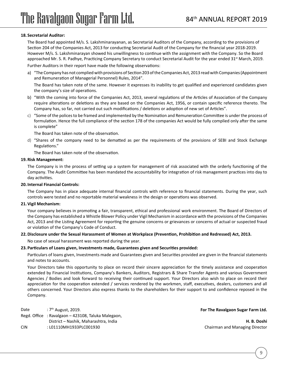#### **18. Secretarial Auditor:**

The Board had appointed M/s. S. Lakshminarayanan, as Secretarial Auditors of the Company, according to the provisions of Section 204 of the Companies Act, 2013 for conducting Secretarial Audit of the Company for the financial year 2018-2019. However M/s. S. Lakshminarayan showed his unwillingness to continue with the assignment with the Company. So the Board approached Mr. S. R. Padhye, Practicing Company Secretary to conduct Secretarial Audit for the year ended 31<sup>st</sup> March, 2019.

Further Auditors in their report have made the following observations:

a) "The Company has not complied with provisions of Section 203 of the Companies Act, 2013 read with Companies (Appointment and Remuneration of Managerial Personnel) Rules, 2014".

The Board has taken note of the same. However it expresses its inability to get qualified and experienced candidates given the company's size of operations.

- b) "With the coming into force of the Companies Act, 2013, several regulations of the Articles of Association of the Company require alterations or deletions as they are based on the Companies Act, 1956, or contain specific reference thereto. The Company has, so far, not carried out such modifications / deletions or adoption of new set of Articles".
- c) "Some of the polices to be framed and implemented by the Nomination and Remuneration Committee is under the process of formulation. Hence the full compliance of the section 178 of the companies Act would be fully complied only after the same is complete"

The Board has taken note of the observation.

d) "Shares of the company need to be dematted as per the requirements of the provisions of SEBI and Stock Exchange Regulations."

The Board has taken note of the observation.

#### **19.Risk Management:**

The Company is in the process of setting up a system for management of risk associated with the orderly functioning of the Company. The Audit Committee has been mandated the accountability for integration of risk management practices into day to day activities.

#### **20. Internal Financial Controls:**

The Company has in place adequate internal financial controls with reference to financial statements. During the year, such controls were tested and no reportable material weakness in the design or operations was observed.

#### **21.Vigil Mechanism:**

Your company believes in promoting a fair, transparent, ethical and professional work environment. The Board of Directors of the Company has established a Whistle Blower Policy under Vigil Mechanism in accordance with the provisions of the Companies Act, 2013 and the Listing Agreement for reporting the genuine concerns or grievances or concerns of actual or suspected fraud or violation of the Company's Code of Conduct.

#### **22. Disclosure under the Sexual Harassment of Women at Workplace (Prevention, Prohibition and Redressed) Act, 2013.**

No case of sexual harassment was reported during the year.

#### **23. Particulars of Loans given, Investments made, Guarantees given and Securities provided:**

Particulars of loans given, Investments made and Guarantees given and Securities provided are given in the financial statements and notes to accounts.

Your Directors take this opportunity to place on record their sincere appreciation for the timely assistance and cooperation extended by Financial Institutions, Company's Bankers, Auditors, Registrars & Share Transfer Agents and various Government Agencies / Bodies and look forward to receiving their continued support. Your Directors also wish to place on record their appreciation for the cooperation extended / services rendered by the workmen, staff, executives, dealers, customers and all others concerned. Your Directors also express thanks to the shareholders for their support to and confidence reposed in the Company.

| Date | : 7 <sup>th</sup> August, 2019.                     | For The Ravalgaon Sugar Farm Ltd. |
|------|-----------------------------------------------------|-----------------------------------|
|      | Regd. Office : Ravalgaon – 423108, Taluka Malegaon, |                                   |
|      | District – Nashik, Maharashtra, India               | H. B. Doshi                       |
| CIN  | : L01110MH1933PLC001930                             | Chairman and Managing Director    |
|      |                                                     |                                   |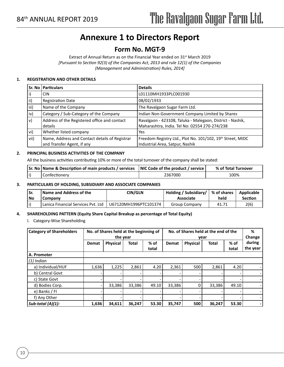## **Annexure 1 to Directors Report**

### **Form No. MGT-9**

Extract of Annual Return as on the Financial Year ended on 31<sup>st</sup> March 2019 *[Pursuant to Section 92(3) of the Companies Act, 2013 and rule 12(1) of the Companies (Management and Administration) Rules, 2014]*

#### **1. REGISTRATION AND OTHER DETAILS**

|               | Sr. No   Particulars                                                         | <b>Details</b>                                                                                             |
|---------------|------------------------------------------------------------------------------|------------------------------------------------------------------------------------------------------------|
| $\vert$ i)    | CIN.                                                                         | L01110MH1933PLC001930                                                                                      |
| $\vert$ ii)   | <b>Registration Date</b>                                                     | 08/02/1933                                                                                                 |
| iii)          | Name of the Company                                                          | The Ravalgaon Sugar Farm Ltd.                                                                              |
| $ iv\rangle$  | Category / Sub-Category of the Company                                       | Indian Non-Government Company Limited by Shares                                                            |
| $ v\rangle$   | Address of the Registered office and contact<br>details                      | Ravalgaon - 423108, Taluka - Malegaon, District - Nashik,<br>Maharashtra, India. Tel No: 02554 270-274/238 |
| $ v_i\rangle$ | Whether listed company                                                       | Yes                                                                                                        |
| vii)          | Name, Address and Contact details of Registrar<br>and Transfer Agent, if any | Freedom Registry Ltd., Plot No. 101/102, 19th Street, MIDC<br>Industrial Area, Satpur, Nashik              |

#### **2. PRINCIPAL BUSINESS ACTIVITIES OF THE COMPANY**

All the business activities contributing 10% or more of the total turnover of the company shall be stated:

| Sr. No   Name & Description of main products / services   NIC Code of the product / service |         | % of Total Turnover |  |  |
|---------------------------------------------------------------------------------------------|---------|---------------------|--|--|
| Confectionery                                                                               | 2367000 | 100%                |  |  |

#### **3. PARTICULARS OF HOLDING, SUBSIDIARY AND ASSOCIATE COMPANIES**

| ISr.<br>l No | Name and Address of the<br>Company     | CIN/GLN               | Holding / Subsidiary/   % of shares  <br>Associate | held  | Applicable<br>Section |
|--------------|----------------------------------------|-----------------------|----------------------------------------------------|-------|-----------------------|
|              | l Lanica Financial Services Pvt. Ltd I | U67120MH1996PTC101374 | <b>Group Company</b>                               | 41.71 | 2(6)                  |

#### **4. SHAREHOLDING PATTERN (Equity Share Capital Breakup as percentage of Total Equity)**

I. Category-Wise Shareholding

| <b>Category of Shareholders</b> | No. of Shares held at the beginning of<br>the year |                 |              | No. of Shares held at the end of the<br>vear |              |                 |              | %<br>Change     |                    |
|---------------------------------|----------------------------------------------------|-----------------|--------------|----------------------------------------------|--------------|-----------------|--------------|-----------------|--------------------|
|                                 | <b>Demat</b>                                       | <b>Physical</b> | <b>Total</b> | $%$ of<br>total                              | <b>Demat</b> | <b>Physical</b> | <b>Total</b> | $%$ of<br>total | during<br>the year |
| A. Promoter                     |                                                    |                 |              |                                              |              |                 |              |                 |                    |
| $(1)$ Indian                    |                                                    |                 |              |                                              |              |                 |              |                 |                    |
| a) Individual/HUF               | 1,636                                              | 1,225           | 2,861        | 4.20                                         | 2,361        | 500             | 2,861        | 4.20            |                    |
| b) Central Govt                 |                                                    |                 |              |                                              |              |                 |              |                 |                    |
| c) State Govt                   |                                                    |                 |              |                                              |              |                 |              |                 |                    |
| d) Bodies Corp.                 |                                                    | 33,386          | 33.386       | 49.10                                        | 33,386       | 0               | 33,386       | 49.10           |                    |
| e) Banks / FI                   |                                                    |                 |              |                                              |              |                 |              |                 |                    |
| f) Any Other                    |                                                    |                 |              |                                              |              |                 |              |                 |                    |
| Sub-total $(A)(1)$ :            | 1,636                                              | 34,611          | 36,247       | 53.30                                        | 35,747       | 500             | 36,247       | 53.30           |                    |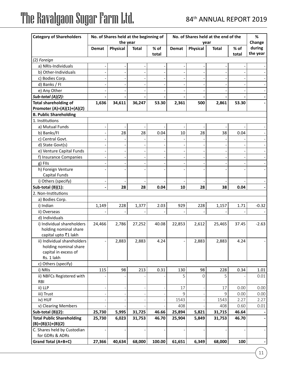| <b>Category of Shareholders</b>  |        | No. of Shares held at the beginning of<br>the year |              |               | No. of Shares held at the end of the<br>year |          | %<br>Change  |                 |                    |
|----------------------------------|--------|----------------------------------------------------|--------------|---------------|----------------------------------------------|----------|--------------|-----------------|--------------------|
|                                  | Demat  | <b>Physical</b>                                    | <b>Total</b> | % of<br>total | Demat                                        | Physical | <b>Total</b> | $%$ of<br>total | during<br>the year |
| (2) Foreign                      |        |                                                    |              |               |                                              |          |              |                 |                    |
| a) NRIs-Individuals              |        |                                                    |              |               |                                              |          |              |                 |                    |
| b) Other-Individuals             |        |                                                    |              |               |                                              |          |              |                 |                    |
| c) Bodies Corp.                  |        |                                                    |              |               |                                              |          |              |                 |                    |
| d) Banks / FI                    |        |                                                    |              |               |                                              |          |              |                 |                    |
| e) Any Other                     |        |                                                    |              |               |                                              |          |              |                 |                    |
| Sub-total (A)(2):                |        |                                                    |              |               |                                              |          |              |                 |                    |
| <b>Total shareholding of</b>     | 1,636  | 34,611                                             | 36,247       | 53.30         | 2,361                                        | 500      | 2,861        | 53.30           |                    |
| Promoter (A)=(A)(1)+(A)(2)       |        |                                                    |              |               |                                              |          |              |                 |                    |
| <b>B. Public Shareholding</b>    |        |                                                    |              |               |                                              |          |              |                 |                    |
| 1. Institutions                  |        |                                                    |              |               |                                              |          |              |                 |                    |
| a) Mutual Funds                  |        |                                                    |              |               |                                              |          |              |                 |                    |
| b) Banks/FI                      |        | 28                                                 | 28           | 0.04          | 10                                           | 28       | 38           | 0.04            |                    |
| c) Central Govt.                 |        |                                                    |              |               |                                              |          |              |                 |                    |
| d) State Govt(s)                 |        |                                                    |              |               |                                              |          |              |                 |                    |
| e) Venture Capital Funds         |        |                                                    |              |               |                                              |          |              |                 |                    |
| f) Insurance Companies           |        |                                                    |              |               |                                              |          |              |                 |                    |
| g) Fils                          |        |                                                    |              |               |                                              |          |              |                 |                    |
| h) Foreign Venture               |        |                                                    |              |               |                                              |          |              |                 |                    |
| Capital Funds                    |        |                                                    |              |               |                                              |          |              |                 |                    |
| i) Others (specify)              |        |                                                    |              |               |                                              |          |              |                 |                    |
| Sub-total (B)(1):                |        | 28                                                 | 28           | 0.04          | 10                                           | 28       | 38           | 0.04            |                    |
| 2. Non-Institutions              |        |                                                    |              |               |                                              |          |              |                 |                    |
| a) Bodies Corp.                  |        |                                                    |              |               |                                              |          |              |                 |                    |
| i) Indian                        | 1,149  | 228                                                | 1,377        | 2.03          | 929                                          | 228      | 1,157        | 1.71            | $-0.32$            |
| ii) Overseas                     |        |                                                    |              |               |                                              |          |              |                 |                    |
| d) Individuals                   |        |                                                    |              |               |                                              |          |              |                 |                    |
| i) Individual shareholders       | 24,466 | 2,786                                              | 27,252       | 40.08         | 22,853                                       | 2,612    | 25,465       | 37.45           | $-2.63$            |
| holding nominal share            |        |                                                    |              |               |                                              |          |              |                 |                    |
| capital upto ₹1 lakh             |        |                                                    |              |               |                                              |          |              |                 |                    |
| ii) Individual shareholders      |        | 2,883                                              | 2,883        | 4.24          |                                              | 2,883    | 2,883        | 4.24            |                    |
| holding nominal share            |        |                                                    |              |               |                                              |          |              |                 |                    |
| capital in excess of             |        |                                                    |              |               |                                              |          |              |                 |                    |
| Rs. 1 lakh                       |        |                                                    |              |               |                                              |          |              |                 |                    |
| c) Others (specify)              |        |                                                    |              |               |                                              |          |              |                 |                    |
| i) NRIs                          | 115    | 98                                                 | 213          | 0.31          | 130                                          | 98       | 228          | 0.34            | 1.01               |
| ii) NBFCs Registered with        |        |                                                    |              |               | 5                                            | $\Omega$ | 5            |                 | 0.01               |
| <b>RBI</b>                       |        |                                                    |              |               |                                              |          |              |                 |                    |
| ii) LLP                          |        |                                                    |              |               | 17                                           |          | 17           | 0.00            | 0.00               |
| iii) Trust                       |        |                                                    |              |               | $\mathsf{q}$                                 |          | 9            | 0.00            | 0.00               |
| iv) HUF                          |        |                                                    |              |               | 1543                                         |          | 1543         | 2.27            | 2.27               |
| v) Clearing Members              |        |                                                    |              |               | 408                                          |          | 408          | 0.60            | 0.01               |
| Sub-total (B)(2):                | 25,730 | 5,995                                              | 31,725       | 46.66         | 25,894                                       | 5,821    | 31,715       | 46.64           |                    |
| <b>Total Public Shareholding</b> | 25,730 | 6,023                                              | 31,753       | 46.70         | 25,904                                       | 5,849    | 31,753       | 46.70           |                    |
| $(B)=(B)(1)+(B)(2)$              |        |                                                    |              |               |                                              |          |              |                 |                    |
| C. Shares held by Custodian      |        |                                                    |              |               |                                              |          |              |                 |                    |
| for GDRs & ADRs                  |        |                                                    |              |               |                                              |          |              |                 |                    |
| Grand Total (A+B+C)              | 27,366 | 40,634                                             | 68,000       | 100.00        | 61,651                                       | 6,349    | 68,000       | 100             |                    |

 $\left(11\right)$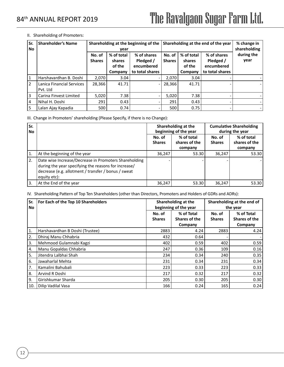#### II. Shareholding of Promoters:

| Sr.<br>No. | <b>Shareholder's Name</b>             | Shareholding at the beginning of the<br>year |                                                  |                                                           |                         | Shareholding at the end of the year       | % change in<br>shareholding                               |                    |
|------------|---------------------------------------|----------------------------------------------|--------------------------------------------------|-----------------------------------------------------------|-------------------------|-------------------------------------------|-----------------------------------------------------------|--------------------|
|            |                                       | No. of<br><b>Shares</b>                      | % of total<br><b>shares</b><br>of the<br>Company | % of shares<br>Pledged /<br>encumbered<br>to total shares | No. of<br><b>Shares</b> | % of total<br>shares<br>of the<br>Company | % of shares<br>Pledged /<br>encumbered<br>to total shares | during the<br>year |
|            | Harshavardhan B. Doshi                | 2,070                                        | 3.04                                             |                                                           | 2,070                   | 3.04                                      |                                                           |                    |
| 2          | Lanica Financial Services<br>Pvt. Ltd | 28,366                                       | 41.71                                            |                                                           | 28,366                  | 41.71                                     |                                                           |                    |
| 3          | Carina Finvest Limited                | 5,020                                        | 7.38                                             |                                                           | 5,020                   | 7.38                                      |                                                           |                    |
| 4          | Nihal H. Doshi                        | 291                                          | 0.43                                             |                                                           | 291                     | 0.43                                      |                                                           |                    |
| 5          | Lalan Ajay Kapadia                    | 500                                          | 0.74                                             |                                                           | 500                     | 0.75                                      |                                                           |                    |

III. Change in Promoters' shareholding (Please Specify, if there is no Change):

| Sr.<br><b>No</b> |                                                                                                                                                                                      |                         | Shareholding at the<br>beginning of the year | <b>Cumulative Shareholding</b><br>during the year |                                        |  |
|------------------|--------------------------------------------------------------------------------------------------------------------------------------------------------------------------------------|-------------------------|----------------------------------------------|---------------------------------------------------|----------------------------------------|--|
|                  |                                                                                                                                                                                      | No. of<br><b>Shares</b> | % of total<br>shares of the<br>company       | No. of<br><b>Shares</b>                           | % of total<br>shares of the<br>company |  |
|                  | At the beginning of the year                                                                                                                                                         | 36,247                  | 53.30                                        | 36,247                                            | 53.30                                  |  |
| 2.               | Date wise Increase/Decrease in Promoters Shareholding<br>during the year specifying the reasons for increase/<br>decrease (e.g. allotment / transfer / bonus / sweat<br>equity etc): |                         |                                              |                                                   |                                        |  |
| 3.               | At the End of the year                                                                                                                                                               | 36,247                  | 53.30                                        | 36,247                                            | 53.30                                  |  |

IV. Shareholding Pattern of Top Ten Shareholders (other than Directors, Promoters and Holders of GDRs and ADRs):

| Sr.<br><b>No</b> | For Each of the Top 10 Shareholders |                         | Shareholding at the<br>beginning of the year  | Shareholding at the end of<br>the year |                                        |  |
|------------------|-------------------------------------|-------------------------|-----------------------------------------------|----------------------------------------|----------------------------------------|--|
|                  |                                     | No. of<br><b>Shares</b> | % of Total<br><b>Shares of the</b><br>Company | No. of<br><b>Shares</b>                | % of Total<br>Shares of the<br>Company |  |
| $^{\prime}$ 1.   | Harshavardhan B Doshi (Trustee)     | 2883                    | 4.24                                          | 2883                                   | 4.24                                   |  |
| 2.               | Dhiraj Manu Chhabria                | 432                     | 0.64                                          |                                        |                                        |  |
| 3.               | Mehmood Gulamnabi Kagzi             | 402                     | 0.59                                          | 402                                    | 0.59                                   |  |
| 4.               | Manu Gopaldas Chhabria              | 247                     | 0.36                                          | 109                                    | 0.16                                   |  |
| 5.               | Jitendra Lalbhai Shah               | 234                     | 0.34                                          | 240                                    | 0.35                                   |  |
| 6.               | Jawaharlal Mehta                    | 231                     | 0.34                                          | 231                                    | 0.34                                   |  |
| 7.               | Kamalini Bahubali                   | 223                     | 0.33                                          | 223                                    | 0.33                                   |  |
| 8.               | Arvind R Doshi                      | 217                     | 0.32                                          | 217                                    | 0.32                                   |  |
| 9.               | Girishkumar Sharda                  | 205                     | 0.30                                          | 205                                    | 0.30                                   |  |
| 10.              | Dilip Vadilal Vasa                  | 166                     | 0.24                                          | 165                                    | 0.24                                   |  |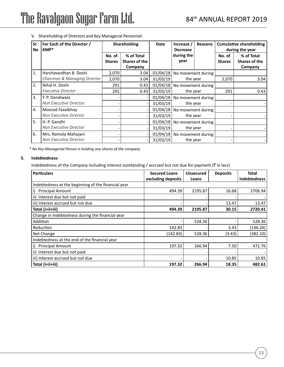| Sr<br>No     | For Each of the Director /<br>KMP* | <b>Cumulative shareholding</b><br><b>Shareholding</b><br><b>Date</b><br>Increase /<br>Reasons<br>during the year<br><b>Decrease</b> |                                        |          |                                         |          |                         |                                        |
|--------------|------------------------------------|-------------------------------------------------------------------------------------------------------------------------------------|----------------------------------------|----------|-----------------------------------------|----------|-------------------------|----------------------------------------|
|              |                                    | No. of<br><b>Shares</b>                                                                                                             | % of Total<br>Shares of the<br>Company |          | during the<br>year                      |          | No. of<br><b>Shares</b> | % of Total<br>Shares of the<br>Company |
| $\mathbf{1}$ | Harshavardhan B. Doshi             | 2,070                                                                                                                               | 3.04                                   |          | 01/04/18   No movement during           |          |                         |                                        |
|              | Chairman & Managing Director       | 2,070                                                                                                                               | 3.04                                   | 31/03/19 |                                         | the year |                         | 3.04                                   |
| 2.           | Nihal H. Doshi                     | 291                                                                                                                                 | 0.43                                   |          | 01/04/18 No movement during<br>the year |          |                         |                                        |
|              | <b>Executive Director</b>          | 291                                                                                                                                 | 0.43                                   | 31/03/19 |                                         |          | 291                     | 0.43                                   |
| 3.           | Y. P. Dandiwala                    |                                                                                                                                     |                                        |          | 01/04/18 No movement during             |          |                         |                                        |
|              | Non Executive Director             |                                                                                                                                     |                                        | 31/03/19 | the year                                |          |                         |                                        |
| 4.           | Moorad Fazalbhoy                   |                                                                                                                                     |                                        |          | 01/04/18 No movement during             |          |                         |                                        |
|              | Non Executive Director             |                                                                                                                                     |                                        | 31/03/19 | the year                                |          |                         |                                        |
| 5.           | H. P. Gandhi                       |                                                                                                                                     |                                        |          | 01/04/18 No movement during<br>the year |          |                         |                                        |
|              | Non Executive Director             |                                                                                                                                     |                                        | 31/03/19 |                                         |          |                         |                                        |
| 6.           | Mrs. Ramola Mahajani               |                                                                                                                                     |                                        |          | 01/04/18 No movement during             |          |                         |                                        |
|              | Non Executive Director             |                                                                                                                                     |                                        | 31/03/19 | the year                                |          |                         |                                        |

V. Shareholding of Directors and Key Managerial Personnel:

*\* No Key Managerial Person is holding any shares of the company*

#### **5. Indebtedness:**

Indebtedness of the Company including interest outstanding / accrued but not due for payment ( $\bar{z}$  in lacs)

| <b>Particulars</b>                                  | <b>Secured Loans</b> | <b>Unsecured</b> | <b>Deposits</b> | Total        |
|-----------------------------------------------------|----------------------|------------------|-----------------|--------------|
|                                                     | excluding deposits   | Loans            |                 | Indebtedness |
| Indebtedness at the beginning of the financial year |                      |                  |                 |              |
| <b>Principal Amount</b><br>i)                       | 494.39               | 2195.87          | 16.68           | 2706.94      |
| ii) Interest due but not paid                       |                      |                  |                 |              |
| iii) Interest accrued but not due                   |                      |                  | 13.47           | 13.47        |
| Total (i+ii+iii)                                    | 494.39               | 2195.87          | 30.15           | 2720.41      |
| Change in Indebtedness during the financial year    |                      |                  |                 |              |
| Addition                                            |                      | 528.36           |                 | 528.36       |
| Reduction                                           | 142.83               |                  | 3.43            | (146.26)     |
| Net Change                                          | (142.83)             | 528.36           | (3.43)          | (382.10)     |
| Indebtedness at the end of the financial year       |                      |                  |                 |              |
| <b>Principal Amount</b><br>i)                       | 197.32               | 266.94           | 7.50            | 471.76       |
| ii) Interest due but not paid                       |                      |                  |                 |              |
| iii) Interest accrued but not due                   |                      |                  | 10.85           | 10.85        |
| Total (i+ii+iii)                                    | 197.32               | 266.94           | 18.35           | 482.61       |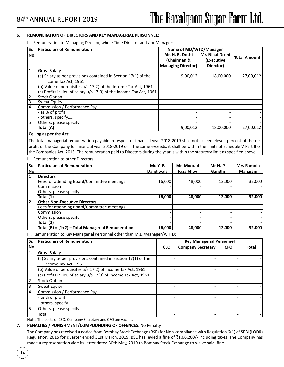#### **6. REMUNERATION OF DIRECTORS AND KEY MANAGERIAL PERSONNEL:**

I. Remuneration to Managing Director, whole Time Director and / or Manager:

| <b>Particulars of Remuneration</b>                                  | Name of MD/WTD/Manager    |                 |                     |
|---------------------------------------------------------------------|---------------------------|-----------------|---------------------|
|                                                                     | Mr. H. B. Doshi           | Mr. Nihal Doshi |                     |
|                                                                     | (Chairman &               | (Executive      | <b>Total Amount</b> |
|                                                                     | <b>Managing Director)</b> | Director)       |                     |
| Gross Salary                                                        |                           |                 |                     |
| (a) Salary as per provisions contained in Section 17(1) of the      | 9,00,012                  | 18,00,000       | 27,00,012           |
| Income Tax Act, 1961                                                |                           |                 |                     |
| (b) Value of perquisites u/s 17(2) of the Income Tax Act, 1961      |                           |                 |                     |
| (c) Profits in lieu of salary u/s 17(3) of the Income Tax Act, 1961 |                           |                 |                     |
| <b>Stock Option</b>                                                 |                           |                 |                     |
| Sweat Equity                                                        |                           |                 |                     |
| Commission / Performance Pay                                        |                           |                 |                     |
| - as % of profit                                                    |                           |                 |                     |
| - others, specify                                                   |                           |                 |                     |
| Others, please specify                                              |                           |                 |                     |
| Total (A)                                                           | 9,00,012                  | 18,00,000       | 27,00,012           |
|                                                                     | Cailing as new that Astr  |                 |                     |

#### **Ceiling as per the Act:**

The total managerial remuneration payable in respect of financial year 2018-2019 shall not exceed eleven percent of the net profit of the Company for financial year 2018-2019 or if the same exceeds, it shall be within the limits of Schedule V Part II of the Companies Act, 2013. The remuneration paid to Directors during the year is within the statutory limit as specified above.

#### II. Remuneration to other Directors:

| Sr. | <b>Particulars of Remuneration</b>                  | Mr. Y. P.        | Mr. Moorad | <b>Mr H. P.</b> | <b>Mrs Ramola</b> |
|-----|-----------------------------------------------------|------------------|------------|-----------------|-------------------|
| No. |                                                     | <b>Dandiwala</b> | Fazalbhoy  | Gandhi          | Mahajani          |
|     | <b>Directors</b>                                    |                  |            |                 |                   |
|     | Fees for attending Board/Committee meetings         | 16,000           | 48,000     | 12,000          | 32,000            |
|     | Commission                                          |                  |            |                 |                   |
|     | Others, please specify                              |                  |            |                 |                   |
|     | Total (1)                                           | 16,000           | 48.000     | 12.000          | 32,000            |
| 2   | <b>Other Non-Executive Directors</b>                |                  |            |                 |                   |
|     | Fees for attending Board/Committee meetings         |                  |            |                 |                   |
|     | Commission                                          |                  |            |                 |                   |
|     | Others, please specify                              |                  |            |                 |                   |
|     | Total (2)                                           |                  |            |                 |                   |
|     | Total (B) = $(1+2)$ – Total Managerial Remuneration | 16,000           | 48,000     | 12,000          | 32,000            |

III. Remuneration to Key Managerial Personnel other than M.D./Manager/W T D:

| Sr.            | <b>Particulars of Remuneration</b>                               | <b>Key Managerial Personnel</b> |                          |            |              |  |
|----------------|------------------------------------------------------------------|---------------------------------|--------------------------|------------|--------------|--|
| No             |                                                                  | <b>CEO</b>                      | <b>Company Secretary</b> | <b>CFO</b> | <b>Total</b> |  |
| 1.             | <b>Gross Salary</b>                                              |                                 |                          |            |              |  |
|                | (a) Salary as per provisions contained in section $17(1)$ of the |                                 |                          |            |              |  |
|                | Income Tax Act, 1961                                             |                                 |                          |            |              |  |
|                | (b) Value of perquisites u/s 17(2) of Income Tax Act, 1961       |                                 |                          |            |              |  |
|                | (c) Profits in lieu of salary u/s 17(3) of Income Tax Act, 1961  |                                 |                          |            |              |  |
| $\overline{2}$ | <b>Stock Option</b>                                              |                                 |                          |            |              |  |
| 3              | Sweat Equity                                                     |                                 |                          |            |              |  |
| 4              | Commission / Performance Pay                                     |                                 |                          |            |              |  |
|                | - as % of profit                                                 |                                 |                          |            |              |  |
|                | - others, specify                                                |                                 |                          |            |              |  |
| 5              | Others, please specify                                           |                                 |                          |            |              |  |
|                | <b>Total</b>                                                     |                                 |                          |            |              |  |

Note: The posts of CEO, Company Secretary and CFO are vacant.

#### **7. PENALTIES / PUNISHMENT/COMPOUNDING OF OFFENCES:** No Penalty

The Company has received a notice from Bombay Stock Exchange (BSE) for Non-compliance with Regulation 6(1) of SEBI (LODR) Regulation, 2015 for quarter ended 31st March, 2019. BSE has levied a fine of  $\bar{c}1,06,200/$ - including taxes .The Company has made a representation vide its letter dated 30th May, 2019 to Bombay Stock Exchange to waive said fine.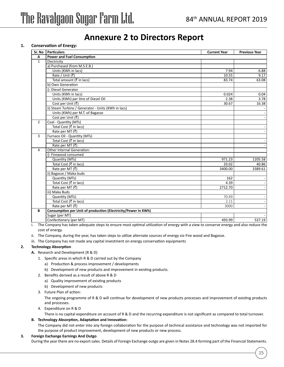## **Annexure 2 to Directors Report**

#### **1. Conservation of Energy:**

| Sr. No         | <b>Particulars</b>                                            | <b>Current Year</b> | <b>Previous Year</b> |
|----------------|---------------------------------------------------------------|---------------------|----------------------|
| Α              | <b>Power and Fuel Consumption</b>                             |                     |                      |
| $\mathbf{1}$   | Electricity                                                   |                     |                      |
|                | a) Purchased (from M.S.E.B.)                                  |                     |                      |
|                | Units (KWh in lacs)                                           | 7.94                | 6.88                 |
|                | Rate / Unit (₹)                                               | 10.55               | 9.17                 |
|                | Total amount (₹ in lacs)                                      | 83.74               | 63.08                |
|                | b) Own Generation                                             |                     |                      |
|                | <b>Diesel Generator</b>                                       |                     |                      |
|                | Units (KWh in lacs)                                           | 0.024               | 0.04                 |
|                | Units (KWh) per litre of Diesel Oil                           | 2.38                | 3.78                 |
|                | Cost per Unit (₹)                                             | 30.67               | 16.38                |
|                | ii) Steam Turbine / Generator - Units (KWh in lacs)           |                     |                      |
|                | Units (KWh) per M.T. of Bagasse                               |                     |                      |
|                | Cost per Unit (₹)                                             |                     |                      |
| $\overline{2}$ | Coal - Quantity (MTs)                                         |                     |                      |
|                | Total Cost (₹ in lacs)                                        |                     |                      |
|                | Rate per MT (₹)                                               |                     |                      |
| 3              | Furnace Oil - Quantity (MTs)                                  |                     |                      |
|                | Total Cost (₹ in lacs)                                        |                     |                      |
|                | Rate per MT (₹)                                               |                     |                      |
| 4              | Other Internal Generation:                                    |                     |                      |
|                | i) Firewood consumed                                          |                     |                      |
|                | Quantity (MTs)                                                | 971.23              | 1205.58              |
|                | Total Cost (₹ in lacs)                                        | 33.02               | 40.86                |
|                | Rate per MT $(\overline{\overline{\zeta}})$                   | 3400.00             | 3389.61              |
|                | ii) Bagasse / Maka buds                                       |                     |                      |
|                | Quantity (MTs)                                                | 162                 |                      |
|                | Total Cost (₹ in lacs)                                        | 4.39                |                      |
|                | Rate per MT $(\overline{\overline{\zeta}})$                   | 2712.70             |                      |
|                | iii) Maka Buds                                                |                     |                      |
|                | Quantity (MTs)                                                | 70.49               |                      |
|                | Total Cost (₹ in lacs)                                        | 2.11                |                      |
|                | Rate per MT (₹)                                               | 3000                |                      |
| B              | Consumption per Unit of production (Electricity/Power in KWh) |                     |                      |
|                | Sugar (per MT)                                                |                     |                      |
|                | Confectionery (per MT)                                        | 493.99              | 537.19               |

i. The Company has taken adequate steps to ensure most optimal utilization of energy with a view to conserve energy and also reduce the cost of energy.

ii. The Company, during the year, has taken steps to utilize alternate sources of energy viz-Fire wood and Bagasse.

iii. The Company has not made any capital investment on energy conservation equipments

#### **2. Technology Absorption**

- **A.** Research and Development (R & D)
	- 1. Specific areas in which R & D carried out by the Company
		- a) Production & process improvement / developments
		- b) Development of new products and improvement in existing products.
	- 2. Benefits derived as a result of above R & D
		- a) Quality improvement of existing products
		- b) Development of new products
	- 3. Future Plan of action:

The ongoing programme of R & D will continue for development of new products processes and improvement of existing products and processes.

4. Expenditure on R & D

There is no capital expenditure on account of R & D and the recurring expenditure is not significant as compared to total turnover.

#### **B. Technology Absorption, Adaptation and Innovation:**

The Company did not enter into any foreign collaboration for the purpose of technical assistance and technology was not imported for the purpose of product improvement, development of new products or new process.

#### **3. Foreign Exchange Earnings And Outgo**

During the year there are no export sales. Details of Foreign Exchange outgo are given in Notes 28.4 forming part of the Financial Statements.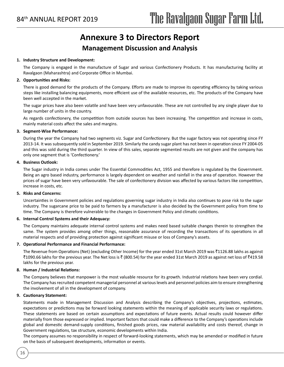## **Annexure 3 to Directors Report**

### **Management Discussion and Analysis**

#### **1. Industry Structure and Development:**

The Company is engaged in the manufacture of Sugar and various Confectionery Products. It has manufacturing facility at Ravalgaon (Maharashtra) and Corporate Office in Mumbai.

#### **2. Opportunities and Risks:**

There is good demand for the products of the Company. Efforts are made to improve its operating efficiency by taking various steps like installing balancing equipments, more efficient use of the available resources, etc. The products of the Company have been well accepted in the market.

The sugar prices have also been volatile and have been very unfavourable. These are not controlled by any single player due to large number of units in the country.

As regards confectionery, the competition from outside sources has been increasing. The competition and increase in costs, mainly material costs affect the sales and margins.

#### **3. Segment-Wise Performance:**

During the year the Company had two segments viz. Sugar and Confectionery. But the sugar factory was not operating since FY 2013-14. It was subsequently sold in September 2019. Similarly the candy sugar plant has not been in operation since FY 2004-05 and this was sold during the third quarter. In view of this sales, separate segmented results are not given and the company has only one segment that is 'Confectionery.'

#### **4. Business Outlook:**

The Sugar industry in India comes under The Essential Commodities Act, 1955 and therefore is regulated by the Government. Being an agro based industry, performance is largely dependent on weather and rainfall in the area of operation. However the prices of sugar have been very unfavourable. The sale of confectionery division was affected by various factors like competition, increase in costs, etc.

#### **5. Risks and Concerns:**

Uncertainties in Government policies and regulations governing sugar industry in India also continues to pose risk to the sugar industry. The sugarcane price to be paid to farmers by a manufacturer is also decided by the Government policy from time to time. The Company is therefore vulnerable to the changes in Government Policy and climatic conditions.

#### **6. Internal Control Systems and their Adequacy:**

The Company maintains adequate internal control systems and makes need based suitable changes therein to strengthen the same. The system provides among other things, reasonable assurance of recording the transactions of its operations in all material respects and of providing protection against significant misuse or loss of Company's assets.

#### **7. Operational Performance and Financial Performance:**

The Revenue from Operations (Net) (excluding Other Income) for the year ended 31st March 2019 was ₹1126.88 lakhs as against ₹1090.66 lakhs for the previous year. The Net loss is ₹ (800.54) for the year ended 31st March 2019 as against net loss of ₹419.58 lakhs for the previous year.

#### **8. Human / Industrial Relations:**

The Company believes that manpower is the most valuable resource for its growth. Industrial relations have been very cordial. The Company has recruited competent managerial personnel at various levels and personnel policies aim to ensure strengthening the involvement of all in the development of company.

#### **9. Cautionary Statement:**

16

Statements made in Management Discussion and Analysis describing the Company's objectives, projections, estimates, expectations or predictions may be forward looking statements within the meaning of applicable security laws or regulations. These statements are based on certain assumptions and expectations of future events. Actual results could however differ materially from those expressed or implied. Important factors that could make a difference to the Company's operations include global and domestic demand-supply conditions, finished goods prices, raw material availability and costs thereof, change in Government regulations, tax structure, economic developments within India.

The company assumes no responsibility in respect of forward-looking statements, which may be amended or modified in future on the basis of subsequent developments, information or events.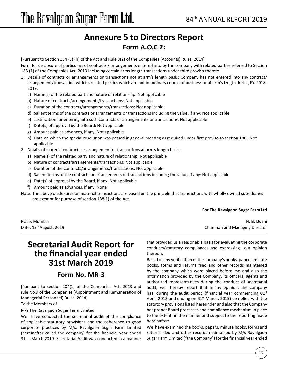## **Annexure 5 to Directors Report Form A.O.C 2:**

[Pursuant to Section 134 (3) (h) of the Act and Rule 8(2) of the Companies (Accounts) Rules, 2014]

Form for disclosure of particulars of contracts / arrangements entered into by the company with related parties referred to Section 188 (1) of the Companies Act, 2013 including certain arms length transactions under third proviso thereto

- 1. Details of contracts or arrangements or transactions not at arm's length basis: Company has not entered into any contract/ arrangement/transaction with its related parties which are not in ordinary course of business or at arm's length during F.Y. 2018- 2019.
	- a) Name(s) of the related part and nature of relationship: Not applicable
	- b) Nature of contracts/arrangements/transactions: Not applicable
	- c) Duration of the contracts/arrangements/transactions: Not applicable
	- d) Salient terms of the contracts or arrangements or transactions including the value, if any: Not applicable
	- e) Justification for entering into such contracts or arrangements or transactions: Not applicable
	- f) Date(s) of approval by the Board: Not applicable
	- g) Amount paid as advances, if any: Not applicable
	- h) Date on which the special resolution was passed in general meeting as required under first proviso to section 188 : Not applicable
- 2. Details of material contracts or arrangement or transactions at arm's length basis:
	- a) Name(s) of the related party and nature of relationship: Not applicable
	- b) Nature of contracts/arrangements/transactions: Not applicable
	- c) Duration of the contracts/arrangements/transactions: Not applicable
	- d) Salient terms of the contracts or arrangements or transactions including the value, if any: Not applicable
	- e) Date(s) of approval by the Board, if any: Not applicable
	- f) Amount paid as advances, if any: None
- Note: The above disclosures on material transactions are based on the principle that transactions with wholly owned subsidiaries are exempt for purpose of section 188(1) of the Act.

#### **For The Ravalgaon Sugar Farm Ltd**

## **Secretarial Audit Report for the financial year ended 31st March 2019**

### **Form No. MR-3**

[Pursuant to section 204(1) of the Companies Act, 2013 and rule No.9 of the Companies (Appointment and Remuneration of Managerial Personnel) Rules, 2014]

#### To the Members of

M/s The Ravalgaon Sugar Farm Limited

We have conducted the secretarial audit of the compliance of applicable statutory provisions and the adherence to good corporate practices by M/s. Ravalgaon Sugar Farm Limited (hereinafter called the company) for the financial year ended 31 st March 2019. Secretarial Audit was conducted in a manner

Place: Mumbai **H. B. Doshi** Date: 13th August, 2019 Chairman and Managing Director

> that provided us a reasonable basis for evaluating the corporate conducts/statutory compliances and expressing our opinion thereon.

> Based on my verification of the company's books, papers, minute books, forms and returns filed and other records maintained by the company which were placed before me and also the information provided by the Company, its officers, agents and authorized representatives during the conduct of secretarial audit, we hereby report that in my opinion, the company has, during the audit period (financial year commencing  $01<sup>st</sup>$ April, 2018 and ending on  $31<sup>st</sup>$  March, 2019) complied with the statutory provisions listed hereunder and also that the Company has proper Board processes and compliance mechanism in place to the extent, in the manner and subject to the reporting made hereinafter:

> We have examined the books, papers, minute books, forms and returns filed and other records maintained by M/s Ravalgaon Sugar Farm Limited ("the Company") for the financial year ended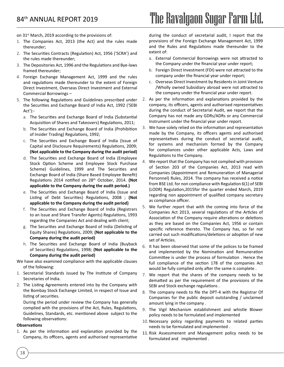on 31<sup>st</sup> March, 2019 according to the provisions of:

- 1. The Companies Act, 2013 (the Act) and the rules made thereunder;
- 2. The Securities Contracts (Regulation) Act, 1956 ('SCRA') and the rules made thereunder;
- 3. The Depositories Act, 1996 and the Regulations and Bye-laws framed thereunder;
- 4. Foreign Exchange Management Act, 1999 and the rules and regulations made thereunder to the extent of Foreign Direct Investment, Overseas Direct Investment and External Commercial Borrowings –
- 5. The following Regulations and Guidelines prescribed under the Securities and Exchange Board of India Act, 1992 ('SEBI Act'):
	- a. The Securities and Exchange Board of India (Substantial Acquisition of Shares and Takeovers) Regulations, 2011;
	- b. The Securities and Exchange Board of India (Prohibition of Insider Trading) Regulations, 1992;
	- c. The Securities and Exchange Board of India (Issue of Capital and Disclosure Requirements) Regulations, 2009; **(Not applicable to the Company during the audit period)**
	- d. The Securities and Exchange Board of India (Employee Stock Option Scheme and Employee Stock Purchase Scheme) Guidelines, 1999 and The Securities and Exchange Board of India (Share Based Employee Benefit) Regulations 2014 notified on 28th October, 2014. **(Not applicable to the Company during the audit period.)**
	- e. The Securities and Exchange Board of India (Issue and Listing of Debt Securities) Regulations, 2008 ; **(Not applicable to the Company during the audit period)**
	- f. The Securities and Exchange Board of India (Registrars to an Issue and Share Transfer Agents) Regulations, 1993 regarding the Companies Act and dealing with client;
	- g. The Securities and Exchange Board of India (Delisting of Equity Shares) Regulations, 2009; **(Not applicable to the Company during the audit period)**
	- h. The Securities and Exchange Board of India (Buyback of Securities) Regulations, 1998; **(Not applicable to the Company during the audit period)**
- We have also examined compliance with the applicable clauses of the following:
- 1. Secretarial Standards issued by The Institute of Company Secretaries of India.
- 2. The Listing Agreements entered into by the Company with the Bombay Stock Exchange Limited, in respect of Issue and listing of securities.

During the period under review the Company has generally complied with the provisions of the Act, Rules, Regulations, Guidelines, Standards, etc. mentioned above subject to the following observations:

#### **Observations**

18

1. As per the information and explanation provided by the Company, its officers, agents and authorised representative during the conduct of secretarial audit, I report that the provisions of the Foreign Exchange Management Act, 1999 and the Rules and Regulations made thereunder to the extent of:

- a. External Commercial Borrowings were not attracted to the Company under the financial year under report;
- b. Foreign Direct Investment (FDI) were not attracted to the company under the financial year under report;
- c. Overseas Direct Investment by Residents in Joint Venture /Wholly owned Subsidiary abroad were not attracted to the company under the financial year under report.
- 2. As per the information and explanations provided by the company, its officers, agents and authorised representatives during the conduct of Secretarial Audit, we report that the Company has not made any GDRs/ADRs or any Commercial Instrument under the financial year under report.
- 3. We have solely relied on the information and representation made by the Company, its officers agents and authorised representatives during the conduct of secretarial audit, for systems and mechanism formed by the Company for compliances under other applicable Acts, Laws and Regulations to the Company.
- 4. We report that the Company has not complied with provision of Section 203 of the Companies Act, 2013 read with Companies (Appointment and Remuneration of Managerial Personnel) Rules, 2014. The company has received a notice from BSE Ltd. for non compliance with Regulation 6(1) of SEBI (LODR) Regulation,2015for the quarter ended March, 2019 regarding non appointment of qualified company secretary as compliance officer.
- 5. We further report that with the coming into force of the Companies Act 2013, several regulations of the Articles of Association of the Company require alterations or deletions as they are based on the Companies Act, 1956 or contain specific reference thereto. The Company has, so far not carried out such modifications/deletions or adoption of new set of Articles.
- 6. It has been observed that some of the polices to be framed and implemented by the Nomination and Remuneration Committee is under the process of formulation . Hence the full compliance of the section 178 of the companies Act would be fully complied only after the same is complete .
- 7. We report that the shares of the company needs to be dematted as per the requirement of the provisions of the SEBI and Stock exchange regulations .
- 8. The company needs to file the DPT-4 with the Registrar Of Companies for the public deposit outstanding / unclaimed amount lying in the company .
- 9. The Vigil Mechanism establishment and whistle Blower policy needs to be formulated and implemented
- 10.Necessary policy regarding payments to related parties needs to be formulated and implemented .
- 11. Risk Assessmenent and Management policy needs to be formulated and implemented .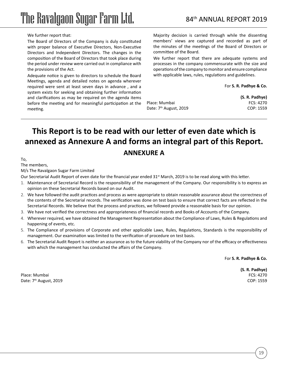#### We further report that:

The Board of Directors of the Company is duly constituted with proper balance of Executive Directors, Non-Executive Directors and Independent Directors. The changes in the composition of the Board of Directors that took place during the period under review were carried out in compliance with the provisions of the Act.

Adequate notice is given to directors to schedule the Board Meetings, agenda and detailed notes on agenda wherever required were sent at least seven days in advance , and a system exists for seeking and obtaining further information and clarifications as may be required on the agenda items before the meeting and for meaningful participation at the meeting.

Majority decision is carried through while the dissenting members' views are captured and recorded as part of the minutes of the meetings of the Board of Directors or committee of the Board.

We further report that there are adequate systems and processes in the company commensurate with the size and operations of the company to monitor and ensure compliance with applicable laws, rules, regulations and guidelines.

#### For **S. R. Padhye & Co.**

**(S. R. Padhye)** Place: Mumbai FCS: 4270 Date: 7<sup>th</sup> August, 2019 **COP: 1559** 

## **This Report is to be read with our letter of even date which is annexed as Annexure A and forms an integral part of this Report. ANNEXURE A**

To,

The members,

M/s The Ravalgaon Sugar Farm Limited

Our Secretarial Audit Report of even date for the financial year ended 31<sup>st</sup> March, 2019 is to be read along with this letter.

- 1. Maintenance of Secretarial Record is the responsibility of the management of the Company. Our responsibility is to express an opinion on these Secretarial Records based on our Audit.
- 2. We have followed the audit practices and process as were appropriate to obtain reasonable assurance about the correctness of the contents of the Secretarial records. The verification was done on test basis to ensure that correct facts are reflected in the Secretarial Records. We believe that the process and practices, we followed provide a reasonable basis for our opinion.
- 3. We have not verified the correctness and appropriateness of financial records and Books of Accounts of the Company.
- 4. Wherever required, we have obtained the Management Representation about the Compliance of Laws, Rules & Regulations and happening of events, etc.
- 5. The Compliance of provisions of Corporate and other applicable Laws, Rules, Regulations, Standards is the responsibility of management. Our examination was limited to the verification of procedure on test basis.
- 6. The Secretarial Audit Report is neither an assurance as to the future viability of the Company nor of the efficacy or effectiveness with which the management has conducted the affairs of the Company.

For **S. R. Padhye & Co.**

Place: Mumbai FCS: 4270 Date: 7th August, 2019 COP: 1559

**(S. R. Padhye)**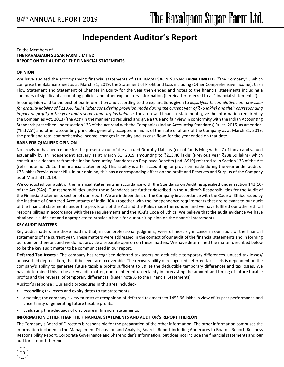## **Independent Auditor's Report**

#### To the Members of **THE RAVALGAON SUGAR FARM LIMITED REPORT ON THE AUDIT OF THE FINANCIAL STATEMENTS**

#### **OPINION**

We have audited the accompanying financial statements of **THE RAVALGAON SUGAR FARM LIMITED** ("the Company"), which comprise the Balance Sheet as at March 31, 2019, the Statement of Profit and Loss including (Other Comprehensive Income), Cash Flow Statement and Statement of Changes in Equity for the year then ended and notes to the financial statements including a summary of significant accounting policies and other explanatory information (hereinafter referred to as 'financial statements.')

In our opinion and to the best of our information and according to the explanations given to us,*subject to cumulative non- provision for gratuity liability of* `*213.46 lakhs (after considering provision made during the current year of* `*75 lakhs) and their corresponding impact on profit for the year and reserves and surplus balance*, the aforesaid financial statements give the information required by the Companies Act, 2013 ('the Act') in the manner so required and give a true and fair view in conformity with the Indian Accounting Standards prescribed under section 133 of the Act read with the Companies (Indian Accounting Standards) Rules, 2015, as amended, ("Ind AS") and other accounting principles generally accepted in India, of the state of affairs of the Company as at March 31, 2019, the profit and total comprehensive income, changes in equity and its cash flows for the year ended on that date.

#### **BASIS FOR QUALIFIED OPINION**

No provision has been made for the present value of the accrued Gratuity Liability (net of funds lying with LIC of India) and valued actuarially by an independent actuary as at March 31, 2019 amounting to ₹213.46 lakhs (Previous year ₹288.69 lakhs) which constitutes a departure from the Indian Accounting Standards on Employee Benefits (Ind. AS19) referred to in Section 133 of the Act (refer note no. 26.1of the financial statements). This liability is after accounting for provision made during the year under audit of `75 lakhs (Previous year Nil). In our opinion, this has a corresponding effect on the profit and Reserves and Surplus of the Company as at March 31, 2019.

We conducted our audit of the financial statements in accordance with the Standards on Auditing specified under section 143(10) of the Act (SAs). Our responsibilities under those Standards are further described in the Auditor's Responsibilities for the Audit of the Financial Statements section of our report. We are independent of the Company in accordance with the Code of Ethics issued by the Institute of Chartered Accountants of India (ICAI) together with the independence requirements that are relevant to our audit of the financial statements under the provisions of the Act and the Rules made thereunder, and we have fulfilled our other ethical responsibilities in accordance with these requirements and the ICAI's Code of Ethics. We believe that the audit evidence we have obtained is sufficient and appropriate to provide a basis for our audit opinion on the financial statements.

#### **KEY AUDIT MATTERS**

20

Key audit matters are those matters that, in our professional judgment, were of most significance in our audit of the financial statements of the current year. These matters were addressed in the context of our audit of the financial statements and in forming our opinion thereon, and we do not provide a separate opinion on these matters. We have determined the matter described below to be the key audit matter to be communicated in our report.

**Deferred Tax Assets :** The company has recognised deferred tax assets on deductible temporary differences, unused tax losses/ unabsorbed depreciation, that it believes are recoverable. The recoverability of recognized deferred tax assets is dependent on the company's ability to generate future taxable profits sufficient to utilize the deductible temporary differences and tax losses. We have determined this to be a key audit matter, due to inherent uncertainty in forecasting the amount and timing of future taxable profits and the reversal of temporary differences. (Refer note .6 to the Financial Statements)

Auditor's response : Our audit procedures in this area included-

- • reconciling tax losses and expiry dates to tax statements
- assessing the company's view to restrict recognition of deferred tax assets to  $\bar{z}$ 458.96 lakhs in view of its past performance and uncertainty of generating future taxable profits.
- Evaluating the adequacy of disclosure in financial statements.

#### **INFORMATION OTHER THAN THE FINANCIAL STATEMENTS AND AUDITOR'S REPORT THEREON**

The Company's Board of Directors is responsible for the preparation of the other information. The other information comprises the information included in the Management Discussion and Analysis, Board's Report including Annexures to Board's Report, Business Responsibility Report, Corporate Governance and Shareholder's Information, but does not include the financial statements and our auditor's report thereon.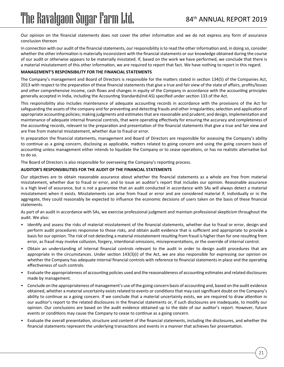Our opinion on the financial statements does not cover the other information and we do not express any form of assurance conclusion thereon

In connection with our audit of the financial statements, our responsibility is to read the other information and, in doing so, consider whether the other information is materially inconsistent with the financial statements or our knowledge obtained during the course of our audit or otherwise appears to be materially misstated. If, based on the work we have performed, we conclude that there is a material misstatement of this other information, we are required to report that fact. We have nothing to report in this regard.

#### **MANAGEMENT'S RESPONSIBILITY FOR THE FINANCIAL STATEMENTS**

The Company's management and Board of Directors is responsible for the matters stated in section 134(5) of the Companies Act, 2013 with respect to the preparation of these financial statements that give a true and fair view of the state of affairs, profits/losses and other comprehensive income, cash flows and changes in equity of the Company in accordance with the accounting principles generally accepted in India, including the Accounting Standards(Ind AS) specified under section 133 of the Act.

This responsibility also includes maintenance of adequate accounting records in accordance with the provisions of the Act for safeguarding the assets of the company and for preventing and detecting frauds and other irregularities; selection and application of appropriate accounting policies; making judgments and estimates that are reasonable and prudent; and design, implementation and maintenance of adequate internal financial controls, that were operating effectively for ensuring the accuracy and completeness of the accounting records, relevant to the preparation and presentation of the financial statements that give a true and fair view and are free from material misstatement, whether due to fraud or error.

In preparation the financial statements, management and Board of Directors are responsible for assessing the Company's ability to continue as a going concern, disclosing as applicable, matters related to going concern and using the going concern basis of accounting unless management either intends to liquidate the Company or to cease operations, or has no realistic alternative but to do so.

The Board of Directors is also responsible for overseeing the Company's reporting process.

#### **AUDITOR'S RESPONSIBILITIES FOR THE AUDIT OF THE FINANCIAL STATEMENTS**

Our objectives are to obtain reasonable assurance about whether the financial statements as a whole are free from material misstatement, whether due to fraud or error, and to issue an auditor's report that includes our opinion. Reasonable assurance is a high level of assurance, but is not a guarantee that an audit conducted in accordance with SAs will always detect a material misstatement when it exists. Misstatements can arise from fraud or error and are considered material if, individually or in the aggregate, they could reasonably be expected to influence the economic decisions of users taken on the basis of these financial statements.

As part of an audit in accordance with SAs, we exercise professional judgment and maintain professional skepticism throughout the audit. We also:

- Identify and assess the risks of material misstatement of the financial statements, whether due to fraud or error, design and perform audit procedures responsive to those risks, and obtain audit evidence that is sufficient and appropriate to provide a basis for our opinion. The risk of not detecting a material misstatement resulting from fraud is higher than for one resulting from error, as fraud may involve collusion, forgery, intentional omissions, misrepresentations, or the override of internal control.
- Obtain an understanding of internal financial controls relevant to the audit in order to design audit procedures that are appropriate in the circumstances. Under section 143(3)(i) of the Act, we are also responsible for expressing our opinion on whether the Company has adequate internal financial controls with reference to financial statements in place and the operating effectiveness of such controls.
- Evaluate the appropriateness of accounting policies used and the reasonableness of accounting estimates and related disclosures made by management.
- Conclude on the appropriateness of management's use of the going concern basis of accounting and, based on the audit evidence obtained, whether a material uncertainty exists related to events or conditions that may cast significant doubt on the Company's ability to continue as a going concern. If we conclude that a material uncertainty exists, we are required to draw attention in our auditor's report to the related disclosures in the financial statements or, if such disclosures are inadequate, to modify our opinion. Our conclusions are based on the audit evidence obtained up to the date of our auditor's report. However, future events or conditions may cause the Company to cease to continue as a going concern.
- Evaluate the overall presentation, structure and content of the financial statements, including the disclosures, and whether the financial statements represent the underlying transactions and events in a manner that achieves fair presentation.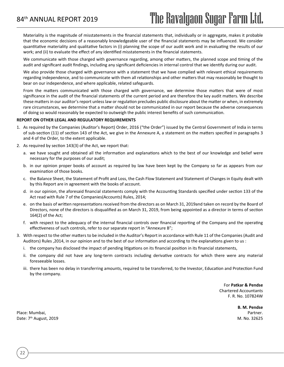Materiality is the magnitude of misstatements in the financial statements that, individually or in aggregate, makes it probable that the economic decisions of a reasonably knowledgeable user of the financial statements may be influenced. We consider quantitative materiality and qualitative factors in (i) planning the scope of our audit work and in evaluating the results of our work; and (ii) to evaluate the effect of any identified misstatements in the financial statements.

We communicate with those charged with governance regarding, among other matters, the planned scope and timing of the audit and significant audit findings, including any significant deficiencies in internal control that we identify during our audit.

We also provide those charged with governance with a statement that we have complied with relevant ethical requirements regarding independence, and to communicate with them all relationships and other matters that may reasonably be thought to bear on our independence, and where applicable, related safeguards.

From the matters communicated with those charged with governance, we determine those matters that were of most significance in the audit of the financial statements of the current period and are therefore the key audit matters. We describe these matters in our auditor's report unless law or regulation precludes public disclosure about the matter or when, in extremely rare circumstances, we determine that a matter should not be communicated in our report because the adverse consequences of doing so would reasonably be expected to outweigh the public interest benefits of such communication.

#### **REPORT ON OTHER LEGAL AND REGULATORY REQUIREMENTS**

- 1. As required by the Companies (Auditor's Report) Order, 2016 ("the Order") issued by the Central Government of India in terms of sub-section (11) of section 143 of the Act, we give in the Annexure A, a statement on the matters specified in paragraphs 3 and 4 of the Order, to the extent applicable.
- 2. As required by section 143(3) of the Act, we report that:
	- a. we have sought and obtained all the information and explanations which to the best of our knowledge and belief were necessary for the purposes of our audit;
	- b. in our opinion proper books of account as required by law have been kept by the Company so far as appears from our examination of those books.
	- c. the Balance Sheet, the Statement of Profit and Loss, the Cash Flow Statement and Statement of Changes in Equity dealt with by this Report are in agreement with the books of account.
	- d. in our opinion, the aforesaid financial statements comply with the Accounting Standards specified under section 133 of the Act read with Rule 7 of the Companies(Accounts) Rules, 2014;
	- e. on the basis of written representations received from the directors as on March 31, 2019and taken on record by the Board of Directors, none of the directors is disqualified as on March 31, 2019, from being appointed as a director in terms of section 164(2) of the Act;
	- f. with respect to the adequacy of the internal financial controls over financial reporting of the Company and the operating effectiveness of such controls, refer to our separate report in "Annexure B";
- 3. With respect to the other matters to be included in the Auditor's Report in accordance with Rule 11 of the Companies (Audit and Auditors) Rules ,2014, in our opinion and to the best of our information and according to the explanations given to us :
	- i. the company has disclosed the impact of pending litigations on its financial position in its financial statements,
	- ii. the company did not have any long-term contracts including derivative contracts for which there were any material foreseeable losses.
	- iii. there has been no delay in transferring amounts, required to be transferred, to the Investor, Education and Protection Fund by the company.

For **Patkar & Pendse** Chartered Accountants F. R. No. 107824W

**B. M. Pendse**

Place: Mumbai, Partner. Partner. Partner. Partner. Partner. Partner. Partner. Partner. Partner. Partner. Partner. Partner. Partner. Partner. Partner. Partner. Partner. Partner. Partner. Partner. Partner. Partner. Partner. Date: 7th August, 2019 M. No. 32625

22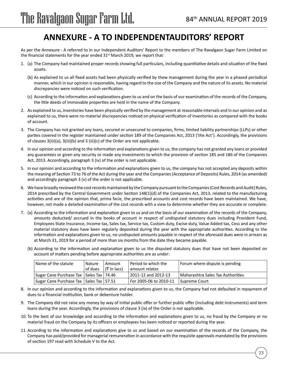## **ANNEXURE - A TO INDEPENDENTAUDITORS' REPORT**

As per the Annexure - A referred to in our Independent Auditors' Report to the members of The Ravalgaon Sugar Farm Limited on the financial statements for the year ended  $31<sup>st</sup>$  March 2019, we report that:

- 1. (a) The Company had maintained proper records showing full particulars, including quantitative details and situation of the fixed assets.
	- (b) As explained to us all fixed assets had been physically verified by thew management during the year in a phased periodical manner, which in our opinion is reasonable, having regard to the size of the Company and the nature of its assets. No material discrepancies were noticed on such verification.
	- (c) According to the information and explanations given to us and on the basis of our examination of the records of the Company, the title deeds of immovable properties are held in the name of the Company.
- 2. As explained to us, inventories have been physically verified by the management at reasonable intervals and in our opinion and as explained to us, there were no material discrepancies noticed on physical verification of inventories as compared with the books of account.
- 3. The Company has not granted any loans, secured or unsecured to companies, firms, limited liability partnerships (LLPs) or other parties covered in the register maintained under section 189 of the Companies Act, 2013 ('the Act'). Accordingly, the provisions of clauses 3(iii)(a), 3(iii)(b) and 3 (iii)(c) of the Order are not applicable.
- 4. In our opinion and according to the information and explanations given to us, the company has not granted any loans or provided any guarantees or given any security or made any investments to which the provision of section 185 and 186 of the Companies Act, 2013. Accordingly, paragraph 3 (iv) of the order is not applicable.
- 5. In our opinion and according to the information and explanations given to us, the company has not accepted any deposits within the meaning of Section 73 to 76 of the Act during the year and the Companies (Acceptance of Deposits) Rules, 2014 (as amended) and accordingly paragraph 3 (v) of the order is not applicable.
- 6. We have broadly reviewed the cost records maintained by the Company pursuant to the Companies (Cost Records and Audit) Rules, 2014 prescribed by the Central Government under Section 148(1)(d) of the Companies Act, 2013, related to the manufacturing activities and are of the opinion that, prima facie, the prescribed accounts and cost records have been maintained. We have, however, not made a detailed examination of the cost records with a view to determine whether they are accurate or complete.
- 7. (a) According to the information and explanation given to us and on the basis of our examination of the records of the Company, amounts deducted/ accrued in the books of account in respect of undisputed statutory dues including Provident Fund, Employees State Insurance, Income tax, Sales tax, Service tax, Custom duty, Excise duty, Value Added tax, Cess and any other material statutory dues have been regularly deposited during the year with the appropriate authorities. According to the information and explanations given to us, no undisputed amounts payable in respect of the aforesaid dues were in arrears as at March 31, 2019 for a period of more than six months from the date they became payable.
	- (b) According to the information and explanation given to us the disputed statutory dues that have not been deposited on account of matters pending before appropriate authorities are as under:

| Name of the statute                         | Nature    | Amount        | l Period to which the      | Forum where dispute is pending    |
|---------------------------------------------|-----------|---------------|----------------------------|-----------------------------------|
|                                             | l of dues | । (₹ In lacs) | amount relates             |                                   |
| Sugar Cane Purchase Tax   Sales Tax   74.46 |           |               | 2011-12 and 2012-13        | Maharashtra Sales Tax Authorities |
| Sugar Cane Purchase Tax   Sales Tax   57.51 |           |               | For 2005-06 to 2010-11 For | l Supreme Court                   |

- 8. In our opinion and according to the information and explanations given to us, the Company had not defaulted in repayment of dues to a financial institution, bank or debenture holder.
- 9. The Company did not raise any money by way of initial public offer or further public offer (including debt instruments) and term loans during the year. Accordingly, the provisions of clause 3 (ix) of the Order is not applicable.
- 10. To the best of our knowledge and according to the information and explanations given to us, no fraud by the Company or no material fraud on the Company by its officers or employees has been noticed or reported during the year.
- 11. According to the information and explanations give to us and based on our examination of the records of the Company, the Company has paid/provided for managerial remuneration in accordance with the requisite approvals mandated by the provisions of section 197 read with Schedule V to the Act.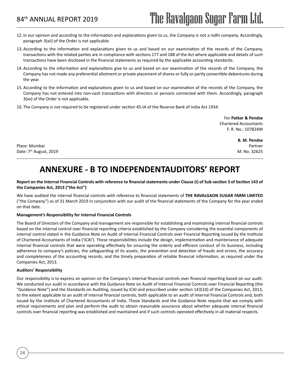- 12. In our opinion and according to the information and explanations given to us, the Company is not a nidhi company. Accordingly, paragraph 3(xii) of the Order is not applicable.
- 13. According to the information and explanations given to us and based on our examination of the records of the Company, transactions with the related parties are in compliance with sections 177 and 188 of the Act where applicable and details of such transactions have been disclosed in the financial statements as required by the applicable accounting standards.
- 14. According to the information and explanations give to us and based on our examination of the records of the Company, the Company has not made any preferential allotment or private placement of shares or fully or partly convertible debentures during the year.
- 15. According to the information and explanations given to us and based on our examination of the records of the Company, the Company has not entered into non-cash transactions with directors or persons connected with them. Accordingly, paragraph 3(xv) of the Order is not applicable.
- 16. The Company is not required to be registered under section 45-IA of the Reserve Bank of India Act 1934.

For **Patkar & Pendse** Chartered Accountants F. R. No.: 107824W

Place: Mumbai Partner Partner Partner Partner Partner Partner Partner Partner Partner Partner Partner Partner Date: 7th August, 2019 M. No. 32625

**B. M. Pendse**

## **ANNEXURE - B TO INDEPENDENTAUDITORS' REPORT**

#### **Report on the Internal Financial Controls with reference to financial statements under Clause (i) of Sub-section 3 of Section 143 of the Companies Act, 2013 ("the Act")**

We have audited the internal financial controls with reference to financial statements of **THE RAVALGAON SUGAR FARM LIMITED**  ("the Company") as of 31 March 2019 in conjunction with our audit of the financial statements of the Company for the year ended on that date.

#### **Management's Responsibility for Internal Financial Controls**

The Board of Directors of the Company and management are responsible for establishing and maintaining internal financial controls based on the internal control over financial reporting criteria established by the Company considering the essential components of internal control stated in the Guidance Note on Audit of Internal Financial Controls over Financial Reporting issued by the Institute of Chartered Accountants of India ('ICAI'). These responsibilities include the design, implementation and maintenance of adequate internal financial controls that were operating effectively for ensuring the orderly and efficient conduct of its business, including adherence to company's policies, the safeguarding of its assets, the prevention and detection of frauds and errors, the accuracy and completeness of the accounting records, and the timely preparation of reliable financial information, as required under the Companies Act, 2013.

#### **Auditors' Responsibility**

24

Our responsibility is to express an opinion on the Company's internal financial controls over financial reporting based on our audit. We conducted our audit in accordance with the Guidance Note on Audit of Internal Financial Controls over Financial Reporting (the "Guidance Note") and the Standards on Auditing, issued by ICAI and prescribed under section 143(10) of the Companies Act, 2013, to the extent applicable to an audit of internal financial controls, both applicable to an audit of Internal Financial Controls and, both issued by the Institute of Chartered Accountants of India. Those Standards and the Guidance Note require that we comply with ethical requirements and plan and perform the audit to obtain reasonable assurance about whether adequate internal financial controls over financial reporting was established and maintained and if such controls operated effectively in all material respects.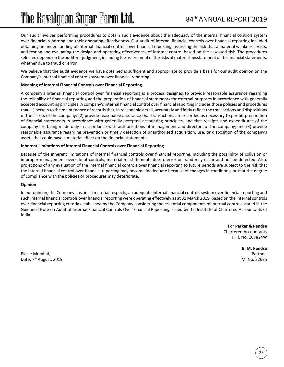Our audit involves performing procedures to obtain audit evidence about the adequacy of the internal financial controls system over financial reporting and their operating effectiveness. Our audit of internal financial controls over financial reporting included obtaining an understanding of internal financial controls over financial reporting, assessing the risk that a material weakness exists, and testing and evaluating the design and operating effectiveness of internal control based on the assessed risk. The procedures selected depend on the auditor's judgment, including the assessment of the risks of material misstatement of the financial statements, whether due to fraud or error.

We believe that the audit evidence we have obtained is sufficient and appropriate to provide a basis for our audit opinion on the Company's internal financial controls system over financial reporting.

#### **Meaning of Internal Financial Controls over Financial Reporting**

A company's internal financial control over financial reporting is a process designed to provide reasonable assurance regarding the reliability of financial reporting and the preparation of financial statements for external purposes in accordance with generally accepted accounting principles. A company's internal financial control over financial reporting includes those policies and procedures that (1) pertain to the maintenance of records that, in reasonable detail, accurately and fairly reflect the transactions and dispositions of the assets of the company; (2) provide reasonable assurance that transactions are recorded as necessary to permit preparation of financial statements in accordance with generally accepted accounting principles, and that receipts and expenditures of the company are being made only in accordance with authorisations of management and directors of the company; and (3) provide reasonable assurance regarding prevention or timely detection of unauthorised acquisition, use, or disposition of the company's assets that could have a material effect on the financial statements.

#### **Inherent Limitations of Internal Financial Controls over Financial Reporting**

Because of the inherent limitations of internal financial controls over financial reporting, including the possibility of collusion or improper management override of controls, material misstatements due to error or fraud may occur and not be detected. Also, projections of any evaluation of the internal financial controls over financial reporting to future periods are subject to the risk that the internal financial control over financial reporting may become inadequate because of changes in conditions, or that the degree of compliance with the policies or procedures may deteriorate.

#### **Opinion**

In our opinion, the Company has, in all material respects, an adequate internal financial controls system over financial reporting and such internal financial controls over financial reporting were operating effectively as at 31 March 2019, based on the internal controls over financial reporting criteria established by the Company considering the essential components of internal controls stated in the Guidance Note on Audit of Internal Financial Controls Over Financial Reporting issued by the Institute of Chartered Accountants of India.

> For **Patkar & Pendse** Chartered Accountants F. R. No. 107824W

> > **B. M. Pendse**

Place: Mumbai, Partner. Partner. Partner. Partner. Partner. Partner. Partner. Partner. Partner. Partner. Partner. Partner. Partner. Partner. Partner. Partner. Partner. Partner. Partner. Partner. Partner. Partner. Partner. Date: 7<sup>th</sup> August, 2019 M. No. 32625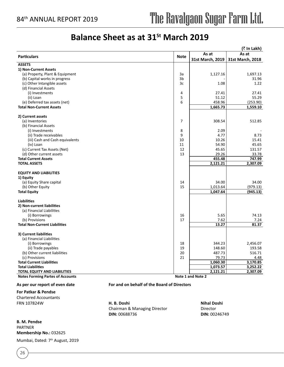## **Balance Sheet as at 31st March 2019**

|                                         |             |                   | (₹ In Lakh)      |
|-----------------------------------------|-------------|-------------------|------------------|
|                                         |             | As at             | As at            |
| <b>Particulars</b>                      | <b>Note</b> | 31st March, 2019  | 31st March, 2018 |
| <b>ASSETS</b>                           |             |                   |                  |
| 1) Non-Current Assets                   |             |                   |                  |
| (a) Property, Plant & Equipment         | 3a          | 1,127.16          | 1,697.13         |
| (b) Capital works in progress           | 3b          |                   | 31.96            |
| (c) Other Intangible assets             | 3c          | 1.08              | 1.22             |
| (d) Financial Assets                    |             |                   |                  |
| (i) Investments                         | 4           | 27.41             | 27.41            |
| (ii) Loan                               | 5           | 51.12             | 55.29            |
| (e) Deferred tax assets (net)           | 6           | 458.96            | (253.90)         |
| <b>Total Non-Current Assets</b>         |             | 1,665.73          | 1,559.10         |
| 2) Current assets                       |             |                   |                  |
| (a) Inventories                         | 7           | 308.54            | 512.85           |
| (b) Financial Assets                    |             |                   |                  |
| (i) Investments                         | 8           | 2.09              |                  |
| (ii) Trade receivables                  | 9           | 4.77              | 8.73             |
| (iii) Cash and Cash equivalents         | 10          | 10.26             | 15.41            |
| (iv) Loan                               | 11          | 54.90             | 45.65            |
| (c) Current Tax Assets (Net)            | 12          | 45.65             | 131.57           |
| (d) Other current assets                | 13          | 29.26             | 33.78            |
| <b>Total Current Assets</b>             |             | 455.48            | 747.99           |
| <b>TOTAL ASSETS</b>                     |             | 2,121.21          | 2,307.09         |
| <b>EQUITY AND LIABILITIES</b>           |             |                   |                  |
| 1) Equity                               |             |                   |                  |
| (a) Equity Share capital                | 14          | 34.00             | 34.00            |
| (b) Other Equity                        | 15          | 1,013.64          | (979.13)         |
| <b>Total Equity</b>                     |             | 1,047.64          | (945.13)         |
| <b>Liabilities</b>                      |             |                   |                  |
| 2) Non-current liabilities              |             |                   |                  |
| (a) Financial Liabilities               |             |                   |                  |
| (i) Borrowings                          | 16          | 5.65              | 74.13            |
| (b) Provisions                          | 17          | 7.62              | 7.24             |
| <b>Total Non-Current Liabilities</b>    |             | 13.27             | 81.37            |
| 3) Current liabilities                  |             |                   |                  |
| (a) Financial Liabilities               |             |                   |                  |
| (i) Borrowings                          | 18          | 344.23            | 2,456.07         |
| (ii) Trade payables                     | 19          | 148.60            | 193.58           |
| (b) Other current liabilities           | 20          | 487.73            | 516.71           |
| (c) Provisions                          | 21          | 79.73             | 4.48             |
| <b>Total Current Liabilities</b>        |             | 1,060.30          | 3,170.85         |
| <b>Total Liabilities</b>                |             | 1,073.57          | 3,252.22         |
| <b>TOTAL EQUITY AND LIABILITIES</b>     |             | 2,121.21          | 2,307.09         |
| <b>Notes Forming Partes of Accounts</b> |             | Note 1 and Note 2 |                  |

**For Patkar & Pendse** Chartered Accountants

**As per our report of even date For and on behalf of the Board of Directors**

FRN 107824W **H. B. Doshi Nihal Doshi** Chairman & Managing Director **Director DIN:** 00688736 **DIN:** 00246749

**B. M. Pendse** PARTNER **Membership No.:** 032625 Mumbai, Dated: 7th August, 2019

26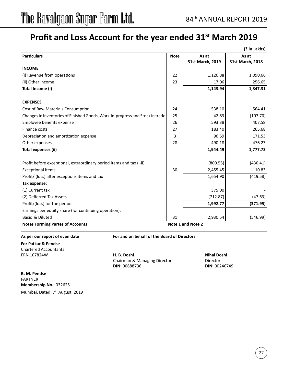## Profit and Loss Account for the year ended 31<sup>St</sup> March 2019

|                                                                               |             |                   | (₹ in Lakhs)     |
|-------------------------------------------------------------------------------|-------------|-------------------|------------------|
| <b>Particulars</b>                                                            | <b>Note</b> | As at             | As at            |
|                                                                               |             | 31st March, 2019  | 31st March, 2018 |
| <b>INCOME</b>                                                                 |             |                   |                  |
| (i) Revenue from operations                                                   | 22          | 1,126.88          | 1,090.66         |
| (ii) Other income                                                             | 23          | 17.06             | 256.65           |
| Total Income (i)                                                              |             | 1,143.94          | 1,347.31         |
| <b>EXPENSES</b>                                                               |             |                   |                  |
| Cost of Raw Materials Consumption                                             | 24          | 538.10            | 564.41           |
| Changes in Inventories of Finished Goods, Work-in-progress and Stock in trade | 25          | 42.83             | (107.70)         |
| Employee benefits expense                                                     | 26          | 593.38            | 407.58           |
| Finance costs                                                                 | 27          | 183.40            | 265.68           |
| Depreciation and amortization expense                                         | 3           | 96.59             | 171.53           |
| Other expenses                                                                | 28          | 490.18            | 476.23           |
| Total expenses (ii)                                                           |             | 1,944.49          | 1,777.73         |
| Profit before exceptional, extraordinary period items and tax (i-ii)          |             | (800.55)          | (430.41)         |
| <b>Exceptional Items</b>                                                      | 30          | 2,455.45          | 10.83            |
| Profit/ (loss) after exceptions items and tax                                 |             | 1,654.90          | (419.58)         |
| Tax expense:                                                                  |             |                   |                  |
| (1) Current tax                                                               |             | 375.00            |                  |
| (2) Defferred Tax Assets                                                      |             | (712.87)          | (47.63)          |
| Profit/(loss) for the period                                                  |             | 1,992.77          | (371.95)         |
| Earnings per equity share (for continuing operation):                         |             |                   |                  |
| Basic & Diluted                                                               | 31          | 2,930.54          | (546.99)         |
| <b>Notes Forming Partes of Accounts</b>                                       |             | Note 1 and Note 2 |                  |

**For Patkar & Pendse** Chartered Accountants

**As per our report of even date For and on behalf of the Board of Directors**

FRN 107824W **H. B. Doshi Nihal Doshi** Chairman & Managing Director **Director DIN:** 00688736 **DIN:** 00246749

**B. M. Pendse** PARTNER **Membership No.:** 032625 Mumbai, Dated: 7<sup>th</sup> August, 2019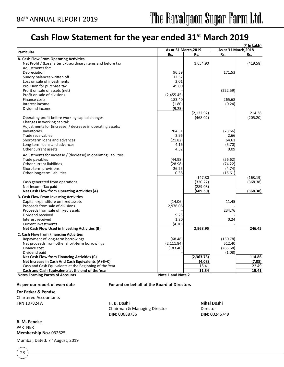## **Cash Flow Statement for the year ended 31St March 2019**

| As at 31 March, 2018<br>As at 31 March, 2019<br><b>Particular</b><br>Rs.<br>Rs.<br>Rs.<br>Rs.<br>A. Cash Flow From Operating Activities<br>Net Profit / (Loss) after Extraordinary items and before tax<br>1,654.90<br>(419.58)<br>Adjustments for:<br>Depreciation<br>96.59<br>171.53<br>Sundry balances written off<br>12.57<br>Loss on sale of investments<br>2.01<br>Provision for purchase tax<br>49.00<br>Profit on sale of assets (net)<br>(222.59)<br>Profit on sale of divisions<br>(2,455.45)<br>Finance costs<br>183.40<br>265.68<br>Interest income<br>(1.80)<br>(0.24)<br>Dividend income<br>(9.25)<br>(2, 122.92)<br>214.38<br>(468.02)<br>(205.20)<br>Operating profit before working capital changes<br>Changes in working capital:<br>Adjustments for (increase) / decrease in operating assets:<br>Inventories<br>204.31<br>(73.66)<br>Trade receivables<br>3.96<br>2.66<br>Short-term loans and advances<br>64.61<br>(21.82)<br>4.16<br>(5.70)<br>Long-term loans and advances<br>4.52<br>0.09<br>Other current assets<br>Adjustments for increase / (decrease) in operating liabilities:<br>(44.98)<br>(56.62)<br>Trade payables<br>Other current liabilities<br>(28.98)<br>(74.22)<br>Short-term provisions<br>26.25<br>(4.74)<br>0.38<br>(15.61)<br>Other long-term liabilities<br>147.80<br>(163.19)<br>Cash generated from operations<br>(320.22)<br>(368.38)<br>(289.08)<br>Net Income Tax paid<br>(609.30)<br>(368.38)<br>Net Cash Flow from Operating Activities (A)<br><b>B. Cash Flow From Investing Activities</b><br>(14.06)<br>Capital expenditure on fixed assets<br>11.45<br>Proceeds from sale of divisions<br>2,976.06<br>Proceeds from sale of fixed assets<br>234.76<br>Dividend received<br>9.25<br>1.80<br>0.24<br>Interest received<br>(4.10)<br><b>Current investments</b><br>246.45<br>2,968.95<br>Net Cash Flow Used in Investing Activities (B)<br>C. Cash Flow from Financing Activities<br>Repayment of long-term borrowings<br>(68.48)<br>(130.78)<br>Net proceeds from other short-term borrowings<br>(2, 111.84)<br>512.40<br>(183.40)<br>(265.68)<br>Finance cost<br>Dividend paid<br>(1.08)<br>Net Cash Flow from Financing Activities (C)<br>(2,363.73)<br>114.86<br>Net Increase in Cash And Cash Equivalents (A+B+C)<br>(4.08)<br>(7.08)<br>Cash and Cash Equivalents at the Beginning of the Year<br>15.41<br>22.49<br>11.34<br>15.41<br>Cash and Cash Equivalents at the end of the Year<br>Note 1 and Note 2<br><b>Notes Forming Partes of Accounts</b> |  |  | (₹ In Lakh) |
|-------------------------------------------------------------------------------------------------------------------------------------------------------------------------------------------------------------------------------------------------------------------------------------------------------------------------------------------------------------------------------------------------------------------------------------------------------------------------------------------------------------------------------------------------------------------------------------------------------------------------------------------------------------------------------------------------------------------------------------------------------------------------------------------------------------------------------------------------------------------------------------------------------------------------------------------------------------------------------------------------------------------------------------------------------------------------------------------------------------------------------------------------------------------------------------------------------------------------------------------------------------------------------------------------------------------------------------------------------------------------------------------------------------------------------------------------------------------------------------------------------------------------------------------------------------------------------------------------------------------------------------------------------------------------------------------------------------------------------------------------------------------------------------------------------------------------------------------------------------------------------------------------------------------------------------------------------------------------------------------------------------------------------------------------------------------------------------------------------------------------------------------------------------------------------------------------------------------------------------------------------------------------------------------------------------------------------------------------------------------------------------------------------------------------------------------------------------------------------------------------------------------|--|--|-------------|
|                                                                                                                                                                                                                                                                                                                                                                                                                                                                                                                                                                                                                                                                                                                                                                                                                                                                                                                                                                                                                                                                                                                                                                                                                                                                                                                                                                                                                                                                                                                                                                                                                                                                                                                                                                                                                                                                                                                                                                                                                                                                                                                                                                                                                                                                                                                                                                                                                                                                                                                   |  |  |             |
|                                                                                                                                                                                                                                                                                                                                                                                                                                                                                                                                                                                                                                                                                                                                                                                                                                                                                                                                                                                                                                                                                                                                                                                                                                                                                                                                                                                                                                                                                                                                                                                                                                                                                                                                                                                                                                                                                                                                                                                                                                                                                                                                                                                                                                                                                                                                                                                                                                                                                                                   |  |  |             |
|                                                                                                                                                                                                                                                                                                                                                                                                                                                                                                                                                                                                                                                                                                                                                                                                                                                                                                                                                                                                                                                                                                                                                                                                                                                                                                                                                                                                                                                                                                                                                                                                                                                                                                                                                                                                                                                                                                                                                                                                                                                                                                                                                                                                                                                                                                                                                                                                                                                                                                                   |  |  |             |
|                                                                                                                                                                                                                                                                                                                                                                                                                                                                                                                                                                                                                                                                                                                                                                                                                                                                                                                                                                                                                                                                                                                                                                                                                                                                                                                                                                                                                                                                                                                                                                                                                                                                                                                                                                                                                                                                                                                                                                                                                                                                                                                                                                                                                                                                                                                                                                                                                                                                                                                   |  |  |             |
|                                                                                                                                                                                                                                                                                                                                                                                                                                                                                                                                                                                                                                                                                                                                                                                                                                                                                                                                                                                                                                                                                                                                                                                                                                                                                                                                                                                                                                                                                                                                                                                                                                                                                                                                                                                                                                                                                                                                                                                                                                                                                                                                                                                                                                                                                                                                                                                                                                                                                                                   |  |  |             |
|                                                                                                                                                                                                                                                                                                                                                                                                                                                                                                                                                                                                                                                                                                                                                                                                                                                                                                                                                                                                                                                                                                                                                                                                                                                                                                                                                                                                                                                                                                                                                                                                                                                                                                                                                                                                                                                                                                                                                                                                                                                                                                                                                                                                                                                                                                                                                                                                                                                                                                                   |  |  |             |
|                                                                                                                                                                                                                                                                                                                                                                                                                                                                                                                                                                                                                                                                                                                                                                                                                                                                                                                                                                                                                                                                                                                                                                                                                                                                                                                                                                                                                                                                                                                                                                                                                                                                                                                                                                                                                                                                                                                                                                                                                                                                                                                                                                                                                                                                                                                                                                                                                                                                                                                   |  |  |             |
|                                                                                                                                                                                                                                                                                                                                                                                                                                                                                                                                                                                                                                                                                                                                                                                                                                                                                                                                                                                                                                                                                                                                                                                                                                                                                                                                                                                                                                                                                                                                                                                                                                                                                                                                                                                                                                                                                                                                                                                                                                                                                                                                                                                                                                                                                                                                                                                                                                                                                                                   |  |  |             |
|                                                                                                                                                                                                                                                                                                                                                                                                                                                                                                                                                                                                                                                                                                                                                                                                                                                                                                                                                                                                                                                                                                                                                                                                                                                                                                                                                                                                                                                                                                                                                                                                                                                                                                                                                                                                                                                                                                                                                                                                                                                                                                                                                                                                                                                                                                                                                                                                                                                                                                                   |  |  |             |
|                                                                                                                                                                                                                                                                                                                                                                                                                                                                                                                                                                                                                                                                                                                                                                                                                                                                                                                                                                                                                                                                                                                                                                                                                                                                                                                                                                                                                                                                                                                                                                                                                                                                                                                                                                                                                                                                                                                                                                                                                                                                                                                                                                                                                                                                                                                                                                                                                                                                                                                   |  |  |             |
|                                                                                                                                                                                                                                                                                                                                                                                                                                                                                                                                                                                                                                                                                                                                                                                                                                                                                                                                                                                                                                                                                                                                                                                                                                                                                                                                                                                                                                                                                                                                                                                                                                                                                                                                                                                                                                                                                                                                                                                                                                                                                                                                                                                                                                                                                                                                                                                                                                                                                                                   |  |  |             |
|                                                                                                                                                                                                                                                                                                                                                                                                                                                                                                                                                                                                                                                                                                                                                                                                                                                                                                                                                                                                                                                                                                                                                                                                                                                                                                                                                                                                                                                                                                                                                                                                                                                                                                                                                                                                                                                                                                                                                                                                                                                                                                                                                                                                                                                                                                                                                                                                                                                                                                                   |  |  |             |
|                                                                                                                                                                                                                                                                                                                                                                                                                                                                                                                                                                                                                                                                                                                                                                                                                                                                                                                                                                                                                                                                                                                                                                                                                                                                                                                                                                                                                                                                                                                                                                                                                                                                                                                                                                                                                                                                                                                                                                                                                                                                                                                                                                                                                                                                                                                                                                                                                                                                                                                   |  |  |             |
|                                                                                                                                                                                                                                                                                                                                                                                                                                                                                                                                                                                                                                                                                                                                                                                                                                                                                                                                                                                                                                                                                                                                                                                                                                                                                                                                                                                                                                                                                                                                                                                                                                                                                                                                                                                                                                                                                                                                                                                                                                                                                                                                                                                                                                                                                                                                                                                                                                                                                                                   |  |  |             |
|                                                                                                                                                                                                                                                                                                                                                                                                                                                                                                                                                                                                                                                                                                                                                                                                                                                                                                                                                                                                                                                                                                                                                                                                                                                                                                                                                                                                                                                                                                                                                                                                                                                                                                                                                                                                                                                                                                                                                                                                                                                                                                                                                                                                                                                                                                                                                                                                                                                                                                                   |  |  |             |
|                                                                                                                                                                                                                                                                                                                                                                                                                                                                                                                                                                                                                                                                                                                                                                                                                                                                                                                                                                                                                                                                                                                                                                                                                                                                                                                                                                                                                                                                                                                                                                                                                                                                                                                                                                                                                                                                                                                                                                                                                                                                                                                                                                                                                                                                                                                                                                                                                                                                                                                   |  |  |             |
|                                                                                                                                                                                                                                                                                                                                                                                                                                                                                                                                                                                                                                                                                                                                                                                                                                                                                                                                                                                                                                                                                                                                                                                                                                                                                                                                                                                                                                                                                                                                                                                                                                                                                                                                                                                                                                                                                                                                                                                                                                                                                                                                                                                                                                                                                                                                                                                                                                                                                                                   |  |  |             |
|                                                                                                                                                                                                                                                                                                                                                                                                                                                                                                                                                                                                                                                                                                                                                                                                                                                                                                                                                                                                                                                                                                                                                                                                                                                                                                                                                                                                                                                                                                                                                                                                                                                                                                                                                                                                                                                                                                                                                                                                                                                                                                                                                                                                                                                                                                                                                                                                                                                                                                                   |  |  |             |
|                                                                                                                                                                                                                                                                                                                                                                                                                                                                                                                                                                                                                                                                                                                                                                                                                                                                                                                                                                                                                                                                                                                                                                                                                                                                                                                                                                                                                                                                                                                                                                                                                                                                                                                                                                                                                                                                                                                                                                                                                                                                                                                                                                                                                                                                                                                                                                                                                                                                                                                   |  |  |             |
|                                                                                                                                                                                                                                                                                                                                                                                                                                                                                                                                                                                                                                                                                                                                                                                                                                                                                                                                                                                                                                                                                                                                                                                                                                                                                                                                                                                                                                                                                                                                                                                                                                                                                                                                                                                                                                                                                                                                                                                                                                                                                                                                                                                                                                                                                                                                                                                                                                                                                                                   |  |  |             |
|                                                                                                                                                                                                                                                                                                                                                                                                                                                                                                                                                                                                                                                                                                                                                                                                                                                                                                                                                                                                                                                                                                                                                                                                                                                                                                                                                                                                                                                                                                                                                                                                                                                                                                                                                                                                                                                                                                                                                                                                                                                                                                                                                                                                                                                                                                                                                                                                                                                                                                                   |  |  |             |
|                                                                                                                                                                                                                                                                                                                                                                                                                                                                                                                                                                                                                                                                                                                                                                                                                                                                                                                                                                                                                                                                                                                                                                                                                                                                                                                                                                                                                                                                                                                                                                                                                                                                                                                                                                                                                                                                                                                                                                                                                                                                                                                                                                                                                                                                                                                                                                                                                                                                                                                   |  |  |             |
|                                                                                                                                                                                                                                                                                                                                                                                                                                                                                                                                                                                                                                                                                                                                                                                                                                                                                                                                                                                                                                                                                                                                                                                                                                                                                                                                                                                                                                                                                                                                                                                                                                                                                                                                                                                                                                                                                                                                                                                                                                                                                                                                                                                                                                                                                                                                                                                                                                                                                                                   |  |  |             |
|                                                                                                                                                                                                                                                                                                                                                                                                                                                                                                                                                                                                                                                                                                                                                                                                                                                                                                                                                                                                                                                                                                                                                                                                                                                                                                                                                                                                                                                                                                                                                                                                                                                                                                                                                                                                                                                                                                                                                                                                                                                                                                                                                                                                                                                                                                                                                                                                                                                                                                                   |  |  |             |
|                                                                                                                                                                                                                                                                                                                                                                                                                                                                                                                                                                                                                                                                                                                                                                                                                                                                                                                                                                                                                                                                                                                                                                                                                                                                                                                                                                                                                                                                                                                                                                                                                                                                                                                                                                                                                                                                                                                                                                                                                                                                                                                                                                                                                                                                                                                                                                                                                                                                                                                   |  |  |             |
|                                                                                                                                                                                                                                                                                                                                                                                                                                                                                                                                                                                                                                                                                                                                                                                                                                                                                                                                                                                                                                                                                                                                                                                                                                                                                                                                                                                                                                                                                                                                                                                                                                                                                                                                                                                                                                                                                                                                                                                                                                                                                                                                                                                                                                                                                                                                                                                                                                                                                                                   |  |  |             |
|                                                                                                                                                                                                                                                                                                                                                                                                                                                                                                                                                                                                                                                                                                                                                                                                                                                                                                                                                                                                                                                                                                                                                                                                                                                                                                                                                                                                                                                                                                                                                                                                                                                                                                                                                                                                                                                                                                                                                                                                                                                                                                                                                                                                                                                                                                                                                                                                                                                                                                                   |  |  |             |
|                                                                                                                                                                                                                                                                                                                                                                                                                                                                                                                                                                                                                                                                                                                                                                                                                                                                                                                                                                                                                                                                                                                                                                                                                                                                                                                                                                                                                                                                                                                                                                                                                                                                                                                                                                                                                                                                                                                                                                                                                                                                                                                                                                                                                                                                                                                                                                                                                                                                                                                   |  |  |             |
|                                                                                                                                                                                                                                                                                                                                                                                                                                                                                                                                                                                                                                                                                                                                                                                                                                                                                                                                                                                                                                                                                                                                                                                                                                                                                                                                                                                                                                                                                                                                                                                                                                                                                                                                                                                                                                                                                                                                                                                                                                                                                                                                                                                                                                                                                                                                                                                                                                                                                                                   |  |  |             |
|                                                                                                                                                                                                                                                                                                                                                                                                                                                                                                                                                                                                                                                                                                                                                                                                                                                                                                                                                                                                                                                                                                                                                                                                                                                                                                                                                                                                                                                                                                                                                                                                                                                                                                                                                                                                                                                                                                                                                                                                                                                                                                                                                                                                                                                                                                                                                                                                                                                                                                                   |  |  |             |
|                                                                                                                                                                                                                                                                                                                                                                                                                                                                                                                                                                                                                                                                                                                                                                                                                                                                                                                                                                                                                                                                                                                                                                                                                                                                                                                                                                                                                                                                                                                                                                                                                                                                                                                                                                                                                                                                                                                                                                                                                                                                                                                                                                                                                                                                                                                                                                                                                                                                                                                   |  |  |             |
|                                                                                                                                                                                                                                                                                                                                                                                                                                                                                                                                                                                                                                                                                                                                                                                                                                                                                                                                                                                                                                                                                                                                                                                                                                                                                                                                                                                                                                                                                                                                                                                                                                                                                                                                                                                                                                                                                                                                                                                                                                                                                                                                                                                                                                                                                                                                                                                                                                                                                                                   |  |  |             |
|                                                                                                                                                                                                                                                                                                                                                                                                                                                                                                                                                                                                                                                                                                                                                                                                                                                                                                                                                                                                                                                                                                                                                                                                                                                                                                                                                                                                                                                                                                                                                                                                                                                                                                                                                                                                                                                                                                                                                                                                                                                                                                                                                                                                                                                                                                                                                                                                                                                                                                                   |  |  |             |
|                                                                                                                                                                                                                                                                                                                                                                                                                                                                                                                                                                                                                                                                                                                                                                                                                                                                                                                                                                                                                                                                                                                                                                                                                                                                                                                                                                                                                                                                                                                                                                                                                                                                                                                                                                                                                                                                                                                                                                                                                                                                                                                                                                                                                                                                                                                                                                                                                                                                                                                   |  |  |             |
|                                                                                                                                                                                                                                                                                                                                                                                                                                                                                                                                                                                                                                                                                                                                                                                                                                                                                                                                                                                                                                                                                                                                                                                                                                                                                                                                                                                                                                                                                                                                                                                                                                                                                                                                                                                                                                                                                                                                                                                                                                                                                                                                                                                                                                                                                                                                                                                                                                                                                                                   |  |  |             |
|                                                                                                                                                                                                                                                                                                                                                                                                                                                                                                                                                                                                                                                                                                                                                                                                                                                                                                                                                                                                                                                                                                                                                                                                                                                                                                                                                                                                                                                                                                                                                                                                                                                                                                                                                                                                                                                                                                                                                                                                                                                                                                                                                                                                                                                                                                                                                                                                                                                                                                                   |  |  |             |
|                                                                                                                                                                                                                                                                                                                                                                                                                                                                                                                                                                                                                                                                                                                                                                                                                                                                                                                                                                                                                                                                                                                                                                                                                                                                                                                                                                                                                                                                                                                                                                                                                                                                                                                                                                                                                                                                                                                                                                                                                                                                                                                                                                                                                                                                                                                                                                                                                                                                                                                   |  |  |             |
|                                                                                                                                                                                                                                                                                                                                                                                                                                                                                                                                                                                                                                                                                                                                                                                                                                                                                                                                                                                                                                                                                                                                                                                                                                                                                                                                                                                                                                                                                                                                                                                                                                                                                                                                                                                                                                                                                                                                                                                                                                                                                                                                                                                                                                                                                                                                                                                                                                                                                                                   |  |  |             |
|                                                                                                                                                                                                                                                                                                                                                                                                                                                                                                                                                                                                                                                                                                                                                                                                                                                                                                                                                                                                                                                                                                                                                                                                                                                                                                                                                                                                                                                                                                                                                                                                                                                                                                                                                                                                                                                                                                                                                                                                                                                                                                                                                                                                                                                                                                                                                                                                                                                                                                                   |  |  |             |
|                                                                                                                                                                                                                                                                                                                                                                                                                                                                                                                                                                                                                                                                                                                                                                                                                                                                                                                                                                                                                                                                                                                                                                                                                                                                                                                                                                                                                                                                                                                                                                                                                                                                                                                                                                                                                                                                                                                                                                                                                                                                                                                                                                                                                                                                                                                                                                                                                                                                                                                   |  |  |             |
|                                                                                                                                                                                                                                                                                                                                                                                                                                                                                                                                                                                                                                                                                                                                                                                                                                                                                                                                                                                                                                                                                                                                                                                                                                                                                                                                                                                                                                                                                                                                                                                                                                                                                                                                                                                                                                                                                                                                                                                                                                                                                                                                                                                                                                                                                                                                                                                                                                                                                                                   |  |  |             |
|                                                                                                                                                                                                                                                                                                                                                                                                                                                                                                                                                                                                                                                                                                                                                                                                                                                                                                                                                                                                                                                                                                                                                                                                                                                                                                                                                                                                                                                                                                                                                                                                                                                                                                                                                                                                                                                                                                                                                                                                                                                                                                                                                                                                                                                                                                                                                                                                                                                                                                                   |  |  |             |
|                                                                                                                                                                                                                                                                                                                                                                                                                                                                                                                                                                                                                                                                                                                                                                                                                                                                                                                                                                                                                                                                                                                                                                                                                                                                                                                                                                                                                                                                                                                                                                                                                                                                                                                                                                                                                                                                                                                                                                                                                                                                                                                                                                                                                                                                                                                                                                                                                                                                                                                   |  |  |             |
|                                                                                                                                                                                                                                                                                                                                                                                                                                                                                                                                                                                                                                                                                                                                                                                                                                                                                                                                                                                                                                                                                                                                                                                                                                                                                                                                                                                                                                                                                                                                                                                                                                                                                                                                                                                                                                                                                                                                                                                                                                                                                                                                                                                                                                                                                                                                                                                                                                                                                                                   |  |  |             |
|                                                                                                                                                                                                                                                                                                                                                                                                                                                                                                                                                                                                                                                                                                                                                                                                                                                                                                                                                                                                                                                                                                                                                                                                                                                                                                                                                                                                                                                                                                                                                                                                                                                                                                                                                                                                                                                                                                                                                                                                                                                                                                                                                                                                                                                                                                                                                                                                                                                                                                                   |  |  |             |
|                                                                                                                                                                                                                                                                                                                                                                                                                                                                                                                                                                                                                                                                                                                                                                                                                                                                                                                                                                                                                                                                                                                                                                                                                                                                                                                                                                                                                                                                                                                                                                                                                                                                                                                                                                                                                                                                                                                                                                                                                                                                                                                                                                                                                                                                                                                                                                                                                                                                                                                   |  |  |             |
|                                                                                                                                                                                                                                                                                                                                                                                                                                                                                                                                                                                                                                                                                                                                                                                                                                                                                                                                                                                                                                                                                                                                                                                                                                                                                                                                                                                                                                                                                                                                                                                                                                                                                                                                                                                                                                                                                                                                                                                                                                                                                                                                                                                                                                                                                                                                                                                                                                                                                                                   |  |  |             |
|                                                                                                                                                                                                                                                                                                                                                                                                                                                                                                                                                                                                                                                                                                                                                                                                                                                                                                                                                                                                                                                                                                                                                                                                                                                                                                                                                                                                                                                                                                                                                                                                                                                                                                                                                                                                                                                                                                                                                                                                                                                                                                                                                                                                                                                                                                                                                                                                                                                                                                                   |  |  |             |
|                                                                                                                                                                                                                                                                                                                                                                                                                                                                                                                                                                                                                                                                                                                                                                                                                                                                                                                                                                                                                                                                                                                                                                                                                                                                                                                                                                                                                                                                                                                                                                                                                                                                                                                                                                                                                                                                                                                                                                                                                                                                                                                                                                                                                                                                                                                                                                                                                                                                                                                   |  |  |             |

**As per our report of even date For and on behalf of the Board of Directors**

**For Patkar & Pendse** Chartered Accountants

FRN 107824W **H. B. Doshi Nihal Doshi** Chairman & Managing Director **Director DIN:** 00688736 **DIN:** 00246749

**B. M. Pendse** PARTNER **Membership No.:** 032625

Mumbai, Dated: 7<sup>th</sup> August, 2019

28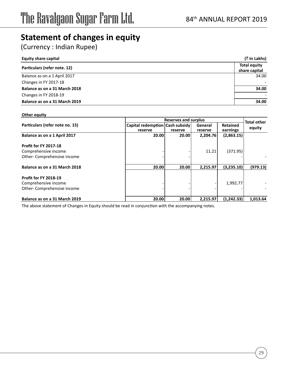## **Statement of changes in equity**

(Currency : Indian Rupee)

| <b>Equity share capital</b>   | (₹ In Lakhs)                         |
|-------------------------------|--------------------------------------|
| Particulars (refer note. 12)  | <b>Total equity</b><br>share capital |
| Balance as on a 1 April 2017  | 34.00                                |
| Changes in FY 2017-18         |                                      |
| Balance as on a 31 March 2018 | 34.00                                |
| Changes in FY 2018-19         |                                      |
| Balance as on a 31 March 2019 | 34.00                                |

#### **Other equity**

|                                 |                                 | Reserves and surplus |          |                 | <b>Total other</b> |
|---------------------------------|---------------------------------|----------------------|----------|-----------------|--------------------|
| Particulars (refer note no. 15) | Capital redemption Cash subsidy |                      | General  | <b>Retained</b> | equity             |
|                                 | reserve                         | reserve              | reserve  | earnings        |                    |
| Balance as on a 1 April 2017    | 20.00                           | 20.00                | 2,204.76 | (2,863.15)      |                    |
| <b>Profit for FY 2017-18</b>    |                                 |                      |          |                 |                    |
| Comprehensive income            |                                 |                      | 11.21    | (371.95)        |                    |
| Other-Comprehensive income      |                                 |                      |          |                 |                    |
| Balance as on a 31 March 2018   | 20.00                           | 20.00                | 2.215.97 | (3.235.10)      | (979.13)           |
| <b>Profit for FY 2018-19</b>    |                                 |                      |          |                 |                    |
| Comprehensive income            |                                 |                      |          | 1,992.77        |                    |
| Other-Comprehensive income      |                                 |                      |          |                 |                    |
| Balance as on a 31 March 2019   | 20.00                           | 20.00                | 2.215.97 | (1.242.33)      | 1.013.64           |

The above statement of Changes in Equity should be read in conjunction with the accompanying notes.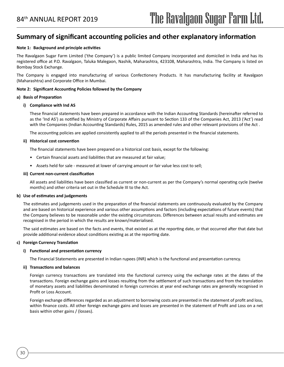### **Summary of significant accounting policies and other explanatory information**

#### **Note 1: Background and principle activities**

The Ravalgaon Sugar Farm Limited ('the Company') is a public limited Company incorporated and domiciled in India and has its registered office at P.O. Ravalgaon, Taluka Malegaon, Nashik, Maharashtra, 423108, Maharashtra, India. The Company is listed on Bombay Stock Exchange.

The Company is engaged into manufacturing of various Confectionery Products. It has manufacturing facility at Ravalgaon (Maharashtra) and Corporate Office in Mumbai.

#### **Note 2: Significant Accounting Policies followed by the Company**

#### **a) Basis of Preparation**

#### **i) Compliance with Ind AS**

These financial statements have been prepared in accordance with the Indian Accounting Standards (hereinafter referred to as the 'Ind AS') as notified by Ministry of Corporate Affairs pursuant to Section 133 of the Companies Act, 2013 ('Act') read with the Companies (Indian Accounting Standards) Rules, 2015 as amended rules and other relevant provisions of the Act .

The accounting policies are applied consistently applied to all the periods presented in the financial statements.

#### **ii) Historical cost convention**

The financial statements have been prepared on a historical cost basis, except for the following:

- Certain financial assets and liabilities that are measured at fair value;
- Assets held for sale measured at lower of carrying amount or fair value less cost to sell;

#### **iii) Current non-current classification**

All assets and liabilities have been classified as current or non-current as per the Company's normal operating cycle (twelve months) and other criteria set out in the Schedule III to the Act.

#### **b) Use of estimates and judgements**

The estimates and judgements used in the preparation of the financial statements are continuously evaluated by the Company and are based on historical experience and various other assumptions and factors (including expectations of future events) that the Company believes to be reasonable under the existing circumstances. Differences between actual results and estimates are recognised in the period in which the results are known/materialised.

The said estimates are based on the facts and events, that existed as at the reporting date, or that occurred after that date but provide additional evidence about conditions existing as at the reporting date.

#### **c) Foreign Currency Translation**

#### **i) Functional and presentation currency**

The Financial Statements are presented in Indian rupees (INR) which is the functional and presentation currency.

#### **ii) Transactions and balances**

30

Foreign currency transactions are translated into the functional currency using the exchange rates at the dates of the transactions. Foreign exchange gains and losses resulting from the settlement of such transactions and from the translation of monetary assets and liabilities denominated in foreign currencies at year end exchange rates are generally recognised in Profit or Loss Account.

Foreign exchange differences regarded as an adjustment to borrowing costs are presented in the statement of profit and loss, within finance costs. All other foreign exchange gains and losses are presented in the statement of Profit and Loss on a net basis within other gains / (losses).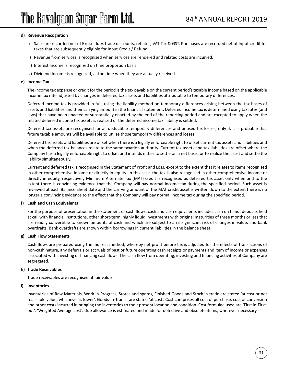#### **d) Revenue Recognition**

- i) Sales are recorded net of Excise duty, trade discounts, rebates, VAT Tax & GST. Purchases are recorded net of Input credit for taxes that are subsequently eligible for Input Credit / Refund.
- ii) Revenue from services is recognized when services are rendered and related costs are incurred.
- iii) Interest Income is recognized on time proportion basis.
- iv) Dividend Income is recognized, at the time when they are actually received.

#### **e) Income Tax**

The income tax expense or credit for the period is the tax payable on the current period's taxable income based on the applicable income tax rate adjusted by changes in deferred tax assets and liabilities attributable to temporary differences.

Deferred income tax is provided in full, using the liability method on temporary differences arising between the tax bases of assets and liabilities and their carrying amount in the financial statement. Deferred income tax is determined using tax rates (and laws) that have been enacted or substantially enacted by the end of the reporting period and are excepted to apply when the related deferred income tax assets is realised or the deferred income tax liability is settled.

Deferred tax assets are recognised for all deductible temporary differences and unused tax losses, only if, it is probable that future taxable amounts will be available to utilise those temporary differences and losses.

Deferred tax assets and liabilities are offset when there is a legally enforceable right to offset current tax assets and liabilities and when the deferred tax balances relate to the same taxation authority. Current tax assets and tax liabilities are offset where the Company has a legally enforceable right to offset and intends either to settle on a net basis, or to realize the asset and settle the liability simultaneously.

Current and deferred tax is recognised in the Statement of Profit and Loss, except to the extent that it relates to items recognised in other comprehensive income or directly in equity. In this case, the tax is also recognised in other comprehensive income or directly in equity, respectively Minimum Alternate Tax (MAT) credit is recognised as deferred tax asset only when and to the extent there is convincing evidence that the Company will pay normal income tax during the specified period. Such asset is reviewed at each Balance Sheet date and the carrying amount of the MAT credit asset is written down to the extent there is no longer a convincing evidence to the effect that the Company will pay normal income tax during the specified period.

#### **f) Cash and Cash Equivalents**

For the purpose of presentation in the statement of cash flows, cash and cash equivalents includes cash on hand, deposits held at call with financial institutions, other short-term, highly liquid investments with original maturities of three months or less that are readily convertible to known amounts of cash and which are subject to an insignificant risk of changes in value, and bank overdrafts. Bank overdrafts are shown within borrowings in current liabilities in the balance sheet.

#### **g) Cash Flow Statements**

Cash flows are prepared using the indirect method, whereby net profit before tax is adjusted for the effects of transactions of non-cash nature, any deferrals or accruals of past or future operating cash receipts or payments and item of income or expenses associated with investing or financing cash flows. The cash flow from operating, investing and financing activities of Company are segregated.

#### **h) Trade Receivables**

Trade receivables are recognised at fair value

#### **i) Inventories**

Inventories of Raw Materials, Work-in-Progress, Stores and spares, Finished Goods and Stock-in-trade are stated 'at cost or net realisable value, whichever is lower'. Goods-in-Transit are stated 'at cost'. Cost comprises all cost of purchase, cost of conversion and other costs incurred in bringing the inventories to their present location and condition. Cost formulae used are 'First in-Firstout', 'Weighted Average cost'. Due allowance is estimated and made for defective and obsolete items, wherever necessary.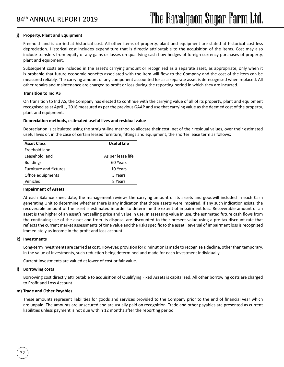#### **j) Property, Plant and Equipment**

Freehold land is carried at historical cost. All other items of property, plant and equipment are stated at historical cost less depreciation. Historical cost includes expenditure that is directly attributable to the acquisition of the items. Cost may also include transfers from equity of any gains or losses on qualifying cash flow hedges of foreign currency purchases of property, plant and equipment.

Subsequent costs are included in the asset's carrying amount or recognised as a separate asset, as appropriate, only when it is probable that future economic benefits associated with the item will flow to the Company and the cost of the item can be measured reliably. The carrying amount of any component accounted for as a separate asset is derecognised when replaced. All other repairs and maintenance are charged to profit or loss during the reporting period in which they are incurred.

#### **Transition to Ind AS**

On transition to Ind AS, the Company has elected to continue with the carrying value of all of its property, plant and equipment recognised as at April 1, 2016 measured as per the previous GAAP and use that carrying value as the deemed cost of the property, plant and equipment.

#### **Depreciation methods, estimated useful lives and residual value**

Depreciation is calculated using the straight-line method to allocate their cost, net of their residual values, over their estimated useful lives or, in the case of certain leased furniture, fittings and equipment, the shorter lease term as follows:

| <b>Asset Class</b>            | <b>Useful Life</b> |
|-------------------------------|--------------------|
| Freehold land                 |                    |
| Leasehold land                | As per lease life  |
| <b>Buildings</b>              | 60 Years           |
| <b>Furniture and fixtures</b> | 10 Years           |
| Office equipments             | 5 Years            |
| Vehicles                      | 8 Years            |

#### **Impairment of Assets**

At each Balance sheet date, the management reviews the carrying amount of its assets and goodwill included in each Cash generating Unit to determine whether there is any indication that those assets were impaired. If any such indication exists, the recoverable amount of the asset is estimated in order to determine the extent of impairment loss. Recoverable amount of an asset is the higher of an asset's net selling price and value in use. In assessing value in use, the estimated future cash flows from the continuing use of the asset and from its disposal are discounted to their present value using a pre-tax discount rate that reflects the current market assessments of time value and the risks specific to the asset. Reversal of impairment loss is recognized immediately as income in the profit and loss account.

#### **k) Investments**

Long-term investments are carried at cost. However, provision for diminution is made to recognise a decline, other than temporary, in the value of investments, such reduction being determined and made for each investment individually.

Current Investments are valued at lower of cost or fair value.

#### **l) Borrowing costs**

32

Borrowing cost directly attributable to acquisition of Qualifying Fixed Assets is capitalised. All other borrowing costs are charged to Profit and Loss Account

#### **m) Trade and Other Payables**

These amounts represent liabilities for goods and services provided to the Company prior to the end of financial year which are unpaid. The amounts are unsecured and are usually paid on recognition. Trade and other payables are presented as current liabilities unless payment is not due within 12 months after the reporting period.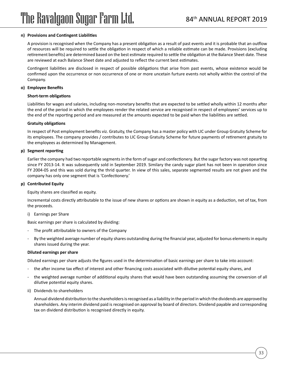#### **n) Provisions and Contingent Liabilities**

A provision is recognised when the Company has a present obligation as a result of past events and it is probable that an outflow of resources will be required to settle the obligation in respect of which a reliable estimate can be made. Provisions (excluding retirement benefits) are determined based on the best estimate required to settle the obligation at the Balance Sheet date. These are reviewed at each Balance Sheet date and adjusted to reflect the current best estimates.

Contingent liabilities are disclosed in respect of possible obligations that arise from past events, whose existence would be confirmed upon the occurrence or non occurrence of one or more uncetain furture events not wholly within the control of the Company.

#### **o) Employee Benefits**

#### **Short-term obligations**

Liabilities for wages and salaries, including non-monetary benefits that are expected to be settled wholly within 12 months after the end of the period in which the employees render the related service are recognised in respect of employees' services up to the end of the reporting period and are measured at the amounts expected to be paid when the liabilities are settled.

#### **Gratuity obligations**

In respect of Post employment benefits viz. Gratuity, the Company has a master policy with LIC under Group Gratuity Scheme for its employees. The company provides / contributes to LIC Group Gratuity Scheme for future payments of retirement gratuity to the employees as determined by Management.

#### **p) Segment reporting**

Earlier the company had two reportable segments in the form of sugar and confectionery. But the sugar factory was not opearting since FY 2013-14. It was subsequently sold in September 2019. Similary the candy sugar plant has not been in operation since FY 2004-05 and this was sold during the thrid quarter. In view of this sales, separate segmented results are not given and the company has only one segment that is 'Confectionery.'

#### **p) Contributed Equity**

Equity shares are classified as equity.

Incremental costs directly attributable to the issue of new shares or options are shown in equity as a deduction, net of tax, from the proceeds.

i) Earnings per Share

Basic earnings per share is calculated by dividing:

- The profit attributable to owners of the Company
- By the weighted average number of equity shares outstanding during the financial year, adjusted for bonus elements in equity shares issued during the year.

#### **Diluted earnings per share**

Diluted earnings per share adjusts the figures used in the determination of basic earnings per share to take into account:

- the after income tax effect of interest and other financing costs associated with dilutive potential equity shares, and
- the weighted average number of additional equity shares that would have been outstanding assuming the conversion of all dilutive potential equity shares.
- ii) Dividends to shareholders

Annual dividend distribution to the shareholders is recognised as a liability in the period in which the dividends are approved by shareholders. Any interim dividend paid is recognised on approval by board of directors. Dividend payable and corresponding tax on dividend distribution is recognised directly in equity.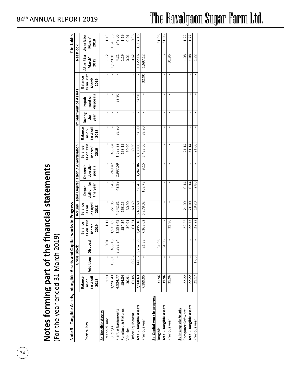| Notes forming part of the financial statements |                                   |
|------------------------------------------------|-----------------------------------|
|                                                |                                   |
|                                                | For the vear ended 31 March 2019) |
|                                                |                                   |
|                                                |                                   |

34

di CII 2019) (For the year ended 31 March 2019) ┪ C, 3 コリ year <u>را</u>  $Z \stackrel{.}{=}$ 

| Note 3 - Tangible Assets, Intangible Assets and Capital-works in Progress |                    |                    |                |                      |                    |                                                |           |                      |                   |        |                      |                      |                    | ₹ in Lakhs |
|---------------------------------------------------------------------------|--------------------|--------------------|----------------|----------------------|--------------------|------------------------------------------------|-----------|----------------------|-------------------|--------|----------------------|----------------------|--------------------|------------|
|                                                                           |                    | <b>Gross Block</b> |                |                      |                    | <b>Accumulated Depreciation / Amortisation</b> |           |                      |                   |        | Impairment of Assets |                      | Net Block          |            |
|                                                                           | <b>Balance</b>     |                    |                | <b>Balance</b>       | <b>Balance</b>     | Depre-                                         | Deprecia- | <b>Balance</b>       | <b>Balance</b>    | During | Impair-              | <b>Balance</b>       | AS at 31st         | As at 31st |
| Particulars                                                               | 1st April<br>as on | Additions Disposal |                | as on 31st<br>March' | 1st April<br>as on | ciation for                                    | tion dis- | as on 31st<br>March' | 1st Apri<br>as on | e<br># | ment on              | as on 31st<br>March' | March <sup>'</sup> | March'     |
|                                                                           | 2018               |                    |                | 2019                 | 2018               | the year                                       | posals    | 2019                 | 2018              | year   | disposals            | 2019                 | 2019               | 2018       |
| <b>3a-Tangible Assets</b>                                                 |                    |                    |                |                      |                    |                                                |           |                      |                   |        |                      |                      |                    |            |
| Freehold Land                                                             | 1.13               | ı                  | 0.01           | 1.12                 | ı                  | ı                                              |           |                      | ı                 | I.     |                      | ı                    | 1.12               | 1.13       |
| <b>Buildings</b>                                                          | 1,996.43           | 13.81              | 435.18         | 1,575.05             | 651.05             | 53.46                                          | 249.47    | 455.04               |                   |        |                      |                      | 1,120.01           | 1,345.38   |
| Plant & Equipments                                                        | 4,924.77           |                    | 3,332.34       | 1,592.43             | 4,542.81           | 42.99                                          | 2,997.59  | 1,588.22             | 32.90             | f,     | 32.90                |                      |                    | 349.06     |
| Furniture & Fixtures                                                      | 154.34             |                    |                | 154.34               | 153.15             |                                                |           | 153.15               |                   |        |                      |                      | 4.21<br>1.19       | 1.19       |
| Vehicles                                                                  | 30.91              |                    |                | 30.91                | 30.90              | ı                                              |           | 30.90                | ı                 |        |                      |                      | 0.01               | 0.01       |
| Office Equipment                                                          | 61.05              | 0.26               |                | 61.31                | 60.69              |                                                |           | 60.69                |                   |        |                      |                      | 0.62               | 0.36       |
| <b>Total - Tangible Assets</b>                                            | 7,168.63           |                    | 14.06 3,767.53 | 3,415.16             | 5,438.60           | 96.45                                          | 3,247.06  | 2,288.00             | 32.90             |        | 32.90                |                      | 1,127.16           | 1,697.13   |
| Previous year                                                             | 7,189.95           |                    | 21.33          | 7,168.62             | 5,279.02           | 168.73                                         | 9.15      | 5,438.60             | 32.90             |        |                      | 32.90                | 1,697.12           |            |
|                                                                           |                    |                    |                |                      |                    |                                                |           |                      |                   |        |                      |                      |                    |            |
| 3b-Capital work in progress<br>Tangible                                   | 31.96              | ı                  | 31.96          |                      | f,                 | ı                                              | ı         | ı                    | ı                 | ı      | ı                    |                      |                    | 31.96      |
| Total - Tangible Assets                                                   | 31.96              |                    | 31.96          |                      | ı                  |                                                |           |                      |                   |        |                      |                      |                    | 31.96      |
| Previous year                                                             | 31.96              |                    |                | 31.96                | ı                  |                                                |           |                      |                   |        |                      |                      | 31.96              |            |
| 3c-Intangible Assets                                                      |                    |                    |                |                      |                    |                                                |           |                      |                   |        |                      |                      |                    |            |
| Computer Software                                                         | 22.22              |                    |                | 22.22                | 21.00              | 0.14                                           |           | 21.14                | ı                 |        |                      |                      | 1.08               | 1.22       |
| Total - Tangible Assets                                                   | 22.22              |                    |                | 22.22                | 21.00              | 0.14                                           |           | 21.14                |                   |        |                      |                      | 1.08               | 1.22       |
| Previous year                                                             | 21.17              | 1.05               |                | 22.22                | 18.20              | 2.80                                           |           | 21.00                |                   |        |                      |                      | 1.22               |            |

### 84th ANNUAL REPORT 2019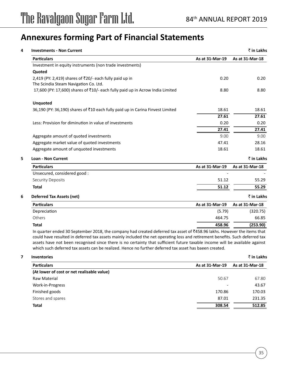| <b>Investments - Non Current</b>                                               |                 | ₹ in Lakhs      |
|--------------------------------------------------------------------------------|-----------------|-----------------|
| <b>Particulars</b>                                                             | As at 31-Mar-19 | As at 31-Mar-18 |
| Investment in equity instruments (non trade investments)                       |                 |                 |
| Quoted                                                                         |                 |                 |
| 2,419 (PY: 2,419) shares of ₹20/- each fully paid up in                        | 0.20            | 0.20            |
| The Scindia Steam Navigation Co. Ltd.                                          |                 |                 |
| 17,600 (PY: 17,600) shares of ₹10/- each fully paid up in Acrow India Limited  | 8.80            | 8.80            |
| <b>Unquoted</b>                                                                |                 |                 |
| 36,190 (PY: 36,190) shares of ₹10 each fully paid up in Carina Finvest Limited | 18.61           | 18.61           |
|                                                                                | 27.61           | 27.61           |
| Less: Provision for diminution in value of investments                         | 0.20            | 0.20            |
|                                                                                | 27.41           | 27.41           |
| Aggregate amount of quoted investments                                         | 9.00            | 9.00            |
| Aggregate market value of quoted investments                                   | 47.41           | 28.16           |
| Aggregate amount of unquoted investments                                       | 18.61           | 18.61           |
| <b>Loan - Non Current</b>                                                      |                 | ₹ in Lakhs      |
| <b>Particulars</b>                                                             | As at 31-Mar-19 | As at 31-Mar-18 |
| Unsecured, considered good:                                                    |                 |                 |
| <b>Security Deposits</b>                                                       | 51.12           | 55.29           |
| <b>Total</b>                                                                   | 51.12           | 55.29           |
| <b>Deferred Tax Assets (net)</b>                                               |                 | ₹ in Lakhs      |
| <b>Particulars</b>                                                             | As at 31-Mar-19 | As at 31-Mar-18 |
| Depreciation                                                                   | (5.79)          | (320.75)        |
| Others                                                                         | 464.75          | 66.85           |
| <b>Total</b>                                                                   | 458.96          | (253.90)        |
|                                                                                |                 |                 |

In quarter ended 30 September 2018, the company had created deferred tax asset of  $*458.96$  lakhs. However the items that could have resulted in deferred tax assets mainly included the net operating loss and retirement benefits. Such deferred tax assets have not been recognised since there is no certainty that sufficient future taxable income will be available against which such deferred tax assets can be realized. Hence no further deferred tax asset has baeen created.

#### **7 Inventories** ` **in Lakhs**

| <b>Particulars</b>                         | As at 31-Mar-19          | As at 31-Mar-18 |
|--------------------------------------------|--------------------------|-----------------|
| (At lower of cost or net realisable value) |                          |                 |
| Raw Material                               | 50.67                    | 67.80           |
| Work-in-Progress                           | $\overline{\phantom{a}}$ | 43.67           |
| Finished goods                             | 170.86                   | 170.03          |
| Stores and spares                          | 87.01                    | 231.35          |
| <b>Total</b>                               | 308.54                   | 512.85          |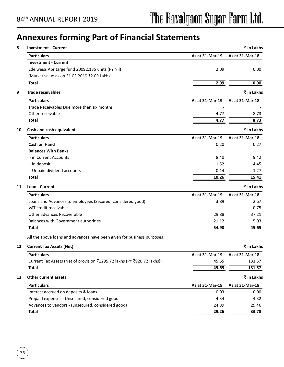| As at 31-Mar-18<br><b>Particulars</b><br>As at 31-Mar-19<br><b>Investment - Current</b><br>Edelweiss Abritarge fund 20092.135 units (PY Nil)<br>2.09<br>0.00<br>(Market value as on 31.03.2019 ₹2.09 Lakhs)<br><b>Total</b><br>2.09<br>0.00<br>₹ in Lakhs<br><b>Particulars</b><br>As at 31-Mar-19<br>As at 31-Mar-18<br>Trade Receivables Due more then six months<br>Other receivable<br>4.77<br>8.73<br>4.77<br>8.73<br>Total<br>₹ in Lakhs<br><b>Particulars</b><br>As at 31-Mar-19<br>As at 31-Mar-18<br><b>Cash on Hand</b><br>0.20<br>0.27<br><b>Balances With Banks</b><br>- in Current Accounts<br>8.40<br>9.42<br>- in deposit<br>1.52<br>4.45<br>- Unpaid dividend accounts<br>0.14<br>1.27<br><b>Total</b><br>10.26<br>15.41<br>₹ in Lakhs<br>As at 31-Mar-19<br><b>Particulars</b><br>As at 31-Mar-18<br>Loans and Advances to employees (Secured, considered good)<br>3.89<br>2.67<br>VAT credit receivable<br>0.75<br>Other advances Recoverable<br>29.88<br>37.21<br><b>Balances with Government authorities</b><br>21.12<br>5.03<br><b>Total</b><br>45.65<br>54.90<br>₹ in Lakhs<br>As at 31-Mar-19<br><b>Particulars</b><br>As at 31-Mar-18<br>Current Tax Assets (Net of provision ₹1295.72 lakhs (PY ₹920.72 lakhs))<br>45.65<br>131.57<br>131.57<br><b>Total</b><br>45.65<br>₹ in Lakhs<br><b>Particulars</b><br>As at 31-Mar-19<br>As at 31-Mar-18<br>Interest accrued on deposits & loans<br>0.03<br>0.00<br>Prepaid expenses - Unsecured, considered good<br>4.34<br>4.32<br>Advances to vendors - (unsecured, considered good)<br>24.89<br>29.46<br>29.26<br><b>Total</b><br>33.78 | <b>Investment - Current</b>                                            | ₹ in Lakhs |
|-------------------------------------------------------------------------------------------------------------------------------------------------------------------------------------------------------------------------------------------------------------------------------------------------------------------------------------------------------------------------------------------------------------------------------------------------------------------------------------------------------------------------------------------------------------------------------------------------------------------------------------------------------------------------------------------------------------------------------------------------------------------------------------------------------------------------------------------------------------------------------------------------------------------------------------------------------------------------------------------------------------------------------------------------------------------------------------------------------------------------------------------------------------------------------------------------------------------------------------------------------------------------------------------------------------------------------------------------------------------------------------------------------------------------------------------------------------------------------------------------------------------------------------------------------------------------------------------------------------|------------------------------------------------------------------------|------------|
|                                                                                                                                                                                                                                                                                                                                                                                                                                                                                                                                                                                                                                                                                                                                                                                                                                                                                                                                                                                                                                                                                                                                                                                                                                                                                                                                                                                                                                                                                                                                                                                                             |                                                                        |            |
|                                                                                                                                                                                                                                                                                                                                                                                                                                                                                                                                                                                                                                                                                                                                                                                                                                                                                                                                                                                                                                                                                                                                                                                                                                                                                                                                                                                                                                                                                                                                                                                                             |                                                                        |            |
|                                                                                                                                                                                                                                                                                                                                                                                                                                                                                                                                                                                                                                                                                                                                                                                                                                                                                                                                                                                                                                                                                                                                                                                                                                                                                                                                                                                                                                                                                                                                                                                                             |                                                                        |            |
|                                                                                                                                                                                                                                                                                                                                                                                                                                                                                                                                                                                                                                                                                                                                                                                                                                                                                                                                                                                                                                                                                                                                                                                                                                                                                                                                                                                                                                                                                                                                                                                                             |                                                                        |            |
|                                                                                                                                                                                                                                                                                                                                                                                                                                                                                                                                                                                                                                                                                                                                                                                                                                                                                                                                                                                                                                                                                                                                                                                                                                                                                                                                                                                                                                                                                                                                                                                                             |                                                                        |            |
|                                                                                                                                                                                                                                                                                                                                                                                                                                                                                                                                                                                                                                                                                                                                                                                                                                                                                                                                                                                                                                                                                                                                                                                                                                                                                                                                                                                                                                                                                                                                                                                                             | <b>Trade receivables</b>                                               |            |
|                                                                                                                                                                                                                                                                                                                                                                                                                                                                                                                                                                                                                                                                                                                                                                                                                                                                                                                                                                                                                                                                                                                                                                                                                                                                                                                                                                                                                                                                                                                                                                                                             |                                                                        |            |
|                                                                                                                                                                                                                                                                                                                                                                                                                                                                                                                                                                                                                                                                                                                                                                                                                                                                                                                                                                                                                                                                                                                                                                                                                                                                                                                                                                                                                                                                                                                                                                                                             |                                                                        |            |
|                                                                                                                                                                                                                                                                                                                                                                                                                                                                                                                                                                                                                                                                                                                                                                                                                                                                                                                                                                                                                                                                                                                                                                                                                                                                                                                                                                                                                                                                                                                                                                                                             |                                                                        |            |
|                                                                                                                                                                                                                                                                                                                                                                                                                                                                                                                                                                                                                                                                                                                                                                                                                                                                                                                                                                                                                                                                                                                                                                                                                                                                                                                                                                                                                                                                                                                                                                                                             |                                                                        |            |
|                                                                                                                                                                                                                                                                                                                                                                                                                                                                                                                                                                                                                                                                                                                                                                                                                                                                                                                                                                                                                                                                                                                                                                                                                                                                                                                                                                                                                                                                                                                                                                                                             | <b>Cash and cash equivalents</b>                                       |            |
|                                                                                                                                                                                                                                                                                                                                                                                                                                                                                                                                                                                                                                                                                                                                                                                                                                                                                                                                                                                                                                                                                                                                                                                                                                                                                                                                                                                                                                                                                                                                                                                                             |                                                                        |            |
|                                                                                                                                                                                                                                                                                                                                                                                                                                                                                                                                                                                                                                                                                                                                                                                                                                                                                                                                                                                                                                                                                                                                                                                                                                                                                                                                                                                                                                                                                                                                                                                                             |                                                                        |            |
|                                                                                                                                                                                                                                                                                                                                                                                                                                                                                                                                                                                                                                                                                                                                                                                                                                                                                                                                                                                                                                                                                                                                                                                                                                                                                                                                                                                                                                                                                                                                                                                                             |                                                                        |            |
|                                                                                                                                                                                                                                                                                                                                                                                                                                                                                                                                                                                                                                                                                                                                                                                                                                                                                                                                                                                                                                                                                                                                                                                                                                                                                                                                                                                                                                                                                                                                                                                                             |                                                                        |            |
|                                                                                                                                                                                                                                                                                                                                                                                                                                                                                                                                                                                                                                                                                                                                                                                                                                                                                                                                                                                                                                                                                                                                                                                                                                                                                                                                                                                                                                                                                                                                                                                                             |                                                                        |            |
|                                                                                                                                                                                                                                                                                                                                                                                                                                                                                                                                                                                                                                                                                                                                                                                                                                                                                                                                                                                                                                                                                                                                                                                                                                                                                                                                                                                                                                                                                                                                                                                                             |                                                                        |            |
|                                                                                                                                                                                                                                                                                                                                                                                                                                                                                                                                                                                                                                                                                                                                                                                                                                                                                                                                                                                                                                                                                                                                                                                                                                                                                                                                                                                                                                                                                                                                                                                                             |                                                                        |            |
|                                                                                                                                                                                                                                                                                                                                                                                                                                                                                                                                                                                                                                                                                                                                                                                                                                                                                                                                                                                                                                                                                                                                                                                                                                                                                                                                                                                                                                                                                                                                                                                                             | Loan - Current                                                         |            |
|                                                                                                                                                                                                                                                                                                                                                                                                                                                                                                                                                                                                                                                                                                                                                                                                                                                                                                                                                                                                                                                                                                                                                                                                                                                                                                                                                                                                                                                                                                                                                                                                             |                                                                        |            |
|                                                                                                                                                                                                                                                                                                                                                                                                                                                                                                                                                                                                                                                                                                                                                                                                                                                                                                                                                                                                                                                                                                                                                                                                                                                                                                                                                                                                                                                                                                                                                                                                             |                                                                        |            |
|                                                                                                                                                                                                                                                                                                                                                                                                                                                                                                                                                                                                                                                                                                                                                                                                                                                                                                                                                                                                                                                                                                                                                                                                                                                                                                                                                                                                                                                                                                                                                                                                             |                                                                        |            |
|                                                                                                                                                                                                                                                                                                                                                                                                                                                                                                                                                                                                                                                                                                                                                                                                                                                                                                                                                                                                                                                                                                                                                                                                                                                                                                                                                                                                                                                                                                                                                                                                             |                                                                        |            |
|                                                                                                                                                                                                                                                                                                                                                                                                                                                                                                                                                                                                                                                                                                                                                                                                                                                                                                                                                                                                                                                                                                                                                                                                                                                                                                                                                                                                                                                                                                                                                                                                             |                                                                        |            |
|                                                                                                                                                                                                                                                                                                                                                                                                                                                                                                                                                                                                                                                                                                                                                                                                                                                                                                                                                                                                                                                                                                                                                                                                                                                                                                                                                                                                                                                                                                                                                                                                             |                                                                        |            |
|                                                                                                                                                                                                                                                                                                                                                                                                                                                                                                                                                                                                                                                                                                                                                                                                                                                                                                                                                                                                                                                                                                                                                                                                                                                                                                                                                                                                                                                                                                                                                                                                             | All the above loans and advances have been given for business purposes |            |
|                                                                                                                                                                                                                                                                                                                                                                                                                                                                                                                                                                                                                                                                                                                                                                                                                                                                                                                                                                                                                                                                                                                                                                                                                                                                                                                                                                                                                                                                                                                                                                                                             | <b>Current Tax Assets (Net)</b>                                        |            |
|                                                                                                                                                                                                                                                                                                                                                                                                                                                                                                                                                                                                                                                                                                                                                                                                                                                                                                                                                                                                                                                                                                                                                                                                                                                                                                                                                                                                                                                                                                                                                                                                             |                                                                        |            |
|                                                                                                                                                                                                                                                                                                                                                                                                                                                                                                                                                                                                                                                                                                                                                                                                                                                                                                                                                                                                                                                                                                                                                                                                                                                                                                                                                                                                                                                                                                                                                                                                             |                                                                        |            |
|                                                                                                                                                                                                                                                                                                                                                                                                                                                                                                                                                                                                                                                                                                                                                                                                                                                                                                                                                                                                                                                                                                                                                                                                                                                                                                                                                                                                                                                                                                                                                                                                             |                                                                        |            |
|                                                                                                                                                                                                                                                                                                                                                                                                                                                                                                                                                                                                                                                                                                                                                                                                                                                                                                                                                                                                                                                                                                                                                                                                                                                                                                                                                                                                                                                                                                                                                                                                             | <b>Other current assets</b>                                            |            |
|                                                                                                                                                                                                                                                                                                                                                                                                                                                                                                                                                                                                                                                                                                                                                                                                                                                                                                                                                                                                                                                                                                                                                                                                                                                                                                                                                                                                                                                                                                                                                                                                             |                                                                        |            |
|                                                                                                                                                                                                                                                                                                                                                                                                                                                                                                                                                                                                                                                                                                                                                                                                                                                                                                                                                                                                                                                                                                                                                                                                                                                                                                                                                                                                                                                                                                                                                                                                             |                                                                        |            |
|                                                                                                                                                                                                                                                                                                                                                                                                                                                                                                                                                                                                                                                                                                                                                                                                                                                                                                                                                                                                                                                                                                                                                                                                                                                                                                                                                                                                                                                                                                                                                                                                             |                                                                        |            |
|                                                                                                                                                                                                                                                                                                                                                                                                                                                                                                                                                                                                                                                                                                                                                                                                                                                                                                                                                                                                                                                                                                                                                                                                                                                                                                                                                                                                                                                                                                                                                                                                             |                                                                        |            |
|                                                                                                                                                                                                                                                                                                                                                                                                                                                                                                                                                                                                                                                                                                                                                                                                                                                                                                                                                                                                                                                                                                                                                                                                                                                                                                                                                                                                                                                                                                                                                                                                             |                                                                        |            |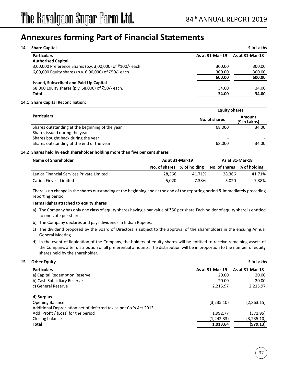| <b>Share Capital</b>                                      |                 | ₹ in Lakhs      |
|-----------------------------------------------------------|-----------------|-----------------|
| <b>Particulars</b>                                        | As at 31-Mar-19 | As at 31-Mar-18 |
| <b>Authorised Capital</b>                                 |                 |                 |
| 3,00,000 Preference Shares (p.y. 3,00,000) of ₹100/- each | 300.00          | 300.00          |
| 6,00,000 Equity shares (p.y. 6,00,000) of ₹50/- each      | 300.00          | 300.00          |
|                                                           | 600.00          | 600.00          |
| <b>Issued, Subscribed and Paid Up Capital</b>             |                 |                 |
| 68,000 Equity shares (p.y. 68,000) of ₹50/- each.         | 34.00           | 34.00           |
| <b>Total</b>                                              | 34.00           | 34.00           |
|                                                           |                 |                 |

#### **14.1 Share Capital Reconciliation:**

|                                                 |                              | <b>Equity Shares</b>   |  |  |  |
|-------------------------------------------------|------------------------------|------------------------|--|--|--|
| <b>Particulars</b>                              | No. of shares                | Amount<br>(₹ in Lakhs) |  |  |  |
| Shares outstanding at the beginning of the year | 68,000                       | 34.00                  |  |  |  |
| Shares issued during the year                   | $\qquad \qquad \blacksquare$ |                        |  |  |  |
| Shares bought back during the year              | $\qquad \qquad \blacksquare$ |                        |  |  |  |
| Shares outstanding at the end of the year       | 68,000                       | 34.00                  |  |  |  |

#### **14.2 Shares held by each shareholder holding more than five per cent shares**

| Name of Shareholder                       | As at 31-Mar-19            |        | As at 31-Mar-18            |        |
|-------------------------------------------|----------------------------|--------|----------------------------|--------|
|                                           | No. of shares % of holding |        | No. of shares % of holding |        |
| Lanica Financial Services Private Limited | 28.366                     | 41.71% | 28.366                     | 41.71% |
| Carina Finvest Limited                    | 5.020                      | 7.38%  | 5.020                      | 7.38%  |

There is no change in the shares outstanding at the beginning and at the end of the reporting period & immediately preceding reporting period

#### **Terms Rights attached to equity shares**

- a) The Company has only one class of equity shares having a par value of  $\bar{z}$ 50 per share.Each holder of equity share is entitled to one vote per share.
- b) The Company declares and pays dividends in Indian Rupees.
- c) The dividend proposed by the Board of Directors is subject to the approval of the shareholders in the ensuing Annual General Meeting.
- d) In the event of liquidation of the Company, the holders of equity shares will be entitled to receive remaining assets of the Company, after distribution of all preferential amounts. The distribution will be in proportion to the number of equity shares held by the shareholder.

#### **15 Other Equity** ` **in Lakhs**

| <b>Particulars</b>                                                | As at 31-Mar-19 | As at 31-Mar-18 |
|-------------------------------------------------------------------|-----------------|-----------------|
| a) Capital Redemption Reserve                                     | 20.00           | 20.00           |
| b) Cash Subsidiary Reserve                                        | 20.00           | 20.00           |
| c) General Reserve                                                | 2,215.97        | 2,215.97        |
| d) Surplus                                                        |                 |                 |
| <b>Opening Balance</b>                                            | (3,235.10)      | (2,863.15)      |
| Additional Depreciation net of deferred tax as per Co.'s Act 2013 |                 |                 |
| Add: Profit / (Loss) for the period                               | 1,992.77        | (371.95)        |
| Closing balance                                                   | (1, 242.33)     | (3,235.10)      |
| <b>Total</b>                                                      | 1,013.64        | (979.13)        |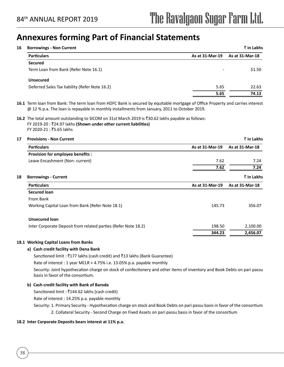| <b>Borrowings - Non Current</b>                |                          | $\bar{z}$ in Lakhs |
|------------------------------------------------|--------------------------|--------------------|
| <b>Particulars</b>                             | As at 31-Mar-19          | As at 31-Mar-18    |
| <b>Secured</b>                                 |                          |                    |
| Term Loan from Bank (Refer Note 16.1)          | $\overline{\phantom{a}}$ | 51.50              |
| <b>Unsecured</b>                               |                          |                    |
| Deferred Sales Tax liability (Refer Note 16.2) | 5.65                     | 22.63              |
|                                                | 5.65                     | 74.13              |

**16.1** Term loan from Bank: The term loan from HDFC Bank is secured by equitable mortgage of Office Property and carries interest @ 12 % p.a. The loan is repayable in monthly installments from January, 2011 to October 2019.

16.2 The total amount outstanding to SICOM on 31st March 2019 is ₹30.62 lakhs payable as follows: FY 2019-20 : ₹24.97 lakhs (Shown under other current liabilities) FY 2020-21 : ₹5.65 lakhs

| <b>Provisions - Non Current</b>                                |                 | ₹ in Lakhs      |
|----------------------------------------------------------------|-----------------|-----------------|
| <b>Particulars</b>                                             | As at 31-Mar-19 | As at 31-Mar-18 |
| Provision for employee benefits :                              |                 |                 |
| Leave Encashment (Non-current)                                 | 7.62            | 7.24            |
|                                                                | 7.62            | 7.24            |
| <b>Borrowings - Current</b>                                    |                 | ₹ in Lakhs      |
| <b>Particulars</b>                                             | As at 31-Mar-19 | As at 31-Mar-18 |
| Secured loan                                                   |                 |                 |
| From Bank                                                      |                 |                 |
| Working Capital Loan from Bank (Refer Note 18.1)               | 145.73          | 356.07          |
| <b>Unsecured loan</b>                                          |                 |                 |
| Inter Corporate Deposit from related parties (Refer Note 18.2) | 198.50          | 2,100.00        |
|                                                                | 344.23          | 2,456.07        |

#### **18.1 Working Capital Loans from Banks**

#### **a) Cash credit facility with Dena Bank**

Sanctioned limit : ₹177 lakhs (cash credit) and ₹13 lakhs (Bank Guarantee)

Rate of interest : 1 year MCLR + 4.75% i.e. 13.05% p.a. payable monthly

Security: Joint hypothecation charge on stock of confectionery and other items of inventory and Book Debts on pari passu basis in favor of the consortium.

#### **b) Cash credit facility with Bank of Baroda**

Sanctioned limit :  $\bar{z}$ 144.62 lakhs (cash credit)

Rate of interest : 14.25% p.a. payable monthly

Security: 1. Primary Security - Hypothecation charge on stock and Book Debts on pari passu basis in favor of the consortium 2. Collateral Security - Second Charge on Fixed Assets on pari passu basis in favor of the consortium

#### **18.2 Inter Corporate Deposits bears interest at 11% p.a.**

38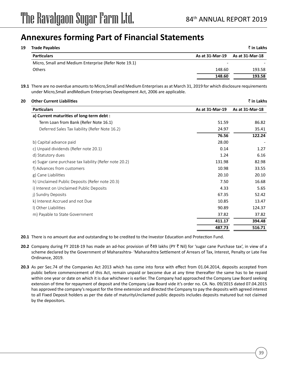| 19<br><b>Trade Payables</b>                          |                 | ₹ in Lakhs      |
|------------------------------------------------------|-----------------|-----------------|
| <b>Particulars</b>                                   | As at 31-Mar-19 | As at 31-Mar-18 |
| Micro, Small amd Medium Enterprise (Refer Note 19.1) | -               |                 |
| Others                                               | 148.60          | 193.58          |
|                                                      | 148.60          | 193.58          |

**19.1** There are no overdue amounts to Micro,Small and Medium Enterprises as at March 31, 2019 for which disclosure requirements under Micro,Small andMedium Enterprises Development Act, 2006 are applicable.

| <b>Other Current Liabilities</b>                       |                 | ₹ in Lakhs      |
|--------------------------------------------------------|-----------------|-----------------|
| <b>Particulars</b>                                     | As at 31-Mar-19 | As at 31-Mar-18 |
| a) Current maturities of long-term debt :              |                 |                 |
| Term Loan from Bank (Refer Note 16.1)                  | 51.59           | 86.82           |
| Deferred Sales Tax liability (Refer Note 16.2)         | 24.97           | 35.41           |
|                                                        | 76.56           | 122.24          |
| b) Capital advance paid                                | 28.00           |                 |
| c) Unpaid dividends (Refer note 20.1)                  | 0.14            | 1.27            |
| d) Statutory dues                                      | 1.24            | 6.16            |
| e) Sugar cane purchase tax liability (Refer note 20.2) | 131.98          | 82.98           |
| f) Advances from customers                             | 10.98           | 33.55           |
| g) Cane Liabilities                                    | 20.10           | 20.10           |
| h) Unclaimed Public Deposits (Refer note 20.3)         | 7.50            | 16.68           |
| i) Interest on Unclaimed Public Deposits               | 4.33            | 5.65            |
| j) Sundry Deposits                                     | 67.35           | 52.42           |
| k) Interest Accrued and not Due                        | 10.85           | 13.47           |
| I) Other Liabilities                                   | 90.89           | 124.37          |
| m) Payable to State Government                         | 37.82           | 37.82           |
|                                                        | 411.17          | 394.48          |
|                                                        | 487.73          | 516.71          |
|                                                        |                 |                 |

**20.1** There is no amount due and outstanding to be credited to the Investor Education and Protection Fund.

- **20.2** Company during FY 2018-19 has made an ad-hoc provision of `49 lakhs (PY ` Nil) for 'sugar cane Purchase tax', in view of a scheme declared by the Government of Maharashtra- 'Maharashtra Settlement of Arrears of Tax, Interest, Penalty or Late Fee Ordinance, 2019.
- **20.3** As per Sec.74 of the Companies Act 2013 which has come into force with effect from 01.04.2014, deposits accepted from public before commencement of this Act, remain unpaid or become due at any time thereafter the same has to be repaid within one year or date on which it is due whichever is earlier. The Company had approached the Company Law Board seeking extension of time for repayment of deposit and the Company Law Board vide it's order no. CA. No. 09/2015 dated 07.04.2015 has approved the company's request for the time extension and directed the Company to pay the deposits with agreed interest to all Fixed Deposit holders as per the date of maturityUncliamed public deposits includes deposits matured but not claimed by the depositors.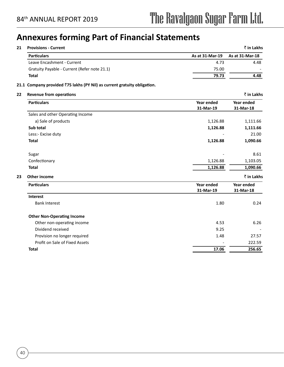40

## **Annexures forming Part of Financial Statements**

| 21 | <b>Provisions - Current</b>                                              |                         | ₹ in Lakhs              |
|----|--------------------------------------------------------------------------|-------------------------|-------------------------|
|    | <b>Particulars</b>                                                       | As at 31-Mar-19         | As at 31-Mar-18         |
|    | Leave Encashment - Current                                               | 4.73                    | 4.48                    |
|    | Gratuity Payable - Current (Refer note 21.1)                             | 75.00                   |                         |
|    | <b>Total</b>                                                             | 79.73                   | 4.48                    |
|    | 21.1 Company provided ₹75 lakhs (PY Nil) as current gratuity obligation. |                         |                         |
| 22 | <b>Revenue from operations</b>                                           |                         | ₹ in Lakhs              |
|    | <b>Particulars</b>                                                       | Year ended<br>31-Mar-19 | Year ended<br>31-Mar-18 |
|    | Sales and other Operating Income                                         |                         |                         |
|    | a) Sale of products                                                      | 1,126.88                | 1,111.66                |
|    | Sub total                                                                | 1,126.88                | 1,111.66                |
|    | Less:- Excise duty                                                       |                         | 21.00                   |
|    | <b>Total</b>                                                             | 1,126.88                | 1,090.66                |
|    | Sugar                                                                    |                         | 8.61                    |
|    | Confectionary                                                            | 1,126.88                | 1,103.05                |
|    | <b>Total</b>                                                             | 1,126.88                | 1,090.66                |
| 23 | <b>Other income</b>                                                      |                         | ₹ in Lakhs              |
|    | <b>Particulars</b>                                                       | Year ended<br>31-Mar-19 | Year ended<br>31-Mar-18 |
|    | <b>Interest</b>                                                          |                         |                         |
|    | <b>Bank Interest</b>                                                     | 1.80                    | 0.24                    |
|    | <b>Other Non-Operating Income</b>                                        |                         |                         |
|    | Other non-operating income                                               | 4.53                    | 6.26                    |
|    | Dividend received                                                        | 9.25                    |                         |
|    | Provision no longer required                                             | 1.48                    | 27.57                   |
|    | Profit on Sale of Fixed Assets                                           |                         | 222.59                  |
|    | <b>Total</b>                                                             | 17.06                   | 256.65                  |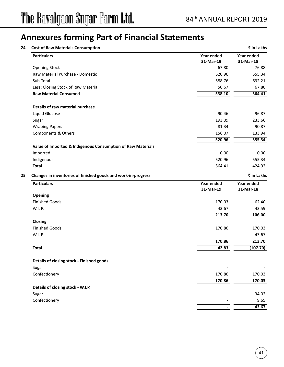| <b>Particulars</b>                                            | Year ended | Year ended |
|---------------------------------------------------------------|------------|------------|
|                                                               | 31-Mar-19  | 31-Mar-18  |
| <b>Opening Stock</b>                                          | 67.80      | 76.88      |
| Raw Material Purchase - Domestic                              | 520.96     | 555.34     |
| Sub-Total                                                     | 588.76     | 632.21     |
| Less: Closing Stock of Raw Material                           | 50.67      | 67.80      |
| <b>Raw Material Consumed</b>                                  | 538.10     | 564.41     |
| Details of raw material purchase                              |            |            |
| Liquid Glucose                                                | 90.46      | 96.87      |
| Sugar                                                         | 193.09     | 233.66     |
| <b>Wraping Papers</b>                                         | 81.34      | 90.87      |
| Components & Others                                           | 156.07     | 133.94     |
|                                                               | 520.96     | 555.34     |
| Value of Imported & Indigenous Consumption of Raw Materials   |            |            |
| Imported                                                      | 0.00       | 0.00       |
| Indigenous                                                    | 520.96     | 555.34     |
| <b>Total</b>                                                  | 564.41     | 424.92     |
| Changes in inventories of finished goods and work-in-progress |            | ₹ in Lakhs |
| <b>Particulars</b>                                            | Year ended | Year ended |
|                                                               | 31-Mar-19  | 31-Mar-18  |
| <b>Opening</b>                                                |            |            |
| <b>Finished Goods</b>                                         | 170.03     | 62.40      |
| W.I. P.                                                       | 43.67      | 43.59      |
|                                                               | 213.70     | 106.00     |
| Closing                                                       |            |            |
| <b>Finished Goods</b>                                         | 170.86     | 170.03     |
| W.I. P.                                                       |            | 43.67      |
|                                                               | 170.86     | 213.70     |
| <b>Total</b>                                                  | 42.83      | (107.70)   |
| Details of closing stock - Finished goods                     |            |            |
| Sugar                                                         |            |            |
| Confectionery                                                 | 170.86     | 170.03     |
|                                                               | 170.86     | 170.03     |
| Details of closing stock - W.I.P.                             |            |            |
| Sugar                                                         |            | 34.02      |
| Confectionery                                                 |            | 9.65       |
|                                                               |            | 43.67      |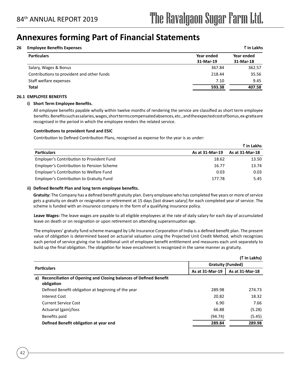#### **26 Employee Benefits Expenses** ` **in Lakhs**

| Year ended<br>31-Mar-19 | Year ended<br>31-Mar-18 |
|-------------------------|-------------------------|
|                         |                         |
|                         |                         |
| 367.84                  | 362.57                  |
| 218.44                  | 35.56                   |
| 7.10                    | 9.45                    |
| 593.38                  | 407.58                  |
|                         |                         |

#### **26.1 EMPLOYEE BENEFITS**

#### **i) Short Term Employee Benefits.**

All employee benefits payable wholly within twelve months of rendering the service are classified as short term employee benefits. Benefits such as salaries, wages, short terms compensated absences, etc., and the expected cost of bonus, ex-gratia are recognised in the period in which the employee renders the related service.

#### **Contributions to provident fund and ESIC**

Contribution to Defined Contribution Plans, recognised as expense for the year is as under:

|                                                  |                 | ₹ in Lakhs      |
|--------------------------------------------------|-----------------|-----------------|
| <b>Particulars</b>                               | As at 31-Mar-19 | As at 31-Mar-18 |
| Employer's Contribution to Provident Fund        | 18.62           | 13.50           |
| <b>Employer's Contribution to Pension Scheme</b> | 16.77           | 13.74           |
| Employer's Contribution to Welfare Fund          | 0.03            | 0.03            |
| <b>Employer's Contribution to Gratuity Fund</b>  | 177.78          | 5.45            |

#### **ii) Defined Benefit Plan and long term employee benefits.**

 **Gratuity:** The Company has a defined benefit gratuity plan. Every employee who has completed five years or more of service gets a gratuity on death or resignation or retirement at 15 days [last drawn salary] for each completed year of service. The scheme is funded with an insurance company in the form of a qualifying insurance policy.

**Leave Wages:** The leave wages are payable to all eligible employees at the rate of daily salary for each day of accumulated leave on death or on resignation or upon retirement on attending superannuation age.

The employees' gratuity fund scheme managed by Life Insurance Corporation of India is a defined benefit plan. The present value of obligation is determined based on actuarial valuation using the Projected Unit Credit Method, which recognizes each period of service giving rise to additional unit of employee benefit entitlement and measures each unit separately to build up the final obligation. The obligation for leave encashment is recognized in the same manner as gratuity.

|                                                                                              |                                                                | $($ ₹ In Lakhs) |
|----------------------------------------------------------------------------------------------|----------------------------------------------------------------|-----------------|
|                                                                                              | <b>Gratuity (Funded)</b><br>As at 31-Mar-19<br>As at 31-Mar-18 |                 |
| <b>Particulars</b>                                                                           |                                                                |                 |
| <b>Reconciliation of Opening and Closing balances of Defined Benefit</b><br>a)<br>obligation |                                                                |                 |
| Defined Benefit obligation at beginning of the year                                          | 289.98                                                         | 274.73          |
| Interest Cost                                                                                | 20.82                                                          | 18.32           |
| <b>Current Service Cost</b>                                                                  | 6.90                                                           | 7.66            |
| Actuarial (gain)/loss                                                                        | 66.88                                                          | (5.28)          |
| Benefits paid                                                                                | (94.74)                                                        | (5.45)          |
| Defined Benefit obligation at year end                                                       | 289.84                                                         | 289.98          |
|                                                                                              |                                                                |                 |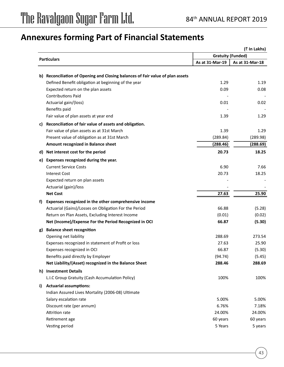|    |                                                                                |                 | (₹ In Lakhs)             |
|----|--------------------------------------------------------------------------------|-----------------|--------------------------|
|    | <b>Particulars</b>                                                             |                 | <b>Gratuity (Funded)</b> |
|    |                                                                                | As at 31-Mar-19 | As at 31-Mar-18          |
|    | b) Reconciliation of Opening and Closing balances of Fair value of plan assets |                 |                          |
|    | Defined Benefit obligation at beginning of the year                            | 1.29            | 1.19                     |
|    | Expected return on the plan assets                                             | 0.09            | 0.08                     |
|    | <b>Contributions Paid</b>                                                      |                 |                          |
|    | Actuarial gain/(loss)                                                          | 0.01            | 0.02                     |
|    | Benefits paid                                                                  |                 |                          |
|    | Fair value of plan assets at year end                                          | 1.39            | 1.29                     |
| c) | Reconciliation of fair value of assets and obligation.                         |                 |                          |
|    | Fair value of plan assets as at 31st March                                     | 1.39            | 1.29                     |
|    | Present value of obligation as at 31st March                                   | (289.84)        | (289.98)                 |
|    | Amount recognized in Balance sheet                                             | (288.46)        | (288.69)                 |
|    | d) Net interest cost for the period                                            | 20.73           | 18.25                    |
| e) | Expenses recognized during the year.                                           |                 |                          |
|    | <b>Current Service Costs</b>                                                   | 6.90            | 7.66                     |
|    | <b>Interest Cost</b>                                                           | 20.73           | 18.25                    |
|    | Expected return on plan assets                                                 |                 |                          |
|    | Actuarial (gain)/loss                                                          |                 |                          |
|    | <b>Net Cost</b>                                                                | 27.63           | 25.90                    |
| f) | Expenses recognized in the other comprehensive income                          |                 |                          |
|    | Actuarial (Gains)/Losses on Obligation For the Period                          | 66.88           | (5.28)                   |
|    | Return on Plan Assets, Excluding Interest Income                               | (0.01)          | (0.02)                   |
|    | Net (Income)/Expense For the Period Recognized in OCI                          | 66.87           | (5.30)                   |
| g) | <b>Balance sheet recognition</b>                                               |                 |                          |
|    | Opening net liability                                                          | 288.69          | 273.54                   |
|    | Expenses recognized in statement of Profit or loss                             | 27.63           | 25.90                    |
|    | Expenses recognized in OCI                                                     | 66.87           | (5.30)                   |
|    | Benefits paid directly by Employer                                             | (94.74)         | (5.45)                   |
|    | Net Liability/(Asset) recognized in the Balance Sheet                          | 288.46          | 288.69                   |
|    | h) Investment Details                                                          |                 |                          |
|    | L.I.C Group Gratuity (Cash Accumulation Policy)                                | 100%            | 100%                     |
| i) | <b>Actuarial assumptions:</b>                                                  |                 |                          |
|    | Indian Assured Lives Mortality (2006-08) Ultimate                              |                 |                          |
|    | Salary escalation rate                                                         | 5.00%           | 5.00%                    |
|    | Discount rate (per annum)                                                      | 6.76%           | 7.18%                    |
|    | Attrition rate                                                                 | 24.00%          | 24.00%                   |
|    | Retirement age                                                                 | 60 years        | 60 years                 |
|    | Vesting period                                                                 | 5 Years         | 5 years                  |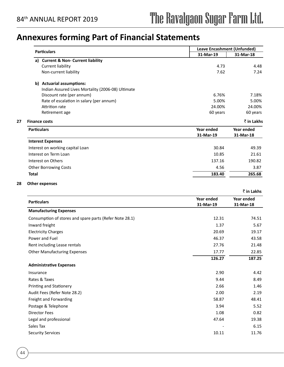|                                                         | <b>Leave Encashment (Unfunded)</b> |                          |
|---------------------------------------------------------|------------------------------------|--------------------------|
| <b>Particulars</b>                                      | 31-Mar-19                          | 31-Mar-18                |
| a) Current & Non- Current liability                     |                                    |                          |
| <b>Current liability</b>                                | 4.73                               | 4.48                     |
| Non-current liability                                   | 7.62                               | 7.24                     |
| b) Actuarial assumptions:                               |                                    |                          |
| Indian Assured Lives Mortality (2006-08) Ultimate       |                                    |                          |
| Discount rate (per annum)                               | 6.76%                              | 7.18%                    |
| Rate of escalation in salary (per annum)                | 5.00%                              | 5.00%                    |
| <b>Attrition rate</b>                                   | 24.00%                             | 24.00%                   |
| Retirement age                                          | 60 years                           | 60 years                 |
| <b>Finance costs</b>                                    |                                    | ₹ in Lakhs               |
| <b>Particulars</b>                                      | Year ended<br>31-Mar-19            | Year ended<br>31-Mar-18  |
| <b>Interest Expenses</b>                                |                                    |                          |
| Interest on working capital Loan                        | 30.84                              | 49.39                    |
| Interest on Term Loan                                   | 10.85                              | 21.61                    |
| Interest on Others                                      | 137.16                             | 190.82                   |
| <b>Other Borrowing Costs</b>                            | 4.56                               | 3.87                     |
| <b>Total</b>                                            | 183.40                             | 265.68                   |
|                                                         | Year ended                         | ₹ in Lakhs<br>Year ended |
| <b>Particulars</b>                                      | 31-Mar-19                          | 31-Mar-18                |
| <b>Manufacturing Expenses</b>                           |                                    |                          |
| Consumption of stores and spare parts (Refer Note 28.1) | 12.31                              | 74.51                    |
| Inward freight                                          | 1.37                               | 5.67                     |
| <b>Electricity Charges</b>                              | 20.69                              | 19.17                    |
| Power and Fuel                                          | 46.37                              | 43.58                    |
| Rent including Lease rentals                            | 27.76                              | 21.48                    |
| <b>Other Manufacturing Expenses</b>                     | 17.77                              | 22.85                    |
|                                                         | 126.27                             | 187.25                   |
| <b>Administrative Expenses</b>                          |                                    |                          |
| Insurance                                               | 2.90                               | 4.42                     |
| Rates & Taxes                                           | 9.44                               | 8.49                     |
| <b>Printing and Stationery</b>                          | 2.66                               | 1.46                     |
| Audit Fees (Refer Note 28.2)                            | 2.00                               | 2.19                     |
| Freight and Forwarding                                  | 58.87                              | 48.41                    |
| Postage & Telephone                                     | 3.94                               | 5.52                     |
| <b>Director Fees</b>                                    | 1.08                               | 0.82                     |
| Legal and professional                                  | 47.64                              | 19.38                    |
| Sales Tax                                               |                                    | 6.15                     |

Security Services 10.11 11.76

**28 Other expenses**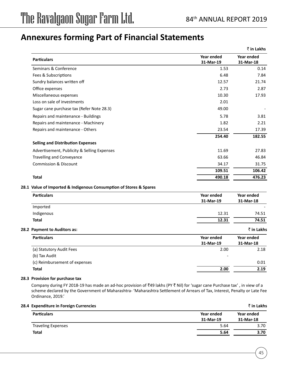|                                                                    |            | ₹ in Lakhs |
|--------------------------------------------------------------------|------------|------------|
| <b>Particulars</b>                                                 | Year ended | Year ended |
|                                                                    | 31-Mar-19  | 31-Mar-18  |
| Seminars & Conference                                              | 1.53       | 0.14       |
| Fees & Subscriptions                                               | 6.48       | 7.84       |
| Sundry balances written off                                        | 12.57      | 21.74      |
| Office expenses                                                    | 2.73       | 2.87       |
| Miscellaneous expenses                                             | 10.30      | 17.93      |
| Loss on sale of investments                                        | 2.01       |            |
| Sugar cane purchase tax (Refer Note 28.3)                          | 49.00      |            |
| Repairs and maintenance - Buildings                                | 5.78       | 3.81       |
| Repairs and maintenance - Machinery                                | 1.82       | 2.21       |
| Repairs and maintenance - Others                                   | 23.54      | 17.39      |
|                                                                    | 254.40     | 182.55     |
| <b>Selling and Distribution Expenses</b>                           |            |            |
| Advertisement, Publicity & Selling Expenses                        | 11.69      | 27.83      |
| <b>Travelling and Conveyance</b>                                   | 63.66      | 46.84      |
| <b>Commission &amp; Discount</b>                                   | 34.17      | 31.75      |
|                                                                    | 109.51     | 106.42     |
| <b>Total</b>                                                       | 490.18     | 476.23     |
| 28.1 Value of Imported & Indigenous Consumption of Stores & Spares |            |            |
| <b>Particulars</b>                                                 | Year ended | Year ended |
|                                                                    | 31-Mar-19  | 31-Mar-18  |
| Imported                                                           |            |            |
| Indigenous                                                         | 12.31      | 74.51      |
| <b>Total</b>                                                       | 12.31      | 74.51      |
| 28.2 Payment to Auditors as:                                       |            | ₹ in Lakhs |
| <b>Particulars</b>                                                 | Year ended | Year ended |
|                                                                    | 31-Mar-19  | 31-Mar-18  |
| (a) Statutory Audit Fees                                           | 2.00       | 2.18       |
| (b) Tax Audit                                                      |            |            |
| (c) Reimbursement of expenses                                      |            | 0.01       |

**Total 2.00 2.19** 

#### **28.3 Provision for purchase tax**

Company during FY 2018-19 has made an ad-hoc provision of ₹49 lakhs (PY ₹ Nil) for 'sugar cane Purchase tax', in view of a scheme declared by the Government of Maharashtra- 'Maharashtra Settlement of Arrears of Tax, Interest, Penalty or Late Fee Ordinance, 2019.'

#### **28.4 Expenditure in Foreign Currencies** ` **in Lakhs**

| <b>Particulars</b>        | Year ended | Year ended |
|---------------------------|------------|------------|
|                           | 31-Mar-19  | 31-Mar-18  |
| <b>Traveling Expenses</b> | 5.64       | 3.70       |
| <b>Total</b>              | 5.64       | 3.70       |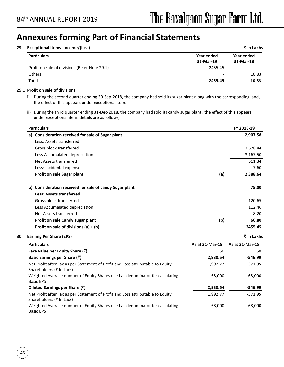#### **29 Exceptional items- Income/(loss)** ` **in Lakhs**

| Year ended | Year ended |
|------------|------------|
| 31-Mar-19  | 31-Mar-18  |
| 2455.45    |            |
| -          | 10.83      |
| 2455.45    | 10.83      |
|            |            |

#### **29.1 Profit on sale of divisions**

- i) During the second quarter ending 30-Sep-2018, the company had sold its sugar plant along with the corresponding land, the effect of this appears under exceptional item.
- ii) During the third quarter ending 31-Dec-2018, the company had sold its candy sugar plant , the effect of this appears under exceptional item. details are as follows,

| <b>Particulars</b>                                                                                          |                 | FY 2018-19      |
|-------------------------------------------------------------------------------------------------------------|-----------------|-----------------|
| a) Consideration received for sale of Sugar plant                                                           |                 | 2,907.58        |
| Less: Assets transferred                                                                                    |                 |                 |
| Gross block transferred                                                                                     |                 | 3,678.84        |
| Less Accumalated depreciation                                                                               |                 | 3,167.50        |
| Net Assets transferred                                                                                      |                 | 511.34          |
| Less: Incidental expenses                                                                                   |                 | 7.60            |
| Profit on sale Sugar plant                                                                                  | (a)             | 2,388.64        |
| b) Consideration received for sale of candy Sugar plant                                                     |                 | 75.00           |
| <b>Less: Assets transferred</b>                                                                             |                 |                 |
| Gross block transferred                                                                                     |                 | 120.65          |
| Less Accumalated depreciation                                                                               |                 | 112.46          |
| Net Assets transferred                                                                                      |                 | 8.20            |
| Profit on sale Candy sugar plant                                                                            | (b)             | 66.80           |
| Profit on sale of divisions $(a) + (b)$                                                                     |                 | 2455.45         |
| <b>Earning Per Share (EPS)</b>                                                                              |                 | ₹ in Lakhs      |
| <b>Particulars</b>                                                                                          | As at 31-Mar-19 | As at 31-Mar-18 |
| Face value per Equity Share $(\bar{z})$                                                                     | 50              | 50              |
| Basic Earnings per Share $(\bar{z})$                                                                        | 2,930.54        | $-546.99$       |
| Net Profit after Tax as per Statement of Profit and Loss attributable to Equity<br>Shareholders (₹ In Lacs) | 1,992.77        | $-371.95$       |
| Weighted Average number of Equity Shares used as denominator for calculating<br><b>Basic EPS</b>            | 68,000          | 68,000          |
| Diluted Earnings per Share $(\bar{z})$                                                                      | 2,930.54        | $-546.99$       |
| Net Profit after Tax as per Statement of Profit and Loss attributable to Equity<br>Shareholders (₹ In Lacs) | 1,992.77        | $-371.95$       |
| Weighted Average number of Equity Shares used as denominator for calculating<br><b>Basic EPS</b>            | 68,000          | 68,000          |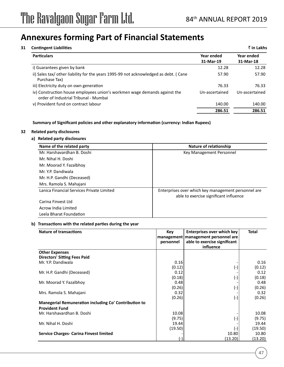| <b>Contingent Liabilities</b>                                                                                      |                         | ₹ in Lakhs              |
|--------------------------------------------------------------------------------------------------------------------|-------------------------|-------------------------|
| <b>Particulars</b>                                                                                                 | Year ended<br>31-Mar-19 | Year ended<br>31-Mar-18 |
| i) Guarantees given by bank                                                                                        | 12.28                   | 12.28                   |
| ii) Sales tax/ other liability for the years 1995-99 not acknowledged as debt. (Cane<br>Purchase Tax)              | 57.90                   | 57.90                   |
| iii) Electricity duty on own generation                                                                            | 76.33                   | 76.33                   |
| iv) Construction house employees union's workmen wage demands against the<br>order of Industrial Tribunal - Mumbai | Un-ascertained          | Un-ascertained          |
| v) Provident fund on contract labour                                                                               | 140.00                  | 140.00                  |
|                                                                                                                    | 286.51                  | 286.51                  |

**Summary of Significant policies and other explanatory information (currency: Indian Rupees)**

#### **32 Related party disclosures**

#### **a) Related party disclosures**

| Name of the related party                 | Nature of relationship                                                                        |
|-------------------------------------------|-----------------------------------------------------------------------------------------------|
| Mr. Harshavardhan B. Doshi                | Key Management Personnel                                                                      |
| Mr. Nihal H. Doshi                        |                                                                                               |
| Mr. Moorad Y. Fazalbhoy                   |                                                                                               |
| Mr. Y.P. Dandiwala                        |                                                                                               |
| Mr. H.P. Gandhi (Deceased)                |                                                                                               |
| Mrs. Ramola S. Mahajani                   |                                                                                               |
| Lanica Financial Services Private Limited | Enterprises over which key management personnel are<br>able to exercise significant influence |
| Carina Finvest Ltd                        |                                                                                               |
| Acrow India Limited                       |                                                                                               |
| Leela Bharat Foundation                   |                                                                                               |

#### **b) Transactions with the related parties during the year**

| <b>Nature of transactions</b>                                                  | Key<br>management<br>personnel | <b>Enterprises over which key</b><br>management personnel are<br>able to exercise significant<br>influence | <b>Total</b> |
|--------------------------------------------------------------------------------|--------------------------------|------------------------------------------------------------------------------------------------------------|--------------|
| <b>Other Expenses</b>                                                          |                                |                                                                                                            |              |
| <b>Directors' Sitting Fees Paid</b>                                            |                                |                                                                                                            |              |
| Mr. Y.P. Dandiwala                                                             | 0.16                           |                                                                                                            | 0.16         |
|                                                                                | (0.12)                         | $(-)$                                                                                                      | (0.12)       |
| Mr. H.P. Gandhi (Deceased)                                                     | 0.12                           |                                                                                                            | 0.12         |
|                                                                                | (0.18)                         | (-)                                                                                                        | (0.18)       |
| Mr. Moorad Y. Fazalbhoy                                                        | 0.48                           |                                                                                                            | 0.48         |
|                                                                                | (0.26)                         | (-)                                                                                                        | (0.26)       |
| Mrs. Ramola S. Mahajani                                                        | 0.32                           |                                                                                                            | 0.32         |
|                                                                                | (0.26)                         | $(-)$                                                                                                      | (0.26)       |
| Manegerial Remuneration including Co' Contribution to<br><b>Provident Fund</b> |                                |                                                                                                            |              |
| Mr. Harshavardhan B. Doshi                                                     | 10.08                          |                                                                                                            | 10.08        |
|                                                                                | (9.75)                         | $(\textnormal{-})$                                                                                         | (9.75)       |
| Mr. Nihal H. Doshi                                                             | 19.44                          |                                                                                                            | 19.44        |
|                                                                                | (19.50)                        | $(-)$                                                                                                      | (19.50)      |
| <b>Service Charges- Carina Finvest limited</b>                                 |                                | 10.80                                                                                                      | 10.80        |
|                                                                                |                                | (13.20)                                                                                                    | (13.20)      |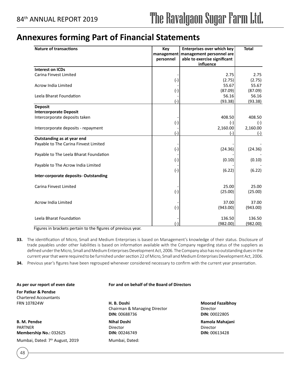### **Annexures forming Part of Financial Statements**

| <b>Nature of transactions</b>          | Key<br>management<br>personnel | <b>Enterprises over which key</b><br>management personnel are<br>able to exercise significant<br>influence | <b>Total</b> |
|----------------------------------------|--------------------------------|------------------------------------------------------------------------------------------------------------|--------------|
| <b>Interest on ICDs</b>                |                                |                                                                                                            |              |
| Carina Finvest Limited                 |                                | 2.75                                                                                                       | 2.75         |
|                                        | $(-)$                          | (2.75)                                                                                                     | (2.75)       |
| Acrow India Limited                    |                                | 55.67                                                                                                      | 55.67        |
|                                        | $(-)$                          | (87.09)                                                                                                    | (87.09)      |
| Leela Bharat Foundation                |                                | 56.16                                                                                                      | 56.16        |
|                                        | $(-)$                          | (93.38)                                                                                                    | (93.38)      |
| <b>Deposit</b>                         |                                |                                                                                                            |              |
| <b>Intercorporate Deposit</b>          |                                |                                                                                                            |              |
| Intercorporate deposits taken          |                                | 408.50                                                                                                     | 408.50       |
|                                        | $(-)$                          | $(-)$                                                                                                      | $(-)$        |
| Intercorporate deposits - repayment    |                                | 2,160.00                                                                                                   | 2,160.00     |
|                                        | $(-)$                          | (-)                                                                                                        | $(-)$        |
| Outstanding as at year end             |                                |                                                                                                            |              |
| Payable to The Carina Finvest Limited  |                                |                                                                                                            |              |
|                                        | $(-)$                          | (24.36)                                                                                                    | (24.36)      |
| Payable to The Leela Bharat Foundation |                                |                                                                                                            |              |
|                                        | $(-)$                          | (0.10)                                                                                                     | (0.10)       |
| Payable to The Acrow India Limited     |                                |                                                                                                            |              |
|                                        | $(-)$                          | (6.22)                                                                                                     | (6.22)       |
| Inter-corporate deposits-Outstanding   |                                |                                                                                                            |              |
| Carina Finvest Limited                 |                                | 25.00                                                                                                      | 25.00        |
|                                        | $(-)$                          | (25.00)                                                                                                    | (25.00)      |
|                                        |                                |                                                                                                            |              |
| <b>Acrow India Limited</b>             |                                | 37.00                                                                                                      | 37.00        |
|                                        | $(-)$                          | (943.00)                                                                                                   | (943.00)     |
|                                        |                                |                                                                                                            |              |
| Leela Bharat Foundation                |                                | 136.50                                                                                                     | 136.50       |
|                                        |                                | (982.00)                                                                                                   | (982.00)     |

Figures in brackets pertain to the figures of previous year.

- **33.** The identification of Micro, Small and Medium Enterprises is based on Management's knowledge of their status. Disclosure of trade payables under other liabilities is based on information available with the Company regarding status of the suppliers as defined under the Micro, Small and Medium Enterprises Development Act, 2006. The Company also has no outstanding dues in the current year that were required to be furnished under section 22 of Micro, Small and Medium Enterprises Development Act, 2006.
- **34.** Previous year's figures have been regrouped whenever considered necessary to confirm with the current year presentation.

#### **As per our report of even date For and on behalf of the Board of Directors**

**For Patkar & Pendse** Chartered Accountants

48

**B. M. Pendse Nihal Doshi Ramola Mahajani Ramola Mahajani** Ramola Mahajani Ramola Mahajani PARTNER Director Director Director Director Director Director Director Director **Membership No.:** 032625 **DIN:** 00246749 **DIN:** 00613428 Mumbai, Dated: 7<sup>th</sup> August, 2019 Mumbai, Dated:

FRN 107824W **H. B. Doshi Moorad Fazalbhoy**  Chairman & Managing Director **Director DIN:** 00688736 **DIN:** 00022805